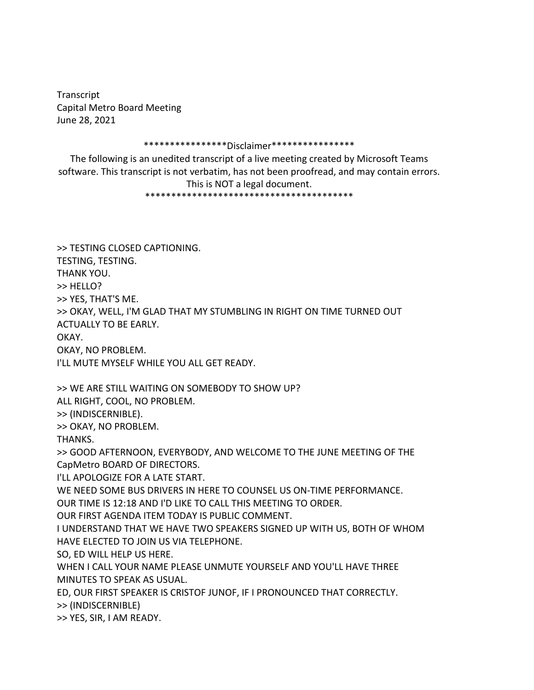Transcript Capital Metro Board Meeting June 28, 2021

## \*\*\*\*\*\*\*\*\*\*\*\*\*\*\*\*Disclaimer\*\*\*\*\*\*\*\*\*\*\*\*\*\*\*\*

The following is an unedited transcript of a live meeting created by Microsoft Teams software. This transcript is not verbatim, has not been proofread, and may contain errors.

This is NOT a legal document. \*\*\*\*\*\*\*\*\*\*\*\*\*\*\*\*\*\*\*\*\*\*\*\*\*\*\*\*\*\*\*\*\*\*\*\*\*\*\*\*

>> TESTING CLOSED CAPTIONING. TESTING, TESTING. THANK YOU. >> HELLO? >> YES, THAT'S ME. >> OKAY, WELL, I'M GLAD THAT MY STUMBLING IN RIGHT ON TIME TURNED OUT ACTUALLY TO BE EARLY. OKAY. OKAY, NO PROBLEM. I'LL MUTE MYSELF WHILE YOU ALL GET READY. >> WE ARE STILL WAITING ON SOMEBODY TO SHOW UP? ALL RIGHT, COOL, NO PROBLEM. >> (INDISCERNIBLE). >> OKAY, NO PROBLEM. THANKS. >> GOOD AFTERNOON, EVERYBODY, AND WELCOME TO THE JUNE MEETING OF THE CapMetro BOARD OF DIRECTORS. I'LL APOLOGIZE FOR A LATE START. WE NEED SOME BUS DRIVERS IN HERE TO COUNSEL US ON-TIME PERFORMANCE. OUR TIME IS 12:18 AND I'D LIKE TO CALL THIS MEETING TO ORDER. OUR FIRST AGENDA ITEM TODAY IS PUBLIC COMMENT. I UNDERSTAND THAT WE HAVE TWO SPEAKERS SIGNED UP WITH US, BOTH OF WHOM HAVE ELECTED TO JOIN US VIA TELEPHONE. SO, ED WILL HELP US HERE. WHEN I CALL YOUR NAME PLEASE UNMUTE YOURSELF AND YOU'LL HAVE THREE MINUTES TO SPEAK AS USUAL. ED, OUR FIRST SPEAKER IS CRISTOF JUNOF, IF I PRONOUNCED THAT CORRECTLY. >> (INDISCERNIBLE) >> YES, SIR, I AM READY.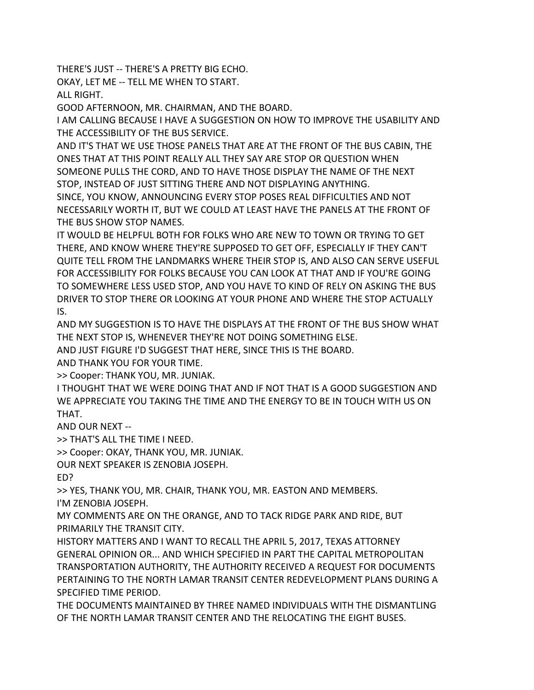THERE'S JUST -- THERE'S A PRETTY BIG ECHO.

OKAY, LET ME -- TELL ME WHEN TO START.

ALL RIGHT.

GOOD AFTERNOON, MR. CHAIRMAN, AND THE BOARD.

I AM CALLING BECAUSE I HAVE A SUGGESTION ON HOW TO IMPROVE THE USABILITY AND THE ACCESSIBILITY OF THE BUS SERVICE.

AND IT'S THAT WE USE THOSE PANELS THAT ARE AT THE FRONT OF THE BUS CABIN, THE ONES THAT AT THIS POINT REALLY ALL THEY SAY ARE STOP OR QUESTION WHEN SOMEONE PULLS THE CORD, AND TO HAVE THOSE DISPLAY THE NAME OF THE NEXT STOP, INSTEAD OF JUST SITTING THERE AND NOT DISPLAYING ANYTHING. SINCE, YOU KNOW, ANNOUNCING EVERY STOP POSES REAL DIFFICULTIES AND NOT NECESSARILY WORTH IT, BUT WE COULD AT LEAST HAVE THE PANELS AT THE FRONT OF THE BUS SHOW STOP NAMES.

IT WOULD BE HELPFUL BOTH FOR FOLKS WHO ARE NEW TO TOWN OR TRYING TO GET THERE, AND KNOW WHERE THEY'RE SUPPOSED TO GET OFF, ESPECIALLY IF THEY CAN'T QUITE TELL FROM THE LANDMARKS WHERE THEIR STOP IS, AND ALSO CAN SERVE USEFUL FOR ACCESSIBILITY FOR FOLKS BECAUSE YOU CAN LOOK AT THAT AND IF YOU'RE GOING TO SOMEWHERE LESS USED STOP, AND YOU HAVE TO KIND OF RELY ON ASKING THE BUS DRIVER TO STOP THERE OR LOOKING AT YOUR PHONE AND WHERE THE STOP ACTUALLY IS.

AND MY SUGGESTION IS TO HAVE THE DISPLAYS AT THE FRONT OF THE BUS SHOW WHAT THE NEXT STOP IS, WHENEVER THEY'RE NOT DOING SOMETHING ELSE.

AND JUST FIGURE I'D SUGGEST THAT HERE, SINCE THIS IS THE BOARD.

AND THANK YOU FOR YOUR TIME.

>> Cooper: THANK YOU, MR. JUNIAK.

I THOUGHT THAT WE WERE DOING THAT AND IF NOT THAT IS A GOOD SUGGESTION AND WE APPRECIATE YOU TAKING THE TIME AND THE ENERGY TO BE IN TOUCH WITH US ON THAT.

AND OUR NEXT --

>> THAT'S ALL THE TIME I NEED.

>> Cooper: OKAY, THANK YOU, MR. JUNIAK.

OUR NEXT SPEAKER IS ZENOBIA JOSEPH.

ED?

>> YES, THANK YOU, MR. CHAIR, THANK YOU, MR. EASTON AND MEMBERS. I'M ZENOBIA JOSEPH.

MY COMMENTS ARE ON THE ORANGE, AND TO TACK RIDGE PARK AND RIDE, BUT PRIMARILY THE TRANSIT CITY.

HISTORY MATTERS AND I WANT TO RECALL THE APRIL 5, 2017, TEXAS ATTORNEY GENERAL OPINION OR... AND WHICH SPECIFIED IN PART THE CAPITAL METROPOLITAN TRANSPORTATION AUTHORITY, THE AUTHORITY RECEIVED A REQUEST FOR DOCUMENTS PERTAINING TO THE NORTH LAMAR TRANSIT CENTER REDEVELOPMENT PLANS DURING A SPECIFIED TIME PERIOD.

THE DOCUMENTS MAINTAINED BY THREE NAMED INDIVIDUALS WITH THE DISMANTLING OF THE NORTH LAMAR TRANSIT CENTER AND THE RELOCATING THE EIGHT BUSES.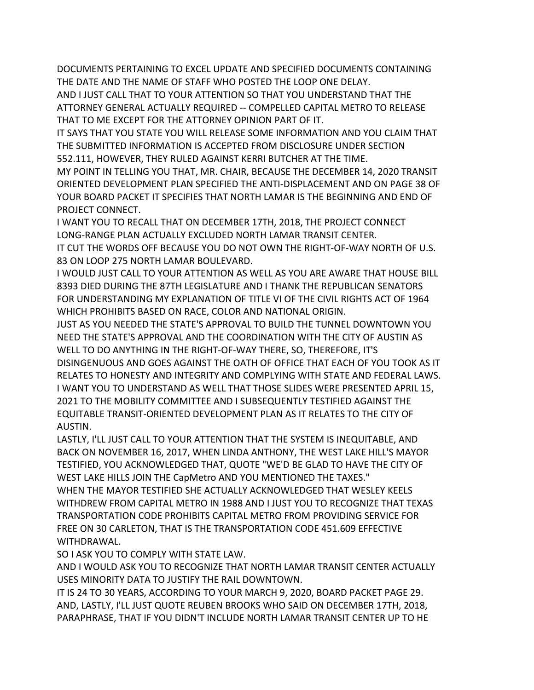DOCUMENTS PERTAINING TO EXCEL UPDATE AND SPECIFIED DOCUMENTS CONTAINING THE DATE AND THE NAME OF STAFF WHO POSTED THE LOOP ONE DELAY. AND I JUST CALL THAT TO YOUR ATTENTION SO THAT YOU UNDERSTAND THAT THE

ATTORNEY GENERAL ACTUALLY REQUIRED -- COMPELLED CAPITAL METRO TO RELEASE THAT TO ME EXCEPT FOR THE ATTORNEY OPINION PART OF IT.

IT SAYS THAT YOU STATE YOU WILL RELEASE SOME INFORMATION AND YOU CLAIM THAT THE SUBMITTED INFORMATION IS ACCEPTED FROM DISCLOSURE UNDER SECTION 552.111, HOWEVER, THEY RULED AGAINST KERRI BUTCHER AT THE TIME.

MY POINT IN TELLING YOU THAT, MR. CHAIR, BECAUSE THE DECEMBER 14, 2020 TRANSIT ORIENTED DEVELOPMENT PLAN SPECIFIED THE ANTI-DISPLACEMENT AND ON PAGE 38 OF YOUR BOARD PACKET IT SPECIFIES THAT NORTH LAMAR IS THE BEGINNING AND END OF PROJECT CONNECT.

I WANT YOU TO RECALL THAT ON DECEMBER 17TH, 2018, THE PROJECT CONNECT LONG-RANGE PLAN ACTUALLY EXCLUDED NORTH LAMAR TRANSIT CENTER. IT CUT THE WORDS OFF BECAUSE YOU DO NOT OWN THE RIGHT-OF-WAY NORTH OF U.S. 83 ON LOOP 275 NORTH LAMAR BOULEVARD.

I WOULD JUST CALL TO YOUR ATTENTION AS WELL AS YOU ARE AWARE THAT HOUSE BILL 8393 DIED DURING THE 87TH LEGISLATURE AND I THANK THE REPUBLICAN SENATORS FOR UNDERSTANDING MY EXPLANATION OF TITLE VI OF THE CIVIL RIGHTS ACT OF 1964 WHICH PROHIBITS BASED ON RACE, COLOR AND NATIONAL ORIGIN.

JUST AS YOU NEEDED THE STATE'S APPROVAL TO BUILD THE TUNNEL DOWNTOWN YOU NEED THE STATE'S APPROVAL AND THE COORDINATION WITH THE CITY OF AUSTIN AS WELL TO DO ANYTHING IN THE RIGHT-OF-WAY THERE, SO, THEREFORE, IT'S DISINGENUOUS AND GOES AGAINST THE OATH OF OFFICE THAT EACH OF YOU TOOK AS IT RELATES TO HONESTY AND INTEGRITY AND COMPLYING WITH STATE AND FEDERAL LAWS. I WANT YOU TO UNDERSTAND AS WELL THAT THOSE SLIDES WERE PRESENTED APRIL 15, 2021 TO THE MOBILITY COMMITTEE AND I SUBSEQUENTLY TESTIFIED AGAINST THE EQUITABLE TRANSIT-ORIENTED DEVELOPMENT PLAN AS IT RELATES TO THE CITY OF AUSTIN.

LASTLY, I'LL JUST CALL TO YOUR ATTENTION THAT THE SYSTEM IS INEQUITABLE, AND BACK ON NOVEMBER 16, 2017, WHEN LINDA ANTHONY, THE WEST LAKE HILL'S MAYOR TESTIFIED, YOU ACKNOWLEDGED THAT, QUOTE "WE'D BE GLAD TO HAVE THE CITY OF WEST LAKE HILLS JOIN THE CapMetro AND YOU MENTIONED THE TAXES." WHEN THE MAYOR TESTIFIED SHE ACTUALLY ACKNOWLEDGED THAT WESLEY KEELS WITHDREW FROM CAPITAL METRO IN 1988 AND I JUST YOU TO RECOGNIZE THAT TEXAS TRANSPORTATION CODE PROHIBITS CAPITAL METRO FROM PROVIDING SERVICE FOR FREE ON 30 CARLETON, THAT IS THE TRANSPORTATION CODE 451.609 EFFECTIVE WITHDRAWAL.

SO I ASK YOU TO COMPLY WITH STATE LAW.

AND I WOULD ASK YOU TO RECOGNIZE THAT NORTH LAMAR TRANSIT CENTER ACTUALLY USES MINORITY DATA TO JUSTIFY THE RAIL DOWNTOWN.

IT IS 24 TO 30 YEARS, ACCORDING TO YOUR MARCH 9, 2020, BOARD PACKET PAGE 29. AND, LASTLY, I'LL JUST QUOTE REUBEN BROOKS WHO SAID ON DECEMBER 17TH, 2018, PARAPHRASE, THAT IF YOU DIDN'T INCLUDE NORTH LAMAR TRANSIT CENTER UP TO HE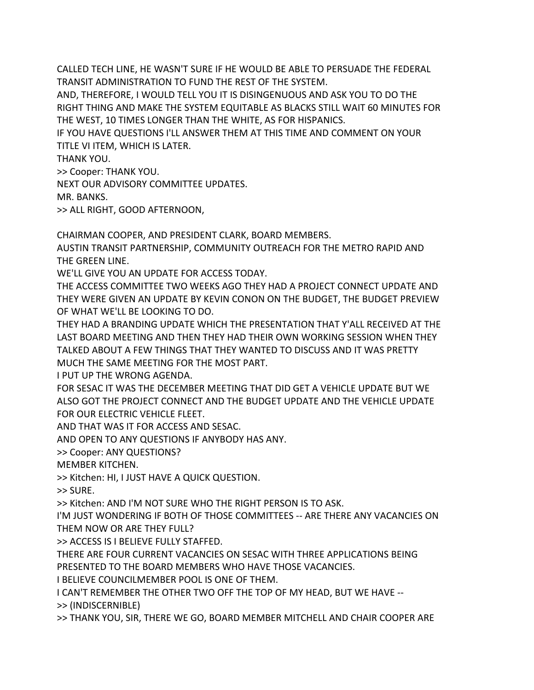CALLED TECH LINE, HE WASN'T SURE IF HE WOULD BE ABLE TO PERSUADE THE FEDERAL TRANSIT ADMINISTRATION TO FUND THE REST OF THE SYSTEM.

AND, THEREFORE, I WOULD TELL YOU IT IS DISINGENUOUS AND ASK YOU TO DO THE RIGHT THING AND MAKE THE SYSTEM EQUITABLE AS BLACKS STILL WAIT 60 MINUTES FOR THE WEST, 10 TIMES LONGER THAN THE WHITE, AS FOR HISPANICS.

IF YOU HAVE QUESTIONS I'LL ANSWER THEM AT THIS TIME AND COMMENT ON YOUR TITLE VI ITEM, WHICH IS LATER.

THANK YOU.

>> Cooper: THANK YOU.

NEXT OUR ADVISORY COMMITTEE UPDATES.

MR. BANKS.

>> ALL RIGHT, GOOD AFTERNOON,

CHAIRMAN COOPER, AND PRESIDENT CLARK, BOARD MEMBERS.

AUSTIN TRANSIT PARTNERSHIP, COMMUNITY OUTREACH FOR THE METRO RAPID AND THE GREEN LINE.

WE'LL GIVE YOU AN UPDATE FOR ACCESS TODAY.

THE ACCESS COMMITTEE TWO WEEKS AGO THEY HAD A PROJECT CONNECT UPDATE AND THEY WERE GIVEN AN UPDATE BY KEVIN CONON ON THE BUDGET, THE BUDGET PREVIEW OF WHAT WE'LL BE LOOKING TO DO.

THEY HAD A BRANDING UPDATE WHICH THE PRESENTATION THAT Y'ALL RECEIVED AT THE LAST BOARD MEETING AND THEN THEY HAD THEIR OWN WORKING SESSION WHEN THEY TALKED ABOUT A FEW THINGS THAT THEY WANTED TO DISCUSS AND IT WAS PRETTY MUCH THE SAME MEETING FOR THE MOST PART.

I PUT UP THE WRONG AGENDA.

FOR SESAC IT WAS THE DECEMBER MEETING THAT DID GET A VEHICLE UPDATE BUT WE ALSO GOT THE PROJECT CONNECT AND THE BUDGET UPDATE AND THE VEHICLE UPDATE FOR OUR ELECTRIC VEHICLE FLEET.

AND THAT WAS IT FOR ACCESS AND SESAC.

AND OPEN TO ANY QUESTIONS IF ANYBODY HAS ANY.

>> Cooper: ANY QUESTIONS?

MEMBER KITCHEN.

>> Kitchen: HI, I JUST HAVE A QUICK QUESTION.

>> SURE.

>> Kitchen: AND I'M NOT SURE WHO THE RIGHT PERSON IS TO ASK.

I'M JUST WONDERING IF BOTH OF THOSE COMMITTEES -- ARE THERE ANY VACANCIES ON THEM NOW OR ARE THEY FULL?

>> ACCESS IS I BELIEVE FULLY STAFFED.

THERE ARE FOUR CURRENT VACANCIES ON SESAC WITH THREE APPLICATIONS BEING PRESENTED TO THE BOARD MEMBERS WHO HAVE THOSE VACANCIES.

I BELIEVE COUNCILMEMBER POOL IS ONE OF THEM.

I CAN'T REMEMBER THE OTHER TWO OFF THE TOP OF MY HEAD, BUT WE HAVE --

>> (INDISCERNIBLE)

>> THANK YOU, SIR, THERE WE GO, BOARD MEMBER MITCHELL AND CHAIR COOPER ARE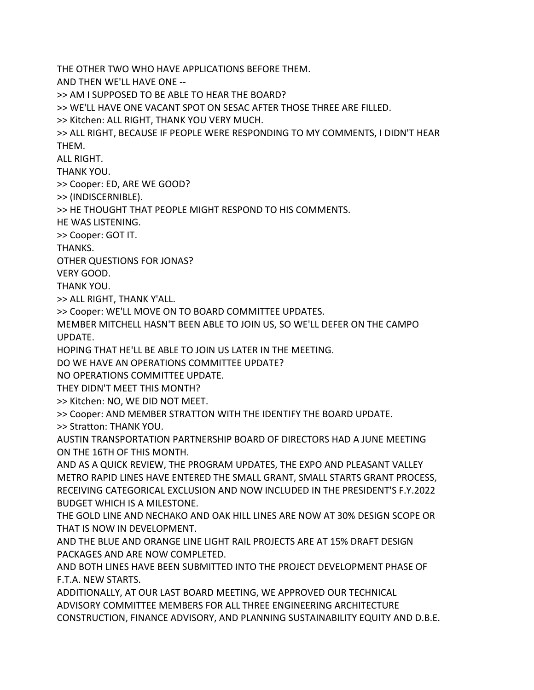THE OTHER TWO WHO HAVE APPLICATIONS BEFORE THEM. AND THEN WE'LL HAVE ONE -- >> AM I SUPPOSED TO BE ABLE TO HEAR THE BOARD? >> WE'LL HAVE ONE VACANT SPOT ON SESAC AFTER THOSE THREE ARE FILLED. >> Kitchen: ALL RIGHT, THANK YOU VERY MUCH. >> ALL RIGHT, BECAUSE IF PEOPLE WERE RESPONDING TO MY COMMENTS, I DIDN'T HEAR THEM. ALL RIGHT. THANK YOU. >> Cooper: ED, ARE WE GOOD? >> (INDISCERNIBLE). >> HE THOUGHT THAT PEOPLE MIGHT RESPOND TO HIS COMMENTS. HE WAS LISTENING. >> Cooper: GOT IT. THANKS. OTHER QUESTIONS FOR JONAS? VERY GOOD. THANK YOU. >> ALL RIGHT, THANK Y'ALL. >> Cooper: WE'LL MOVE ON TO BOARD COMMITTEE UPDATES. MEMBER MITCHELL HASN'T BEEN ABLE TO JOIN US, SO WE'LL DEFER ON THE CAMPO UPDATE. HOPING THAT HE'LL BE ABLE TO JOIN US LATER IN THE MEETING. DO WE HAVE AN OPERATIONS COMMITTEE UPDATE? NO OPERATIONS COMMITTEE UPDATE. THEY DIDN'T MEET THIS MONTH? >> Kitchen: NO, WE DID NOT MEET. >> Cooper: AND MEMBER STRATTON WITH THE IDENTIFY THE BOARD UPDATE. >> Stratton: THANK YOU. AUSTIN TRANSPORTATION PARTNERSHIP BOARD OF DIRECTORS HAD A JUNE MEETING ON THE 16TH OF THIS MONTH. AND AS A QUICK REVIEW, THE PROGRAM UPDATES, THE EXPO AND PLEASANT VALLEY METRO RAPID LINES HAVE ENTERED THE SMALL GRANT, SMALL STARTS GRANT PROCESS, RECEIVING CATEGORICAL EXCLUSION AND NOW INCLUDED IN THE PRESIDENT'S F.Y.2022 BUDGET WHICH IS A MILESTONE. THE GOLD LINE AND NECHAKO AND OAK HILL LINES ARE NOW AT 30% DESIGN SCOPE OR THAT IS NOW IN DEVELOPMENT. AND THE BLUE AND ORANGE LINE LIGHT RAIL PROJECTS ARE AT 15% DRAFT DESIGN PACKAGES AND ARE NOW COMPLETED. AND BOTH LINES HAVE BEEN SUBMITTED INTO THE PROJECT DEVELOPMENT PHASE OF F.T.A. NEW STARTS. ADDITIONALLY, AT OUR LAST BOARD MEETING, WE APPROVED OUR TECHNICAL ADVISORY COMMITTEE MEMBERS FOR ALL THREE ENGINEERING ARCHITECTURE CONSTRUCTION, FINANCE ADVISORY, AND PLANNING SUSTAINABILITY EQUITY AND D.B.E.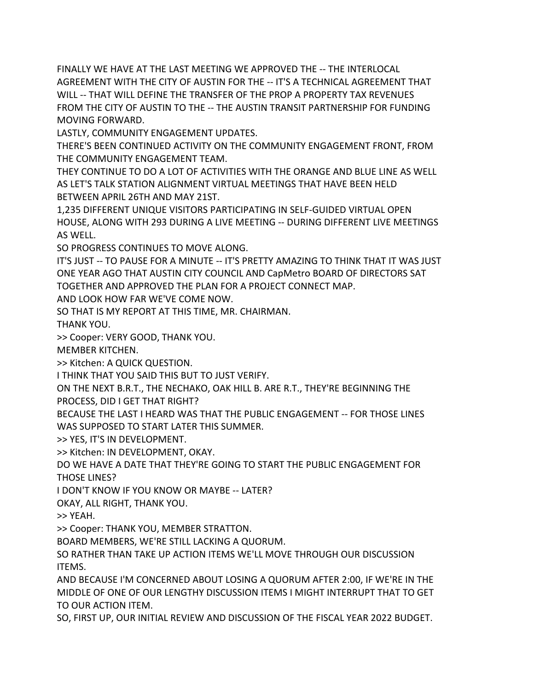FINALLY WE HAVE AT THE LAST MEETING WE APPROVED THE -- THE INTERLOCAL AGREEMENT WITH THE CITY OF AUSTIN FOR THE -- IT'S A TECHNICAL AGREEMENT THAT WILL -- THAT WILL DEFINE THE TRANSFER OF THE PROP A PROPERTY TAX REVENUES FROM THE CITY OF AUSTIN TO THE -- THE AUSTIN TRANSIT PARTNERSHIP FOR FUNDING MOVING FORWARD.

LASTLY, COMMUNITY ENGAGEMENT UPDATES.

THERE'S BEEN CONTINUED ACTIVITY ON THE COMMUNITY ENGAGEMENT FRONT, FROM THE COMMUNITY ENGAGEMENT TEAM.

THEY CONTINUE TO DO A LOT OF ACTIVITIES WITH THE ORANGE AND BLUE LINE AS WELL AS LET'S TALK STATION ALIGNMENT VIRTUAL MEETINGS THAT HAVE BEEN HELD BETWEEN APRIL 26TH AND MAY 21ST.

1,235 DIFFERENT UNIQUE VISITORS PARTICIPATING IN SELF-GUIDED VIRTUAL OPEN HOUSE, ALONG WITH 293 DURING A LIVE MEETING -- DURING DIFFERENT LIVE MEETINGS AS WELL.

SO PROGRESS CONTINUES TO MOVE ALONG.

IT'S JUST -- TO PAUSE FOR A MINUTE -- IT'S PRETTY AMAZING TO THINK THAT IT WAS JUST ONE YEAR AGO THAT AUSTIN CITY COUNCIL AND CapMetro BOARD OF DIRECTORS SAT TOGETHER AND APPROVED THE PLAN FOR A PROJECT CONNECT MAP.

AND LOOK HOW FAR WE'VE COME NOW.

SO THAT IS MY REPORT AT THIS TIME, MR. CHAIRMAN.

THANK YOU.

>> Cooper: VERY GOOD, THANK YOU.

MEMBER KITCHEN.

>> Kitchen: A QUICK QUESTION.

I THINK THAT YOU SAID THIS BUT TO JUST VERIFY.

ON THE NEXT B.R.T., THE NECHAKO, OAK HILL B. ARE R.T., THEY'RE BEGINNING THE PROCESS, DID I GET THAT RIGHT?

BECAUSE THE LAST I HEARD WAS THAT THE PUBLIC ENGAGEMENT -- FOR THOSE LINES WAS SUPPOSED TO START LATER THIS SUMMER.

>> YES, IT'S IN DEVELOPMENT.

>> Kitchen: IN DEVELOPMENT, OKAY.

DO WE HAVE A DATE THAT THEY'RE GOING TO START THE PUBLIC ENGAGEMENT FOR THOSE LINES?

I DON'T KNOW IF YOU KNOW OR MAYBE -- LATER?

OKAY, ALL RIGHT, THANK YOU.

>> YEAH.

>> Cooper: THANK YOU, MEMBER STRATTON.

BOARD MEMBERS, WE'RE STILL LACKING A QUORUM.

SO RATHER THAN TAKE UP ACTION ITEMS WE'LL MOVE THROUGH OUR DISCUSSION ITEMS.

AND BECAUSE I'M CONCERNED ABOUT LOSING A QUORUM AFTER 2:00, IF WE'RE IN THE MIDDLE OF ONE OF OUR LENGTHY DISCUSSION ITEMS I MIGHT INTERRUPT THAT TO GET TO OUR ACTION ITEM.

SO, FIRST UP, OUR INITIAL REVIEW AND DISCUSSION OF THE FISCAL YEAR 2022 BUDGET.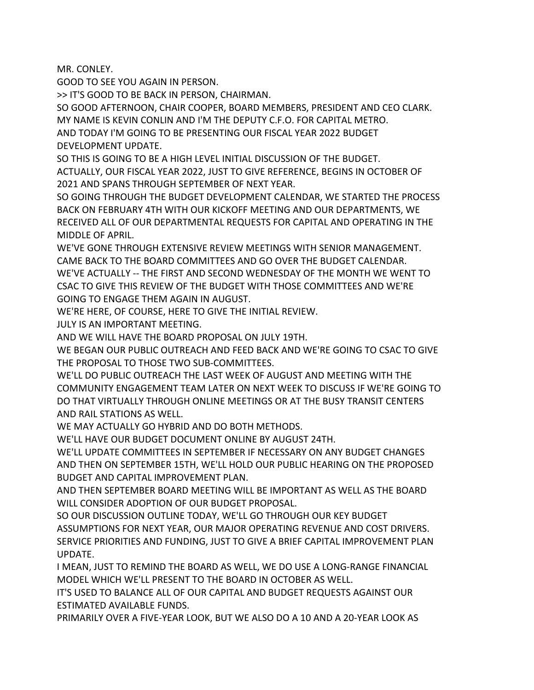MR. CONLEY.

GOOD TO SEE YOU AGAIN IN PERSON.

>> IT'S GOOD TO BE BACK IN PERSON, CHAIRMAN.

SO GOOD AFTERNOON, CHAIR COOPER, BOARD MEMBERS, PRESIDENT AND CEO CLARK. MY NAME IS KEVIN CONLIN AND I'M THE DEPUTY C.F.O. FOR CAPITAL METRO.

AND TODAY I'M GOING TO BE PRESENTING OUR FISCAL YEAR 2022 BUDGET DEVELOPMENT UPDATE.

SO THIS IS GOING TO BE A HIGH LEVEL INITIAL DISCUSSION OF THE BUDGET.

ACTUALLY, OUR FISCAL YEAR 2022, JUST TO GIVE REFERENCE, BEGINS IN OCTOBER OF 2021 AND SPANS THROUGH SEPTEMBER OF NEXT YEAR.

SO GOING THROUGH THE BUDGET DEVELOPMENT CALENDAR, WE STARTED THE PROCESS BACK ON FEBRUARY 4TH WITH OUR KICKOFF MEETING AND OUR DEPARTMENTS, WE RECEIVED ALL OF OUR DEPARTMENTAL REQUESTS FOR CAPITAL AND OPERATING IN THE MIDDLE OF APRIL.

WE'VE GONE THROUGH EXTENSIVE REVIEW MEETINGS WITH SENIOR MANAGEMENT. CAME BACK TO THE BOARD COMMITTEES AND GO OVER THE BUDGET CALENDAR. WE'VE ACTUALLY -- THE FIRST AND SECOND WEDNESDAY OF THE MONTH WE WENT TO

CSAC TO GIVE THIS REVIEW OF THE BUDGET WITH THOSE COMMITTEES AND WE'RE GOING TO ENGAGE THEM AGAIN IN AUGUST.

WE'RE HERE, OF COURSE, HERE TO GIVE THE INITIAL REVIEW.

JULY IS AN IMPORTANT MEETING.

AND WE WILL HAVE THE BOARD PROPOSAL ON JULY 19TH.

WE BEGAN OUR PUBLIC OUTREACH AND FEED BACK AND WE'RE GOING TO CSAC TO GIVE THE PROPOSAL TO THOSE TWO SUB-COMMITTEES.

WE'LL DO PUBLIC OUTREACH THE LAST WEEK OF AUGUST AND MEETING WITH THE COMMUNITY ENGAGEMENT TEAM LATER ON NEXT WEEK TO DISCUSS IF WE'RE GOING TO DO THAT VIRTUALLY THROUGH ONLINE MEETINGS OR AT THE BUSY TRANSIT CENTERS AND RAIL STATIONS AS WELL.

WE MAY ACTUALLY GO HYBRID AND DO BOTH METHODS.

WE'LL HAVE OUR BUDGET DOCUMENT ONLINE BY AUGUST 24TH.

WE'LL UPDATE COMMITTEES IN SEPTEMBER IF NECESSARY ON ANY BUDGET CHANGES AND THEN ON SEPTEMBER 15TH, WE'LL HOLD OUR PUBLIC HEARING ON THE PROPOSED BUDGET AND CAPITAL IMPROVEMENT PLAN.

AND THEN SEPTEMBER BOARD MEETING WILL BE IMPORTANT AS WELL AS THE BOARD WILL CONSIDER ADOPTION OF OUR BUDGET PROPOSAL.

SO OUR DISCUSSION OUTLINE TODAY, WE'LL GO THROUGH OUR KEY BUDGET ASSUMPTIONS FOR NEXT YEAR, OUR MAJOR OPERATING REVENUE AND COST DRIVERS. SERVICE PRIORITIES AND FUNDING, JUST TO GIVE A BRIEF CAPITAL IMPROVEMENT PLAN UPDATE.

I MEAN, JUST TO REMIND THE BOARD AS WELL, WE DO USE A LONG-RANGE FINANCIAL MODEL WHICH WE'LL PRESENT TO THE BOARD IN OCTOBER AS WELL.

IT'S USED TO BALANCE ALL OF OUR CAPITAL AND BUDGET REQUESTS AGAINST OUR ESTIMATED AVAILABLE FUNDS.

PRIMARILY OVER A FIVE-YEAR LOOK, BUT WE ALSO DO A 10 AND A 20-YEAR LOOK AS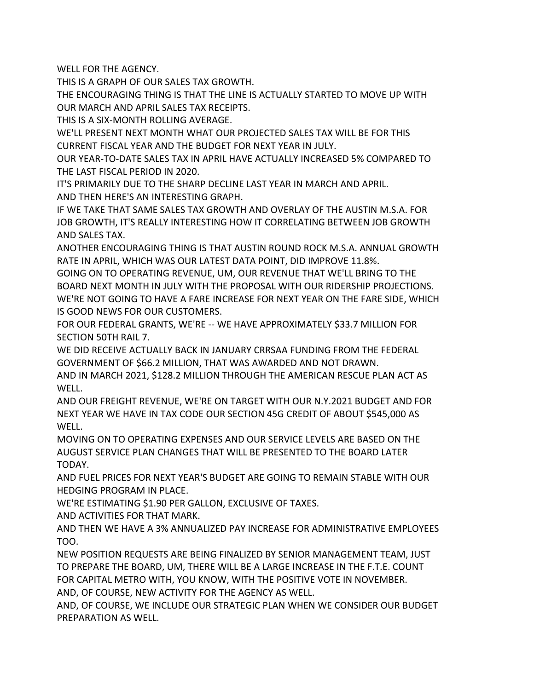WELL FOR THE AGENCY.

THIS IS A GRAPH OF OUR SALES TAX GROWTH.

THE ENCOURAGING THING IS THAT THE LINE IS ACTUALLY STARTED TO MOVE UP WITH OUR MARCH AND APRIL SALES TAX RECEIPTS.

THIS IS A SIX-MONTH ROLLING AVERAGE.

WE'LL PRESENT NEXT MONTH WHAT OUR PROJECTED SALES TAX WILL BE FOR THIS CURRENT FISCAL YEAR AND THE BUDGET FOR NEXT YEAR IN JULY.

OUR YEAR-TO-DATE SALES TAX IN APRIL HAVE ACTUALLY INCREASED 5% COMPARED TO THE LAST FISCAL PERIOD IN 2020.

IT'S PRIMARILY DUE TO THE SHARP DECLINE LAST YEAR IN MARCH AND APRIL. AND THEN HERE'S AN INTERESTING GRAPH.

IF WE TAKE THAT SAME SALES TAX GROWTH AND OVERLAY OF THE AUSTIN M.S.A. FOR JOB GROWTH, IT'S REALLY INTERESTING HOW IT CORRELATING BETWEEN JOB GROWTH AND SALES TAX.

ANOTHER ENCOURAGING THING IS THAT AUSTIN ROUND ROCK M.S.A. ANNUAL GROWTH RATE IN APRIL, WHICH WAS OUR LATEST DATA POINT, DID IMPROVE 11.8%.

GOING ON TO OPERATING REVENUE, UM, OUR REVENUE THAT WE'LL BRING TO THE BOARD NEXT MONTH IN JULY WITH THE PROPOSAL WITH OUR RIDERSHIP PROJECTIONS. WE'RE NOT GOING TO HAVE A FARE INCREASE FOR NEXT YEAR ON THE FARE SIDE, WHICH IS GOOD NEWS FOR OUR CUSTOMERS.

FOR OUR FEDERAL GRANTS, WE'RE -- WE HAVE APPROXIMATELY \$33.7 MILLION FOR SECTION 50TH RAIL 7.

WE DID RECEIVE ACTUALLY BACK IN JANUARY CRRSAA FUNDING FROM THE FEDERAL GOVERNMENT OF \$66.2 MILLION, THAT WAS AWARDED AND NOT DRAWN.

AND IN MARCH 2021, \$128.2 MILLION THROUGH THE AMERICAN RESCUE PLAN ACT AS WELL.

AND OUR FREIGHT REVENUE, WE'RE ON TARGET WITH OUR N.Y.2021 BUDGET AND FOR NEXT YEAR WE HAVE IN TAX CODE OUR SECTION 45G CREDIT OF ABOUT \$545,000 AS WELL.

MOVING ON TO OPERATING EXPENSES AND OUR SERVICE LEVELS ARE BASED ON THE AUGUST SERVICE PLAN CHANGES THAT WILL BE PRESENTED TO THE BOARD LATER TODAY.

AND FUEL PRICES FOR NEXT YEAR'S BUDGET ARE GOING TO REMAIN STABLE WITH OUR HEDGING PROGRAM IN PLACE.

WE'RE ESTIMATING \$1.90 PER GALLON, EXCLUSIVE OF TAXES.

AND ACTIVITIES FOR THAT MARK.

AND THEN WE HAVE A 3% ANNUALIZED PAY INCREASE FOR ADMINISTRATIVE EMPLOYEES TOO.

NEW POSITION REQUESTS ARE BEING FINALIZED BY SENIOR MANAGEMENT TEAM, JUST TO PREPARE THE BOARD, UM, THERE WILL BE A LARGE INCREASE IN THE F.T.E. COUNT FOR CAPITAL METRO WITH, YOU KNOW, WITH THE POSITIVE VOTE IN NOVEMBER. AND, OF COURSE, NEW ACTIVITY FOR THE AGENCY AS WELL.

AND, OF COURSE, WE INCLUDE OUR STRATEGIC PLAN WHEN WE CONSIDER OUR BUDGET PREPARATION AS WELL.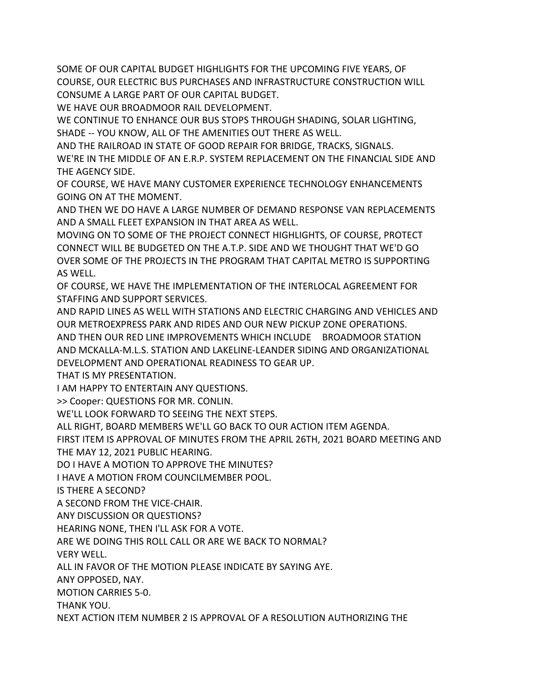SOME OF OUR CAPITAL BUDGET HIGHLIGHTS FOR THE UPCOMING FIVE YEARS, OF COURSE, OUR ELECTRIC BUS PURCHASES AND INFRASTRUCTURE CONSTRUCTION WILL CONSUME A LARGE PART OF OUR CAPITAL BUDGET.

WE HAVE OUR BROADMOOR RAIL DEVELOPMENT.

WE CONTINUE TO ENHANCE OUR BUS STOPS THROUGH SHADING, SOLAR LIGHTING, SHADE -- YOU KNOW, ALL OF THE AMENITIES OUT THERE AS WELL.

AND THE RAILROAD IN STATE OF GOOD REPAIR FOR BRIDGE, TRACKS, SIGNALS.

WE'RE IN THE MIDDLE OF AN E.R.P. SYSTEM REPLACEMENT ON THE FINANCIAL SIDE AND THE AGENCY SIDE.

OF COURSE, WE HAVE MANY CUSTOMER EXPERIENCE TECHNOLOGY ENHANCEMENTS GOING ON AT THE MOMENT.

AND THEN WE DO HAVE A LARGE NUMBER OF DEMAND RESPONSE VAN REPLACEMENTS AND A SMALL FLEET EXPANSION IN THAT AREA AS WELL.

MOVING ON TO SOME OF THE PROJECT CONNECT HIGHLIGHTS, OF COURSE, PROTECT CONNECT WILL BE BUDGETED ON THE A.T.P. SIDE AND WE THOUGHT THAT WE'D GO OVER SOME OF THE PROJECTS IN THE PROGRAM THAT CAPITAL METRO IS SUPPORTING AS WELL.

OF COURSE, WE HAVE THE IMPLEMENTATION OF THE INTERLOCAL AGREEMENT FOR STAFFING AND SUPPORT SERVICES.

AND RAPID LINES AS WELL WITH STATIONS AND ELECTRIC CHARGING AND VEHICLES AND OUR METROEXPRESS PARK AND RIDES AND OUR NEW PICKUP ZONE OPERATIONS. AND THEN OUR RED LINE IMPROVEMENTS WHICH INCLUDE BROADMOOR STATION AND MCKALLA-M.L.S. STATION AND LAKELINE-LEANDER SIDING AND ORGANIZATIONAL DEVELOPMENT AND OPERATIONAL READINESS TO GEAR UP.

THAT IS MY PRESENTATION.

I AM HAPPY TO ENTERTAIN ANY QUESTIONS.

>> Cooper: QUESTIONS FOR MR. CONLIN.

WE'LL LOOK FORWARD TO SEEING THE NEXT STEPS.

ALL RIGHT, BOARD MEMBERS WE'LL GO BACK TO OUR ACTION ITEM AGENDA.

FIRST ITEM IS APPROVAL OF MINUTES FROM THE APRIL 26TH, 2021 BOARD MEETING AND THE MAY 12, 2021 PUBLIC HEARING.

DO I HAVE A MOTION TO APPROVE THE MINUTES?

I HAVE A MOTION FROM COUNCILMEMBER POOL.

IS THERE A SECOND?

A SECOND FROM THE VICE-CHAIR.

ANY DISCUSSION OR QUESTIONS?

HEARING NONE, THEN I'LL ASK FOR A VOTE.

ARE WE DOING THIS ROLL CALL OR ARE WE BACK TO NORMAL?

VERY WELL.

ALL IN FAVOR OF THE MOTION PLEASE INDICATE BY SAYING AYE.

ANY OPPOSED, NAY.

MOTION CARRIES 5-0.

THANK YOU.

NEXT ACTION ITEM NUMBER 2 IS APPROVAL OF A RESOLUTION AUTHORIZING THE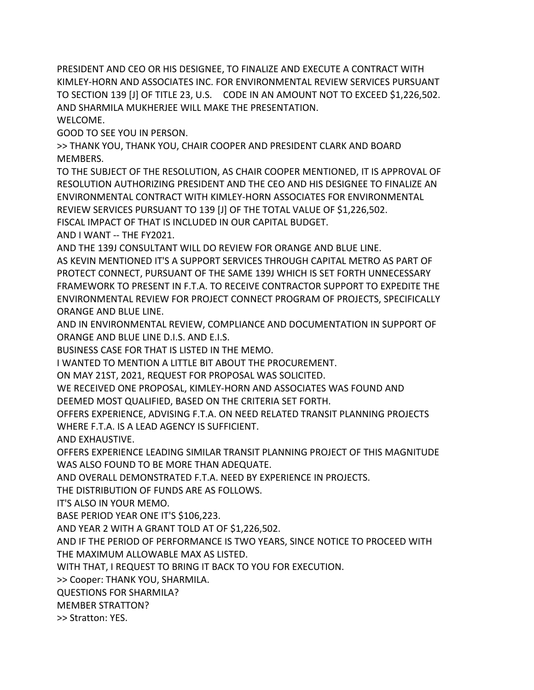PRESIDENT AND CEO OR HIS DESIGNEE, TO FINALIZE AND EXECUTE A CONTRACT WITH KIMLEY-HORN AND ASSOCIATES INC. FOR ENVIRONMENTAL REVIEW SERVICES PURSUANT TO SECTION 139 [J] OF TITLE 23, U.S. CODE IN AN AMOUNT NOT TO EXCEED \$1,226,502. AND SHARMILA MUKHERJEE WILL MAKE THE PRESENTATION. WELCOME.

GOOD TO SEE YOU IN PERSON.

>> THANK YOU, THANK YOU, CHAIR COOPER AND PRESIDENT CLARK AND BOARD MEMBERS.

TO THE SUBJECT OF THE RESOLUTION, AS CHAIR COOPER MENTIONED, IT IS APPROVAL OF RESOLUTION AUTHORIZING PRESIDENT AND THE CEO AND HIS DESIGNEE TO FINALIZE AN ENVIRONMENTAL CONTRACT WITH KIMLEY-HORN ASSOCIATES FOR ENVIRONMENTAL REVIEW SERVICES PURSUANT TO 139 [J] OF THE TOTAL VALUE OF \$1,226,502.

FISCAL IMPACT OF THAT IS INCLUDED IN OUR CAPITAL BUDGET.

AND I WANT -- THE FY2021.

AND THE 139J CONSULTANT WILL DO REVIEW FOR ORANGE AND BLUE LINE.

AS KEVIN MENTIONED IT'S A SUPPORT SERVICES THROUGH CAPITAL METRO AS PART OF PROTECT CONNECT, PURSUANT OF THE SAME 139J WHICH IS SET FORTH UNNECESSARY FRAMEWORK TO PRESENT IN F.T.A. TO RECEIVE CONTRACTOR SUPPORT TO EXPEDITE THE ENVIRONMENTAL REVIEW FOR PROJECT CONNECT PROGRAM OF PROJECTS, SPECIFICALLY ORANGE AND BLUE LINE.

AND IN ENVIRONMENTAL REVIEW, COMPLIANCE AND DOCUMENTATION IN SUPPORT OF ORANGE AND BLUE LINE D.I.S. AND E.I.S.

BUSINESS CASE FOR THAT IS LISTED IN THE MEMO.

I WANTED TO MENTION A LITTLE BIT ABOUT THE PROCUREMENT.

ON MAY 21ST, 2021, REQUEST FOR PROPOSAL WAS SOLICITED.

WE RECEIVED ONE PROPOSAL, KIMLEY-HORN AND ASSOCIATES WAS FOUND AND DEEMED MOST QUALIFIED, BASED ON THE CRITERIA SET FORTH.

OFFERS EXPERIENCE, ADVISING F.T.A. ON NEED RELATED TRANSIT PLANNING PROJECTS WHERE F.T.A. IS A LEAD AGENCY IS SUFFICIENT.

AND EXHAUSTIVE.

OFFERS EXPERIENCE LEADING SIMILAR TRANSIT PLANNING PROJECT OF THIS MAGNITUDE WAS ALSO FOUND TO BE MORE THAN ADEQUATE.

AND OVERALL DEMONSTRATED F.T.A. NEED BY EXPERIENCE IN PROJECTS.

THE DISTRIBUTION OF FUNDS ARE AS FOLLOWS.

IT'S ALSO IN YOUR MEMO.

BASE PERIOD YEAR ONE IT'S \$106,223.

AND YEAR 2 WITH A GRANT TOLD AT OF \$1,226,502.

AND IF THE PERIOD OF PERFORMANCE IS TWO YEARS, SINCE NOTICE TO PROCEED WITH THE MAXIMUM ALLOWABLE MAX AS LISTED.

WITH THAT, I REQUEST TO BRING IT BACK TO YOU FOR EXECUTION.

>> Cooper: THANK YOU, SHARMILA.

QUESTIONS FOR SHARMILA?

MEMBER STRATTON?

>> Stratton: YES.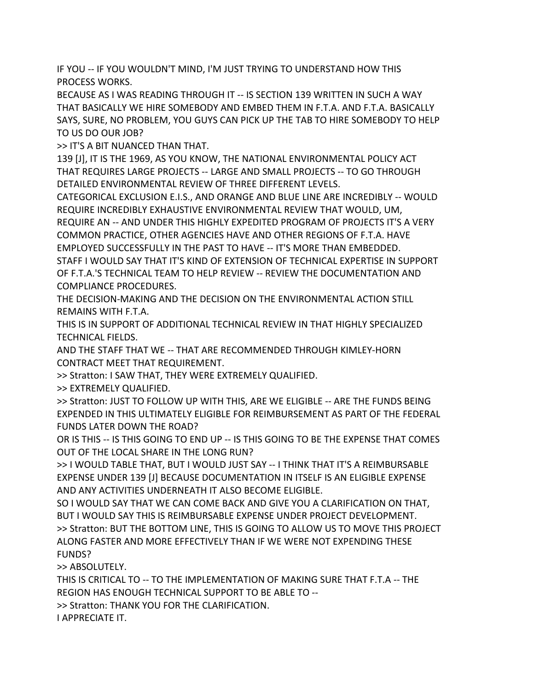IF YOU -- IF YOU WOULDN'T MIND, I'M JUST TRYING TO UNDERSTAND HOW THIS PROCESS WORKS.

BECAUSE AS I WAS READING THROUGH IT -- IS SECTION 139 WRITTEN IN SUCH A WAY THAT BASICALLY WE HIRE SOMEBODY AND EMBED THEM IN F.T.A. AND F.T.A. BASICALLY SAYS, SURE, NO PROBLEM, YOU GUYS CAN PICK UP THE TAB TO HIRE SOMEBODY TO HELP TO US DO OUR JOB?

>> IT'S A BIT NUANCED THAN THAT.

139 [J], IT IS THE 1969, AS YOU KNOW, THE NATIONAL ENVIRONMENTAL POLICY ACT THAT REQUIRES LARGE PROJECTS -- LARGE AND SMALL PROJECTS -- TO GO THROUGH DETAILED ENVIRONMENTAL REVIEW OF THREE DIFFERENT LEVELS.

CATEGORICAL EXCLUSION E.I.S., AND ORANGE AND BLUE LINE ARE INCREDIBLY -- WOULD REQUIRE INCREDIBLY EXHAUSTIVE ENVIRONMENTAL REVIEW THAT WOULD, UM, REQUIRE AN -- AND UNDER THIS HIGHLY EXPEDITED PROGRAM OF PROJECTS IT'S A VERY

COMMON PRACTICE, OTHER AGENCIES HAVE AND OTHER REGIONS OF F.T.A. HAVE EMPLOYED SUCCESSFULLY IN THE PAST TO HAVE -- IT'S MORE THAN EMBEDDED.

STAFF I WOULD SAY THAT IT'S KIND OF EXTENSION OF TECHNICAL EXPERTISE IN SUPPORT OF F.T.A.'S TECHNICAL TEAM TO HELP REVIEW -- REVIEW THE DOCUMENTATION AND COMPLIANCE PROCEDURES.

THE DECISION-MAKING AND THE DECISION ON THE ENVIRONMENTAL ACTION STILL REMAINS WITH F.T.A.

THIS IS IN SUPPORT OF ADDITIONAL TECHNICAL REVIEW IN THAT HIGHLY SPECIALIZED TECHNICAL FIELDS.

AND THE STAFF THAT WE -- THAT ARE RECOMMENDED THROUGH KIMLEY-HORN CONTRACT MEET THAT REQUIREMENT.

>> Stratton: I SAW THAT, THEY WERE EXTREMELY QUALIFIED.

>> EXTREMELY QUALIFIED.

>> Stratton: JUST TO FOLLOW UP WITH THIS, ARE WE ELIGIBLE -- ARE THE FUNDS BEING EXPENDED IN THIS ULTIMATELY ELIGIBLE FOR REIMBURSEMENT AS PART OF THE FEDERAL FUNDS LATER DOWN THE ROAD?

OR IS THIS -- IS THIS GOING TO END UP -- IS THIS GOING TO BE THE EXPENSE THAT COMES OUT OF THE LOCAL SHARE IN THE LONG RUN?

>> I WOULD TABLE THAT, BUT I WOULD JUST SAY -- I THINK THAT IT'S A REIMBURSABLE EXPENSE UNDER 139 [J] BECAUSE DOCUMENTATION IN ITSELF IS AN ELIGIBLE EXPENSE AND ANY ACTIVITIES UNDERNEATH IT ALSO BECOME ELIGIBLE.

SO I WOULD SAY THAT WE CAN COME BACK AND GIVE YOU A CLARIFICATION ON THAT, BUT I WOULD SAY THIS IS REIMBURSABLE EXPENSE UNDER PROJECT DEVELOPMENT. >> Stratton: BUT THE BOTTOM LINE, THIS IS GOING TO ALLOW US TO MOVE THIS PROJECT ALONG FASTER AND MORE EFFECTIVELY THAN IF WE WERE NOT EXPENDING THESE FUNDS?

>> ABSOLUTELY.

THIS IS CRITICAL TO -- TO THE IMPLEMENTATION OF MAKING SURE THAT F.T.A -- THE REGION HAS ENOUGH TECHNICAL SUPPORT TO BE ABLE TO --

>> Stratton: THANK YOU FOR THE CLARIFICATION.

I APPRECIATE IT.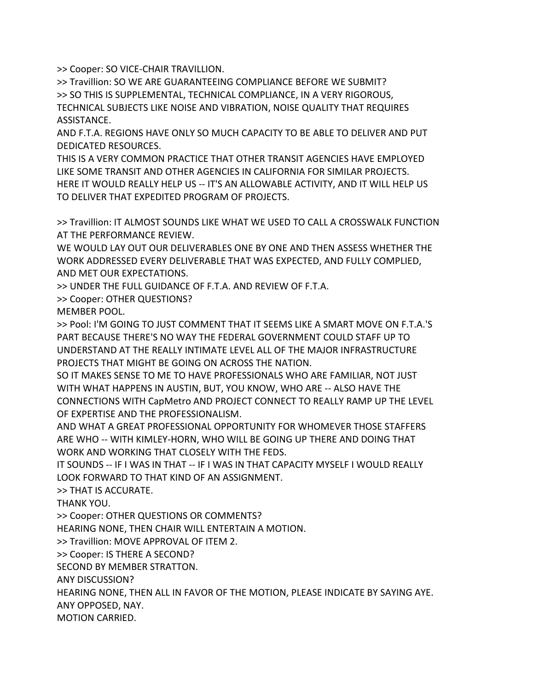>> Cooper: SO VICE-CHAIR TRAVILLION.

>> Travillion: SO WE ARE GUARANTEEING COMPLIANCE BEFORE WE SUBMIT? >> SO THIS IS SUPPLEMENTAL, TECHNICAL COMPLIANCE, IN A VERY RIGOROUS, TECHNICAL SUBJECTS LIKE NOISE AND VIBRATION, NOISE QUALITY THAT REQUIRES ASSISTANCE.

AND F.T.A. REGIONS HAVE ONLY SO MUCH CAPACITY TO BE ABLE TO DELIVER AND PUT DEDICATED RESOURCES.

THIS IS A VERY COMMON PRACTICE THAT OTHER TRANSIT AGENCIES HAVE EMPLOYED LIKE SOME TRANSIT AND OTHER AGENCIES IN CALIFORNIA FOR SIMILAR PROJECTS. HERE IT WOULD REALLY HELP US -- IT'S AN ALLOWABLE ACTIVITY, AND IT WILL HELP US TO DELIVER THAT EXPEDITED PROGRAM OF PROJECTS.

>> Travillion: IT ALMOST SOUNDS LIKE WHAT WE USED TO CALL A CROSSWALK FUNCTION AT THE PERFORMANCE REVIEW.

WE WOULD LAY OUT OUR DELIVERABLES ONE BY ONE AND THEN ASSESS WHETHER THE WORK ADDRESSED EVERY DELIVERABLE THAT WAS EXPECTED, AND FULLY COMPLIED, AND MET OUR EXPECTATIONS.

>> UNDER THE FULL GUIDANCE OF F.T.A. AND REVIEW OF F.T.A.

>> Cooper: OTHER QUESTIONS?

MEMBER POOL.

>> Pool: I'M GOING TO JUST COMMENT THAT IT SEEMS LIKE A SMART MOVE ON F.T.A.'S PART BECAUSE THERE'S NO WAY THE FEDERAL GOVERNMENT COULD STAFF UP TO UNDERSTAND AT THE REALLY INTIMATE LEVEL ALL OF THE MAJOR INFRASTRUCTURE PROJECTS THAT MIGHT BE GOING ON ACROSS THE NATION.

SO IT MAKES SENSE TO ME TO HAVE PROFESSIONALS WHO ARE FAMILIAR, NOT JUST WITH WHAT HAPPENS IN AUSTIN, BUT, YOU KNOW, WHO ARE -- ALSO HAVE THE CONNECTIONS WITH CapMetro AND PROJECT CONNECT TO REALLY RAMP UP THE LEVEL OF EXPERTISE AND THE PROFESSIONALISM.

AND WHAT A GREAT PROFESSIONAL OPPORTUNITY FOR WHOMEVER THOSE STAFFERS ARE WHO -- WITH KIMLEY-HORN, WHO WILL BE GOING UP THERE AND DOING THAT WORK AND WORKING THAT CLOSELY WITH THE FEDS.

IT SOUNDS -- IF I WAS IN THAT -- IF I WAS IN THAT CAPACITY MYSELF I WOULD REALLY LOOK FORWARD TO THAT KIND OF AN ASSIGNMENT.

>> THAT IS ACCURATE.

THANK YOU.

>> Cooper: OTHER QUESTIONS OR COMMENTS?

HEARING NONE, THEN CHAIR WILL ENTERTAIN A MOTION.

>> Travillion: MOVE APPROVAL OF ITEM 2.

>> Cooper: IS THERE A SECOND?

SECOND BY MEMBER STRATTON.

ANY DISCUSSION?

HEARING NONE, THEN ALL IN FAVOR OF THE MOTION, PLEASE INDICATE BY SAYING AYE.

ANY OPPOSED, NAY.

MOTION CARRIED.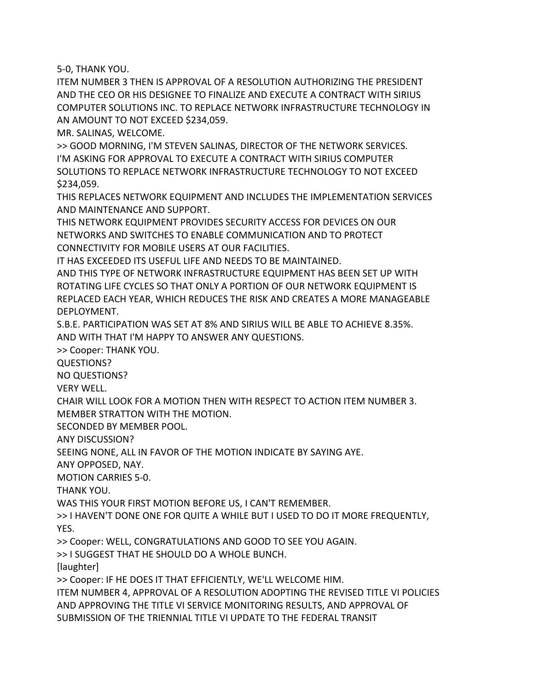5-0, THANK YOU.

ITEM NUMBER 3 THEN IS APPROVAL OF A RESOLUTION AUTHORIZING THE PRESIDENT AND THE CEO OR HIS DESIGNEE TO FINALIZE AND EXECUTE A CONTRACT WITH SIRIUS COMPUTER SOLUTIONS INC. TO REPLACE NETWORK INFRASTRUCTURE TECHNOLOGY IN AN AMOUNT TO NOT EXCEED \$234,059.

MR. SALINAS, WELCOME.

>> GOOD MORNING, I'M STEVEN SALINAS, DIRECTOR OF THE NETWORK SERVICES. I'M ASKING FOR APPROVAL TO EXECUTE A CONTRACT WITH SIRIUS COMPUTER SOLUTIONS TO REPLACE NETWORK INFRASTRUCTURE TECHNOLOGY TO NOT EXCEED \$234,059.

THIS REPLACES NETWORK EQUIPMENT AND INCLUDES THE IMPLEMENTATION SERVICES AND MAINTENANCE AND SUPPORT.

THIS NETWORK EQUIPMENT PROVIDES SECURITY ACCESS FOR DEVICES ON OUR NETWORKS AND SWITCHES TO ENABLE COMMUNICATION AND TO PROTECT CONNECTIVITY FOR MOBILE USERS AT OUR FACILITIES.

IT HAS EXCEEDED ITS USEFUL LIFE AND NEEDS TO BE MAINTAINED.

AND THIS TYPE OF NETWORK INFRASTRUCTURE EQUIPMENT HAS BEEN SET UP WITH ROTATING LIFE CYCLES SO THAT ONLY A PORTION OF OUR NETWORK EQUIPMENT IS REPLACED EACH YEAR, WHICH REDUCES THE RISK AND CREATES A MORE MANAGEABLE DEPLOYMENT.

S.B.E. PARTICIPATION WAS SET AT 8% AND SIRIUS WILL BE ABLE TO ACHIEVE 8.35%. AND WITH THAT I'M HAPPY TO ANSWER ANY QUESTIONS.

>> Cooper: THANK YOU.

QUESTIONS?

NO QUESTIONS?

VERY WELL.

CHAIR WILL LOOK FOR A MOTION THEN WITH RESPECT TO ACTION ITEM NUMBER 3. MEMBER STRATTON WITH THE MOTION.

SECONDED BY MEMBER POOL.

ANY DISCUSSION?

SEEING NONE, ALL IN FAVOR OF THE MOTION INDICATE BY SAYING AYE.

ANY OPPOSED, NAY.

MOTION CARRIES 5-0.

THANK YOU.

WAS THIS YOUR FIRST MOTION BEFORE US, I CAN'T REMEMBER.

>> I HAVEN'T DONE ONE FOR QUITE A WHILE BUT I USED TO DO IT MORE FREQUENTLY, YES.

>> Cooper: WELL, CONGRATULATIONS AND GOOD TO SEE YOU AGAIN.

>> I SUGGEST THAT HE SHOULD DO A WHOLE BUNCH.

[laughter]

>> Cooper: IF HE DOES IT THAT EFFICIENTLY, WE'LL WELCOME HIM.

ITEM NUMBER 4, APPROVAL OF A RESOLUTION ADOPTING THE REVISED TITLE VI POLICIES AND APPROVING THE TITLE VI SERVICE MONITORING RESULTS, AND APPROVAL OF SUBMISSION OF THE TRIENNIAL TITLE VI UPDATE TO THE FEDERAL TRANSIT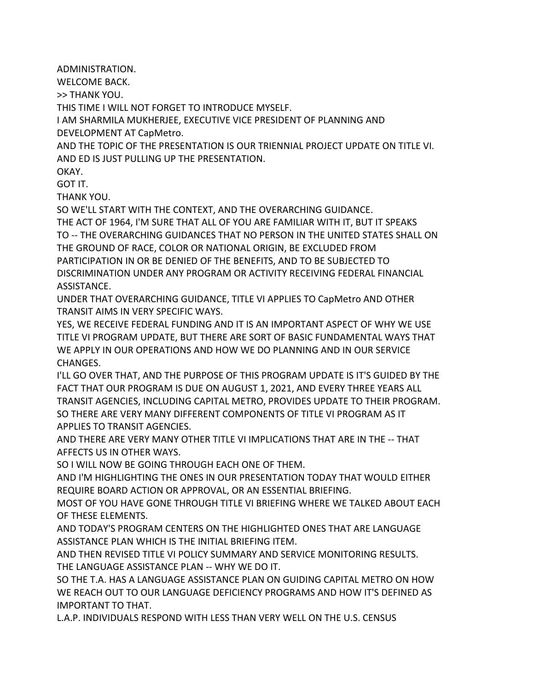ADMINISTRATION.

WELCOME BACK.

>> THANK YOU.

THIS TIME I WILL NOT FORGET TO INTRODUCE MYSELF.

I AM SHARMILA MUKHERJEE, EXECUTIVE VICE PRESIDENT OF PLANNING AND DEVELOPMENT AT CapMetro.

AND THE TOPIC OF THE PRESENTATION IS OUR TRIENNIAL PROJECT UPDATE ON TITLE VI. AND ED IS JUST PULLING UP THE PRESENTATION.

OKAY.

GOT IT.

THANK YOU.

SO WE'LL START WITH THE CONTEXT, AND THE OVERARCHING GUIDANCE. THE ACT OF 1964, I'M SURE THAT ALL OF YOU ARE FAMILIAR WITH IT, BUT IT SPEAKS TO -- THE OVERARCHING GUIDANCES THAT NO PERSON IN THE UNITED STATES SHALL ON THE GROUND OF RACE, COLOR OR NATIONAL ORIGIN, BE EXCLUDED FROM PARTICIPATION IN OR BE DENIED OF THE BENEFITS, AND TO BE SUBJECTED TO DISCRIMINATION UNDER ANY PROGRAM OR ACTIVITY RECEIVING FEDERAL FINANCIAL ASSISTANCE.

UNDER THAT OVERARCHING GUIDANCE, TITLE VI APPLIES TO CapMetro AND OTHER TRANSIT AIMS IN VERY SPECIFIC WAYS.

YES, WE RECEIVE FEDERAL FUNDING AND IT IS AN IMPORTANT ASPECT OF WHY WE USE TITLE VI PROGRAM UPDATE, BUT THERE ARE SORT OF BASIC FUNDAMENTAL WAYS THAT WE APPLY IN OUR OPERATIONS AND HOW WE DO PLANNING AND IN OUR SERVICE CHANGES.

I'LL GO OVER THAT, AND THE PURPOSE OF THIS PROGRAM UPDATE IS IT'S GUIDED BY THE FACT THAT OUR PROGRAM IS DUE ON AUGUST 1, 2021, AND EVERY THREE YEARS ALL TRANSIT AGENCIES, INCLUDING CAPITAL METRO, PROVIDES UPDATE TO THEIR PROGRAM. SO THERE ARE VERY MANY DIFFERENT COMPONENTS OF TITLE VI PROGRAM AS IT APPLIES TO TRANSIT AGENCIES.

AND THERE ARE VERY MANY OTHER TITLE VI IMPLICATIONS THAT ARE IN THE -- THAT AFFECTS US IN OTHER WAYS.

SO I WILL NOW BE GOING THROUGH EACH ONE OF THEM.

AND I'M HIGHLIGHTING THE ONES IN OUR PRESENTATION TODAY THAT WOULD EITHER REQUIRE BOARD ACTION OR APPROVAL, OR AN ESSENTIAL BRIEFING.

MOST OF YOU HAVE GONE THROUGH TITLE VI BRIEFING WHERE WE TALKED ABOUT EACH OF THESE ELEMENTS.

AND TODAY'S PROGRAM CENTERS ON THE HIGHLIGHTED ONES THAT ARE LANGUAGE ASSISTANCE PLAN WHICH IS THE INITIAL BRIEFING ITEM.

AND THEN REVISED TITLE VI POLICY SUMMARY AND SERVICE MONITORING RESULTS. THE LANGUAGE ASSISTANCE PLAN -- WHY WE DO IT.

SO THE T.A. HAS A LANGUAGE ASSISTANCE PLAN ON GUIDING CAPITAL METRO ON HOW WE REACH OUT TO OUR LANGUAGE DEFICIENCY PROGRAMS AND HOW IT'S DEFINED AS IMPORTANT TO THAT.

L.A.P. INDIVIDUALS RESPOND WITH LESS THAN VERY WELL ON THE U.S. CENSUS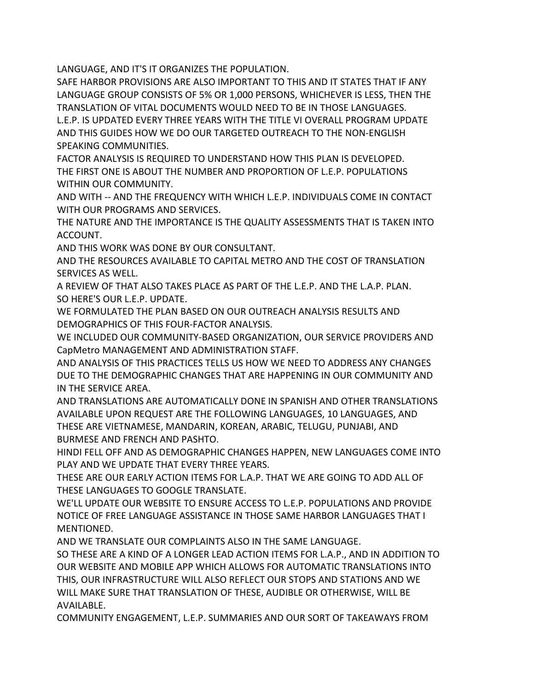LANGUAGE, AND IT'S IT ORGANIZES THE POPULATION.

SAFE HARBOR PROVISIONS ARE ALSO IMPORTANT TO THIS AND IT STATES THAT IF ANY LANGUAGE GROUP CONSISTS OF 5% OR 1,000 PERSONS, WHICHEVER IS LESS, THEN THE TRANSLATION OF VITAL DOCUMENTS WOULD NEED TO BE IN THOSE LANGUAGES. L.E.P. IS UPDATED EVERY THREE YEARS WITH THE TITLE VI OVERALL PROGRAM UPDATE AND THIS GUIDES HOW WE DO OUR TARGETED OUTREACH TO THE NON-ENGLISH SPEAKING COMMUNITIES.

FACTOR ANALYSIS IS REQUIRED TO UNDERSTAND HOW THIS PLAN IS DEVELOPED. THE FIRST ONE IS ABOUT THE NUMBER AND PROPORTION OF L.E.P. POPULATIONS WITHIN OUR COMMUNITY.

AND WITH -- AND THE FREQUENCY WITH WHICH L.E.P. INDIVIDUALS COME IN CONTACT WITH OUR PROGRAMS AND SERVICES.

THE NATURE AND THE IMPORTANCE IS THE QUALITY ASSESSMENTS THAT IS TAKEN INTO ACCOUNT.

AND THIS WORK WAS DONE BY OUR CONSULTANT.

AND THE RESOURCES AVAILABLE TO CAPITAL METRO AND THE COST OF TRANSLATION SERVICES AS WELL.

A REVIEW OF THAT ALSO TAKES PLACE AS PART OF THE L.E.P. AND THE L.A.P. PLAN. SO HERE'S OUR L.E.P. UPDATE.

WE FORMULATED THE PLAN BASED ON OUR OUTREACH ANALYSIS RESULTS AND DEMOGRAPHICS OF THIS FOUR-FACTOR ANALYSIS.

WE INCLUDED OUR COMMUNITY-BASED ORGANIZATION, OUR SERVICE PROVIDERS AND CapMetro MANAGEMENT AND ADMINISTRATION STAFF.

AND ANALYSIS OF THIS PRACTICES TELLS US HOW WE NEED TO ADDRESS ANY CHANGES DUE TO THE DEMOGRAPHIC CHANGES THAT ARE HAPPENING IN OUR COMMUNITY AND IN THE SERVICE AREA.

AND TRANSLATIONS ARE AUTOMATICALLY DONE IN SPANISH AND OTHER TRANSLATIONS AVAILABLE UPON REQUEST ARE THE FOLLOWING LANGUAGES, 10 LANGUAGES, AND THESE ARE VIETNAMESE, MANDARIN, KOREAN, ARABIC, TELUGU, PUNJABI, AND BURMESE AND FRENCH AND PASHTO.

HINDI FELL OFF AND AS DEMOGRAPHIC CHANGES HAPPEN, NEW LANGUAGES COME INTO PLAY AND WE UPDATE THAT EVERY THREE YEARS.

THESE ARE OUR EARLY ACTION ITEMS FOR L.A.P. THAT WE ARE GOING TO ADD ALL OF THESE LANGUAGES TO GOOGLE TRANSLATE.

WE'LL UPDATE OUR WEBSITE TO ENSURE ACCESS TO L.E.P. POPULATIONS AND PROVIDE NOTICE OF FREE LANGUAGE ASSISTANCE IN THOSE SAME HARBOR LANGUAGES THAT I MENTIONED.

AND WE TRANSLATE OUR COMPLAINTS ALSO IN THE SAME LANGUAGE.

SO THESE ARE A KIND OF A LONGER LEAD ACTION ITEMS FOR L.A.P., AND IN ADDITION TO OUR WEBSITE AND MOBILE APP WHICH ALLOWS FOR AUTOMATIC TRANSLATIONS INTO THIS, OUR INFRASTRUCTURE WILL ALSO REFLECT OUR STOPS AND STATIONS AND WE WILL MAKE SURE THAT TRANSLATION OF THESE, AUDIBLE OR OTHERWISE, WILL BE AVAILABLE.

COMMUNITY ENGAGEMENT, L.E.P. SUMMARIES AND OUR SORT OF TAKEAWAYS FROM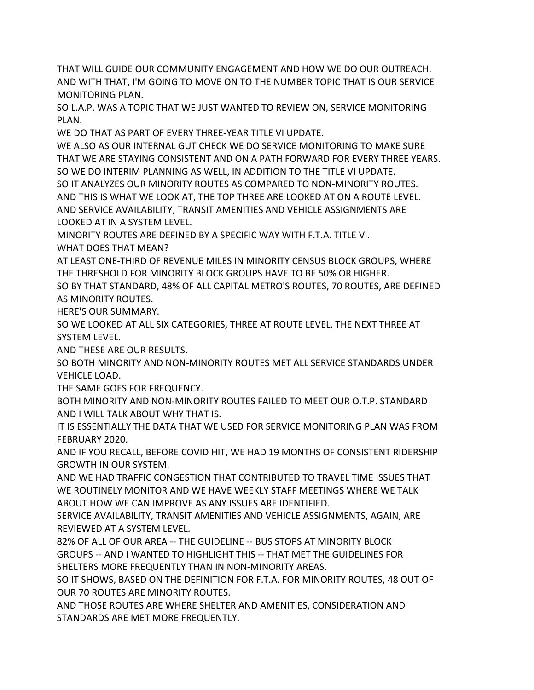THAT WILL GUIDE OUR COMMUNITY ENGAGEMENT AND HOW WE DO OUR OUTREACH. AND WITH THAT, I'M GOING TO MOVE ON TO THE NUMBER TOPIC THAT IS OUR SERVICE MONITORING PLAN.

SO L.A.P. WAS A TOPIC THAT WE JUST WANTED TO REVIEW ON, SERVICE MONITORING PLAN.

WE DO THAT AS PART OF EVERY THREE-YEAR TITLE VI UPDATE.

WE ALSO AS OUR INTERNAL GUT CHECK WE DO SERVICE MONITORING TO MAKE SURE THAT WE ARE STAYING CONSISTENT AND ON A PATH FORWARD FOR EVERY THREE YEARS. SO WE DO INTERIM PLANNING AS WELL, IN ADDITION TO THE TITLE VI UPDATE.

SO IT ANALYZES OUR MINORITY ROUTES AS COMPARED TO NON-MINORITY ROUTES. AND THIS IS WHAT WE LOOK AT, THE TOP THREE ARE LOOKED AT ON A ROUTE LEVEL. AND SERVICE AVAILABILITY, TRANSIT AMENITIES AND VEHICLE ASSIGNMENTS ARE LOOKED AT IN A SYSTEM LEVEL.

MINORITY ROUTES ARE DEFINED BY A SPECIFIC WAY WITH F.T.A. TITLE VI.

WHAT DOES THAT MEAN?

AT LEAST ONE-THIRD OF REVENUE MILES IN MINORITY CENSUS BLOCK GROUPS, WHERE THE THRESHOLD FOR MINORITY BLOCK GROUPS HAVE TO BE 50% OR HIGHER.

SO BY THAT STANDARD, 48% OF ALL CAPITAL METRO'S ROUTES, 70 ROUTES, ARE DEFINED AS MINORITY ROUTES.

HERE'S OUR SUMMARY.

SO WE LOOKED AT ALL SIX CATEGORIES, THREE AT ROUTE LEVEL, THE NEXT THREE AT SYSTEM LEVEL.

AND THESE ARE OUR RESULTS.

SO BOTH MINORITY AND NON-MINORITY ROUTES MET ALL SERVICE STANDARDS UNDER VEHICLE LOAD.

THE SAME GOES FOR FREQUENCY.

BOTH MINORITY AND NON-MINORITY ROUTES FAILED TO MEET OUR O.T.P. STANDARD AND I WILL TALK ABOUT WHY THAT IS.

IT IS ESSENTIALLY THE DATA THAT WE USED FOR SERVICE MONITORING PLAN WAS FROM FEBRUARY 2020.

AND IF YOU RECALL, BEFORE COVID HIT, WE HAD 19 MONTHS OF CONSISTENT RIDERSHIP GROWTH IN OUR SYSTEM.

AND WE HAD TRAFFIC CONGESTION THAT CONTRIBUTED TO TRAVEL TIME ISSUES THAT WE ROUTINELY MONITOR AND WE HAVE WEEKLY STAFF MEETINGS WHERE WE TALK ABOUT HOW WE CAN IMPROVE AS ANY ISSUES ARE IDENTIFIED.

SERVICE AVAILABILITY, TRANSIT AMENITIES AND VEHICLE ASSIGNMENTS, AGAIN, ARE REVIEWED AT A SYSTEM LEVEL.

82% OF ALL OF OUR AREA -- THE GUIDELINE -- BUS STOPS AT MINORITY BLOCK GROUPS -- AND I WANTED TO HIGHLIGHT THIS -- THAT MET THE GUIDELINES FOR SHELTERS MORE FREQUENTLY THAN IN NON-MINORITY AREAS.

SO IT SHOWS, BASED ON THE DEFINITION FOR F.T.A. FOR MINORITY ROUTES, 48 OUT OF OUR 70 ROUTES ARE MINORITY ROUTES.

AND THOSE ROUTES ARE WHERE SHELTER AND AMENITIES, CONSIDERATION AND STANDARDS ARE MET MORE FREQUENTLY.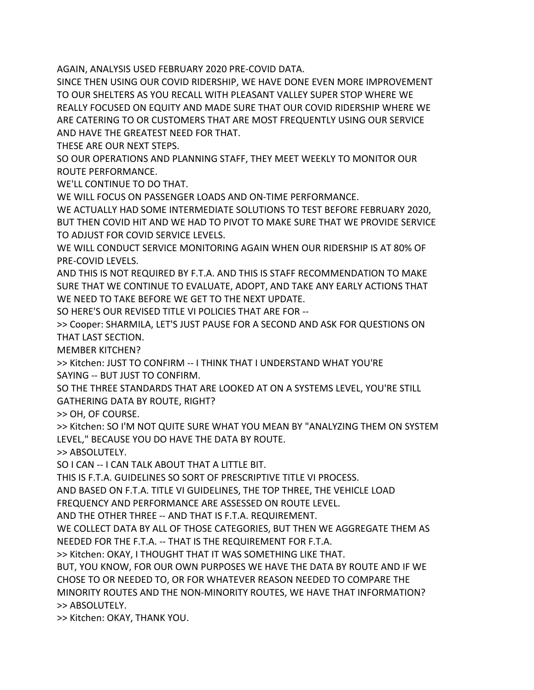AGAIN, ANALYSIS USED FEBRUARY 2020 PRE-COVID DATA.

SINCE THEN USING OUR COVID RIDERSHIP, WE HAVE DONE EVEN MORE IMPROVEMENT TO OUR SHELTERS AS YOU RECALL WITH PLEASANT VALLEY SUPER STOP WHERE WE REALLY FOCUSED ON EQUITY AND MADE SURE THAT OUR COVID RIDERSHIP WHERE WE ARE CATERING TO OR CUSTOMERS THAT ARE MOST FREQUENTLY USING OUR SERVICE AND HAVE THE GREATEST NEED FOR THAT.

THESE ARE OUR NEXT STEPS.

SO OUR OPERATIONS AND PLANNING STAFF, THEY MEET WEEKLY TO MONITOR OUR ROUTE PERFORMANCE.

WE'LL CONTINUE TO DO THAT.

WE WILL FOCUS ON PASSENGER LOADS AND ON-TIME PERFORMANCE.

WE ACTUALLY HAD SOME INTERMEDIATE SOLUTIONS TO TEST BEFORE FEBRUARY 2020, BUT THEN COVID HIT AND WE HAD TO PIVOT TO MAKE SURE THAT WE PROVIDE SERVICE TO ADJUST FOR COVID SERVICE LEVELS.

WE WILL CONDUCT SERVICE MONITORING AGAIN WHEN OUR RIDERSHIP IS AT 80% OF PRE-COVID LEVELS.

AND THIS IS NOT REQUIRED BY F.T.A. AND THIS IS STAFF RECOMMENDATION TO MAKE SURE THAT WE CONTINUE TO EVALUATE, ADOPT, AND TAKE ANY EARLY ACTIONS THAT WE NEED TO TAKE BEFORE WE GET TO THE NEXT UPDATE.

SO HERE'S OUR REVISED TITLE VI POLICIES THAT ARE FOR --

>> Cooper: SHARMILA, LET'S JUST PAUSE FOR A SECOND AND ASK FOR QUESTIONS ON THAT LAST SECTION.

MEMBER KITCHEN?

>> Kitchen: JUST TO CONFIRM -- I THINK THAT I UNDERSTAND WHAT YOU'RE SAYING -- BUT JUST TO CONFIRM.

SO THE THREE STANDARDS THAT ARE LOOKED AT ON A SYSTEMS LEVEL, YOU'RE STILL GATHERING DATA BY ROUTE, RIGHT?

>> OH, OF COURSE.

>> Kitchen: SO I'M NOT QUITE SURE WHAT YOU MEAN BY "ANALYZING THEM ON SYSTEM LEVEL," BECAUSE YOU DO HAVE THE DATA BY ROUTE.

>> ABSOLUTELY.

SO I CAN -- I CAN TALK ABOUT THAT A LITTLE BIT.

THIS IS F.T.A. GUIDELINES SO SORT OF PRESCRIPTIVE TITLE VI PROCESS.

AND BASED ON F.T.A. TITLE VI GUIDELINES, THE TOP THREE, THE VEHICLE LOAD

FREQUENCY AND PERFORMANCE ARE ASSESSED ON ROUTE LEVEL.

AND THE OTHER THREE -- AND THAT IS F.T.A. REQUIREMENT.

WE COLLECT DATA BY ALL OF THOSE CATEGORIES, BUT THEN WE AGGREGATE THEM AS NEEDED FOR THE F.T.A. -- THAT IS THE REQUIREMENT FOR F.T.A.

>> Kitchen: OKAY, I THOUGHT THAT IT WAS SOMETHING LIKE THAT.

BUT, YOU KNOW, FOR OUR OWN PURPOSES WE HAVE THE DATA BY ROUTE AND IF WE CHOSE TO OR NEEDED TO, OR FOR WHATEVER REASON NEEDED TO COMPARE THE MINORITY ROUTES AND THE NON-MINORITY ROUTES, WE HAVE THAT INFORMATION? >> ABSOLUTELY.

>> Kitchen: OKAY, THANK YOU.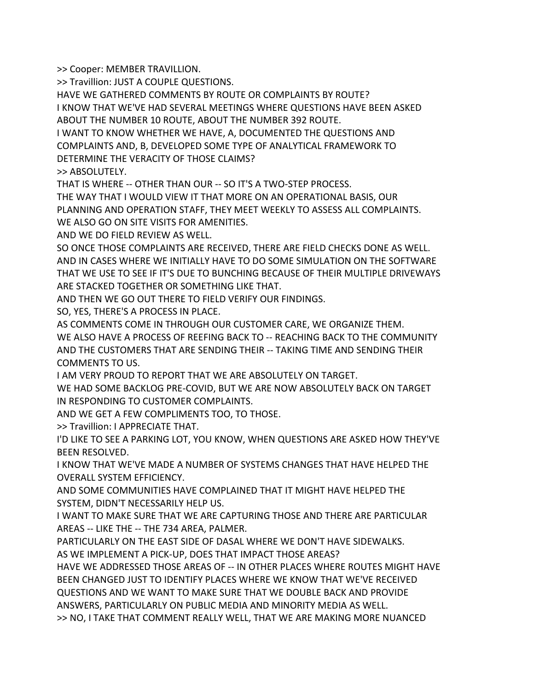>> Cooper: MEMBER TRAVILLION.

>> Travillion: JUST A COUPLE QUESTIONS.

HAVE WE GATHERED COMMENTS BY ROUTE OR COMPLAINTS BY ROUTE?

I KNOW THAT WE'VE HAD SEVERAL MEETINGS WHERE QUESTIONS HAVE BEEN ASKED

ABOUT THE NUMBER 10 ROUTE, ABOUT THE NUMBER 392 ROUTE.

I WANT TO KNOW WHETHER WE HAVE, A, DOCUMENTED THE QUESTIONS AND COMPLAINTS AND, B, DEVELOPED SOME TYPE OF ANALYTICAL FRAMEWORK TO DETERMINE THE VERACITY OF THOSE CLAIMS?

>> ABSOLUTELY.

THAT IS WHERE -- OTHER THAN OUR -- SO IT'S A TWO-STEP PROCESS.

THE WAY THAT I WOULD VIEW IT THAT MORE ON AN OPERATIONAL BASIS, OUR PLANNING AND OPERATION STAFF, THEY MEET WEEKLY TO ASSESS ALL COMPLAINTS. WE ALSO GO ON SITE VISITS FOR AMENITIES.

AND WE DO FIELD REVIEW AS WELL.

SO ONCE THOSE COMPLAINTS ARE RECEIVED, THERE ARE FIELD CHECKS DONE AS WELL. AND IN CASES WHERE WE INITIALLY HAVE TO DO SOME SIMULATION ON THE SOFTWARE THAT WE USE TO SEE IF IT'S DUE TO BUNCHING BECAUSE OF THEIR MULTIPLE DRIVEWAYS ARE STACKED TOGETHER OR SOMETHING LIKE THAT.

AND THEN WE GO OUT THERE TO FIELD VERIFY OUR FINDINGS.

SO, YES, THERE'S A PROCESS IN PLACE.

AS COMMENTS COME IN THROUGH OUR CUSTOMER CARE, WE ORGANIZE THEM. WE ALSO HAVE A PROCESS OF REEFING BACK TO -- REACHING BACK TO THE COMMUNITY AND THE CUSTOMERS THAT ARE SENDING THEIR -- TAKING TIME AND SENDING THEIR COMMENTS TO US.

I AM VERY PROUD TO REPORT THAT WE ARE ABSOLUTELY ON TARGET.

WE HAD SOME BACKLOG PRE-COVID, BUT WE ARE NOW ABSOLUTELY BACK ON TARGET IN RESPONDING TO CUSTOMER COMPLAINTS.

AND WE GET A FEW COMPLIMENTS TOO, TO THOSE.

>> Travillion: I APPRECIATE THAT.

I'D LIKE TO SEE A PARKING LOT, YOU KNOW, WHEN QUESTIONS ARE ASKED HOW THEY'VE BEEN RESOLVED.

I KNOW THAT WE'VE MADE A NUMBER OF SYSTEMS CHANGES THAT HAVE HELPED THE OVERALL SYSTEM EFFICIENCY.

AND SOME COMMUNITIES HAVE COMPLAINED THAT IT MIGHT HAVE HELPED THE SYSTEM, DIDN'T NECESSARILY HELP US.

I WANT TO MAKE SURE THAT WE ARE CAPTURING THOSE AND THERE ARE PARTICULAR AREAS -- LIKE THE -- THE 734 AREA, PALMER.

PARTICULARLY ON THE EAST SIDE OF DASAL WHERE WE DON'T HAVE SIDEWALKS. AS WE IMPLEMENT A PICK-UP, DOES THAT IMPACT THOSE AREAS?

HAVE WE ADDRESSED THOSE AREAS OF -- IN OTHER PLACES WHERE ROUTES MIGHT HAVE BEEN CHANGED JUST TO IDENTIFY PLACES WHERE WE KNOW THAT WE'VE RECEIVED QUESTIONS AND WE WANT TO MAKE SURE THAT WE DOUBLE BACK AND PROVIDE ANSWERS, PARTICULARLY ON PUBLIC MEDIA AND MINORITY MEDIA AS WELL. >> NO, I TAKE THAT COMMENT REALLY WELL, THAT WE ARE MAKING MORE NUANCED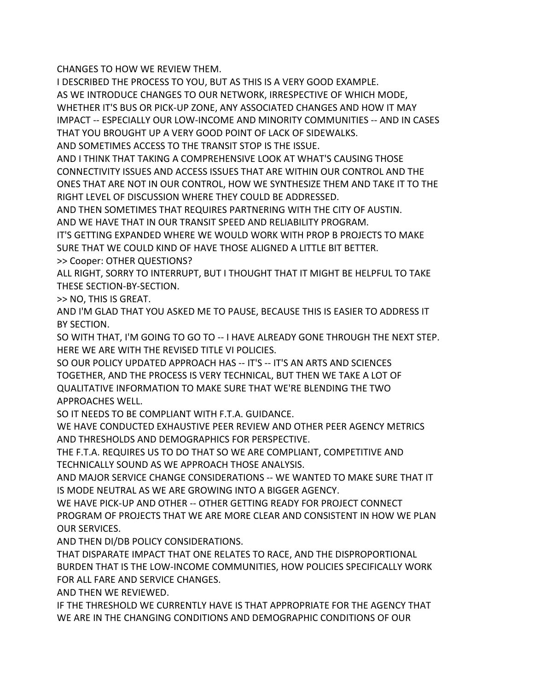CHANGES TO HOW WE REVIEW THEM.

I DESCRIBED THE PROCESS TO YOU, BUT AS THIS IS A VERY GOOD EXAMPLE. AS WE INTRODUCE CHANGES TO OUR NETWORK, IRRESPECTIVE OF WHICH MODE, WHETHER IT'S BUS OR PICK-UP ZONE, ANY ASSOCIATED CHANGES AND HOW IT MAY IMPACT -- ESPECIALLY OUR LOW-INCOME AND MINORITY COMMUNITIES -- AND IN CASES THAT YOU BROUGHT UP A VERY GOOD POINT OF LACK OF SIDEWALKS.

AND SOMETIMES ACCESS TO THE TRANSIT STOP IS THE ISSUE.

AND I THINK THAT TAKING A COMPREHENSIVE LOOK AT WHAT'S CAUSING THOSE CONNECTIVITY ISSUES AND ACCESS ISSUES THAT ARE WITHIN OUR CONTROL AND THE ONES THAT ARE NOT IN OUR CONTROL, HOW WE SYNTHESIZE THEM AND TAKE IT TO THE RIGHT LEVEL OF DISCUSSION WHERE THEY COULD BE ADDRESSED.

AND THEN SOMETIMES THAT REQUIRES PARTNERING WITH THE CITY OF AUSTIN. AND WE HAVE THAT IN OUR TRANSIT SPEED AND RELIABILITY PROGRAM.

IT'S GETTING EXPANDED WHERE WE WOULD WORK WITH PROP B PROJECTS TO MAKE SURE THAT WE COULD KIND OF HAVE THOSE ALIGNED A LITTLE BIT BETTER. >> Cooper: OTHER QUESTIONS?

ALL RIGHT, SORRY TO INTERRUPT, BUT I THOUGHT THAT IT MIGHT BE HELPFUL TO TAKE THESE SECTION-BY-SECTION.

>> NO, THIS IS GREAT.

AND I'M GLAD THAT YOU ASKED ME TO PAUSE, BECAUSE THIS IS EASIER TO ADDRESS IT BY SECTION.

SO WITH THAT, I'M GOING TO GO TO -- I HAVE ALREADY GONE THROUGH THE NEXT STEP. HERE WE ARE WITH THE REVISED TITLE VI POLICIES.

SO OUR POLICY UPDATED APPROACH HAS -- IT'S -- IT'S AN ARTS AND SCIENCES TOGETHER, AND THE PROCESS IS VERY TECHNICAL, BUT THEN WE TAKE A LOT OF QUALITATIVE INFORMATION TO MAKE SURE THAT WE'RE BLENDING THE TWO APPROACHES WELL.

SO IT NEEDS TO BE COMPLIANT WITH F.T.A. GUIDANCE.

WE HAVE CONDUCTED EXHAUSTIVE PEER REVIEW AND OTHER PEER AGENCY METRICS AND THRESHOLDS AND DEMOGRAPHICS FOR PERSPECTIVE.

THE F.T.A. REQUIRES US TO DO THAT SO WE ARE COMPLIANT, COMPETITIVE AND TECHNICALLY SOUND AS WE APPROACH THOSE ANALYSIS.

AND MAJOR SERVICE CHANGE CONSIDERATIONS -- WE WANTED TO MAKE SURE THAT IT IS MODE NEUTRAL AS WE ARE GROWING INTO A BIGGER AGENCY.

WE HAVE PICK-UP AND OTHER -- OTHER GETTING READY FOR PROJECT CONNECT PROGRAM OF PROJECTS THAT WE ARE MORE CLEAR AND CONSISTENT IN HOW WE PLAN OUR SERVICES.

AND THEN DI/DB POLICY CONSIDERATIONS.

THAT DISPARATE IMPACT THAT ONE RELATES TO RACE, AND THE DISPROPORTIONAL BURDEN THAT IS THE LOW-INCOME COMMUNITIES, HOW POLICIES SPECIFICALLY WORK FOR ALL FARE AND SERVICE CHANGES.

AND THEN WE REVIEWED.

IF THE THRESHOLD WE CURRENTLY HAVE IS THAT APPROPRIATE FOR THE AGENCY THAT WE ARE IN THE CHANGING CONDITIONS AND DEMOGRAPHIC CONDITIONS OF OUR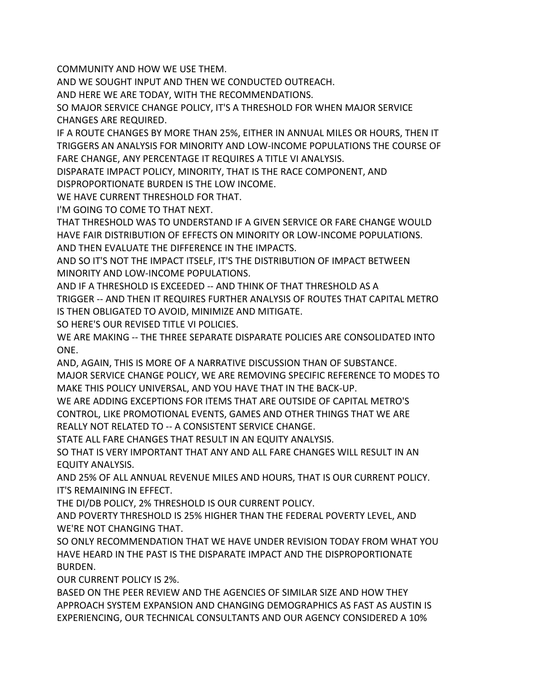COMMUNITY AND HOW WE USE THEM.

AND WE SOUGHT INPUT AND THEN WE CONDUCTED OUTREACH.

AND HERE WE ARE TODAY, WITH THE RECOMMENDATIONS.

SO MAJOR SERVICE CHANGE POLICY, IT'S A THRESHOLD FOR WHEN MAJOR SERVICE CHANGES ARE REQUIRED.

IF A ROUTE CHANGES BY MORE THAN 25%, EITHER IN ANNUAL MILES OR HOURS, THEN IT TRIGGERS AN ANALYSIS FOR MINORITY AND LOW-INCOME POPULATIONS THE COURSE OF FARE CHANGE, ANY PERCENTAGE IT REQUIRES A TITLE VI ANALYSIS.

DISPARATE IMPACT POLICY, MINORITY, THAT IS THE RACE COMPONENT, AND DISPROPORTIONATE BURDEN IS THE LOW INCOME.

WE HAVE CURRENT THRESHOLD FOR THAT.

I'M GOING TO COME TO THAT NEXT.

THAT THRESHOLD WAS TO UNDERSTAND IF A GIVEN SERVICE OR FARE CHANGE WOULD HAVE FAIR DISTRIBUTION OF EFFECTS ON MINORITY OR LOW-INCOME POPULATIONS. AND THEN EVALUATE THE DIFFERENCE IN THE IMPACTS.

AND SO IT'S NOT THE IMPACT ITSELF, IT'S THE DISTRIBUTION OF IMPACT BETWEEN MINORITY AND LOW-INCOME POPULATIONS.

AND IF A THRESHOLD IS EXCEEDED -- AND THINK OF THAT THRESHOLD AS A

TRIGGER -- AND THEN IT REQUIRES FURTHER ANALYSIS OF ROUTES THAT CAPITAL METRO IS THEN OBLIGATED TO AVOID, MINIMIZE AND MITIGATE.

SO HERE'S OUR REVISED TITLE VI POLICIES.

WE ARE MAKING -- THE THREE SEPARATE DISPARATE POLICIES ARE CONSOLIDATED INTO ONE.

AND, AGAIN, THIS IS MORE OF A NARRATIVE DISCUSSION THAN OF SUBSTANCE.

MAJOR SERVICE CHANGE POLICY, WE ARE REMOVING SPECIFIC REFERENCE TO MODES TO MAKE THIS POLICY UNIVERSAL, AND YOU HAVE THAT IN THE BACK-UP.

WE ARE ADDING EXCEPTIONS FOR ITEMS THAT ARE OUTSIDE OF CAPITAL METRO'S CONTROL, LIKE PROMOTIONAL EVENTS, GAMES AND OTHER THINGS THAT WE ARE REALLY NOT RELATED TO -- A CONSISTENT SERVICE CHANGE.

STATE ALL FARE CHANGES THAT RESULT IN AN EQUITY ANALYSIS.

SO THAT IS VERY IMPORTANT THAT ANY AND ALL FARE CHANGES WILL RESULT IN AN EQUITY ANALYSIS.

AND 25% OF ALL ANNUAL REVENUE MILES AND HOURS, THAT IS OUR CURRENT POLICY. IT'S REMAINING IN EFFECT.

THE DI/DB POLICY, 2% THRESHOLD IS OUR CURRENT POLICY.

AND POVERTY THRESHOLD IS 25% HIGHER THAN THE FEDERAL POVERTY LEVEL, AND WE'RE NOT CHANGING THAT.

SO ONLY RECOMMENDATION THAT WE HAVE UNDER REVISION TODAY FROM WHAT YOU HAVE HEARD IN THE PAST IS THE DISPARATE IMPACT AND THE DISPROPORTIONATE BURDEN.

OUR CURRENT POLICY IS 2%.

BASED ON THE PEER REVIEW AND THE AGENCIES OF SIMILAR SIZE AND HOW THEY APPROACH SYSTEM EXPANSION AND CHANGING DEMOGRAPHICS AS FAST AS AUSTIN IS EXPERIENCING, OUR TECHNICAL CONSULTANTS AND OUR AGENCY CONSIDERED A 10%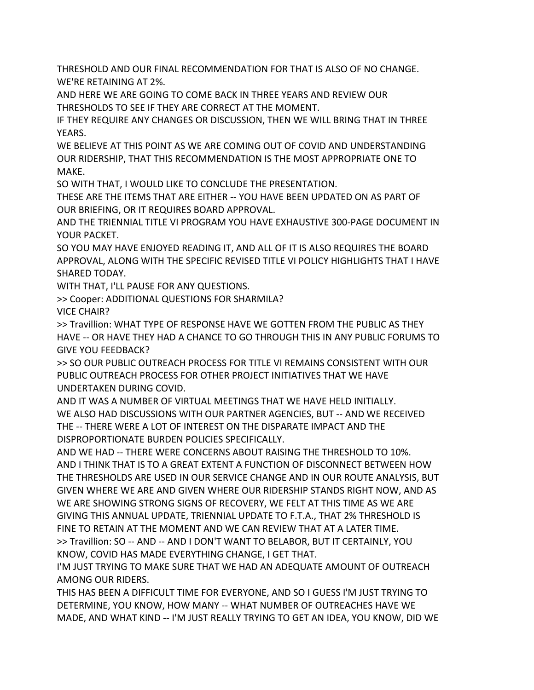THRESHOLD AND OUR FINAL RECOMMENDATION FOR THAT IS ALSO OF NO CHANGE. WE'RE RETAINING AT 2%.

AND HERE WE ARE GOING TO COME BACK IN THREE YEARS AND REVIEW OUR THRESHOLDS TO SEE IF THEY ARE CORRECT AT THE MOMENT.

IF THEY REQUIRE ANY CHANGES OR DISCUSSION, THEN WE WILL BRING THAT IN THREE YEARS.

WE BELIEVE AT THIS POINT AS WE ARE COMING OUT OF COVID AND UNDERSTANDING OUR RIDERSHIP, THAT THIS RECOMMENDATION IS THE MOST APPROPRIATE ONE TO MAKE.

SO WITH THAT, I WOULD LIKE TO CONCLUDE THE PRESENTATION.

THESE ARE THE ITEMS THAT ARE EITHER -- YOU HAVE BEEN UPDATED ON AS PART OF OUR BRIEFING, OR IT REQUIRES BOARD APPROVAL.

AND THE TRIENNIAL TITLE VI PROGRAM YOU HAVE EXHAUSTIVE 300-PAGE DOCUMENT IN YOUR PACKET.

SO YOU MAY HAVE ENJOYED READING IT, AND ALL OF IT IS ALSO REQUIRES THE BOARD APPROVAL, ALONG WITH THE SPECIFIC REVISED TITLE VI POLICY HIGHLIGHTS THAT I HAVE SHARED TODAY.

WITH THAT, I'LL PAUSE FOR ANY QUESTIONS.

>> Cooper: ADDITIONAL QUESTIONS FOR SHARMILA?

VICE CHAIR?

>> Travillion: WHAT TYPE OF RESPONSE HAVE WE GOTTEN FROM THE PUBLIC AS THEY HAVE -- OR HAVE THEY HAD A CHANCE TO GO THROUGH THIS IN ANY PUBLIC FORUMS TO GIVE YOU FEEDBACK?

>> SO OUR PUBLIC OUTREACH PROCESS FOR TITLE VI REMAINS CONSISTENT WITH OUR PUBLIC OUTREACH PROCESS FOR OTHER PROJECT INITIATIVES THAT WE HAVE UNDERTAKEN DURING COVID.

AND IT WAS A NUMBER OF VIRTUAL MEETINGS THAT WE HAVE HELD INITIALLY. WE ALSO HAD DISCUSSIONS WITH OUR PARTNER AGENCIES, BUT -- AND WE RECEIVED THE -- THERE WERE A LOT OF INTEREST ON THE DISPARATE IMPACT AND THE DISPROPORTIONATE BURDEN POLICIES SPECIFICALLY.

AND WE HAD -- THERE WERE CONCERNS ABOUT RAISING THE THRESHOLD TO 10%. AND I THINK THAT IS TO A GREAT EXTENT A FUNCTION OF DISCONNECT BETWEEN HOW THE THRESHOLDS ARE USED IN OUR SERVICE CHANGE AND IN OUR ROUTE ANALYSIS, BUT GIVEN WHERE WE ARE AND GIVEN WHERE OUR RIDERSHIP STANDS RIGHT NOW, AND AS WE ARE SHOWING STRONG SIGNS OF RECOVERY, WE FELT AT THIS TIME AS WE ARE GIVING THIS ANNUAL UPDATE, TRIENNIAL UPDATE TO F.T.A., THAT 2% THRESHOLD IS FINE TO RETAIN AT THE MOMENT AND WE CAN REVIEW THAT AT A LATER TIME. >> Travillion: SO -- AND -- AND I DON'T WANT TO BELABOR, BUT IT CERTAINLY, YOU KNOW, COVID HAS MADE EVERYTHING CHANGE, I GET THAT.

I'M JUST TRYING TO MAKE SURE THAT WE HAD AN ADEQUATE AMOUNT OF OUTREACH AMONG OUR RIDERS.

THIS HAS BEEN A DIFFICULT TIME FOR EVERYONE, AND SO I GUESS I'M JUST TRYING TO DETERMINE, YOU KNOW, HOW MANY -- WHAT NUMBER OF OUTREACHES HAVE WE MADE, AND WHAT KIND -- I'M JUST REALLY TRYING TO GET AN IDEA, YOU KNOW, DID WE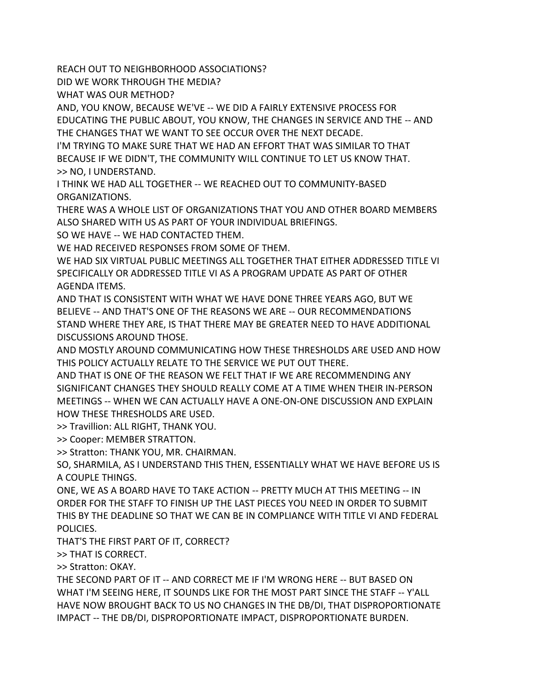REACH OUT TO NEIGHBORHOOD ASSOCIATIONS?

DID WE WORK THROUGH THE MEDIA?

WHAT WAS OUR METHOD?

AND, YOU KNOW, BECAUSE WE'VE -- WE DID A FAIRLY EXTENSIVE PROCESS FOR EDUCATING THE PUBLIC ABOUT, YOU KNOW, THE CHANGES IN SERVICE AND THE -- AND THE CHANGES THAT WE WANT TO SEE OCCUR OVER THE NEXT DECADE.

I'M TRYING TO MAKE SURE THAT WE HAD AN EFFORT THAT WAS SIMILAR TO THAT BECAUSE IF WE DIDN'T, THE COMMUNITY WILL CONTINUE TO LET US KNOW THAT. >> NO, I UNDERSTAND.

I THINK WE HAD ALL TOGETHER -- WE REACHED OUT TO COMMUNITY-BASED ORGANIZATIONS.

THERE WAS A WHOLE LIST OF ORGANIZATIONS THAT YOU AND OTHER BOARD MEMBERS ALSO SHARED WITH US AS PART OF YOUR INDIVIDUAL BRIEFINGS.

SO WE HAVE -- WE HAD CONTACTED THEM.

WE HAD RECEIVED RESPONSES FROM SOME OF THEM.

WE HAD SIX VIRTUAL PUBLIC MEETINGS ALL TOGETHER THAT EITHER ADDRESSED TITLE VI SPECIFICALLY OR ADDRESSED TITLE VI AS A PROGRAM UPDATE AS PART OF OTHER AGENDA ITEMS.

AND THAT IS CONSISTENT WITH WHAT WE HAVE DONE THREE YEARS AGO, BUT WE BELIEVE -- AND THAT'S ONE OF THE REASONS WE ARE -- OUR RECOMMENDATIONS STAND WHERE THEY ARE, IS THAT THERE MAY BE GREATER NEED TO HAVE ADDITIONAL DISCUSSIONS AROUND THOSE.

AND MOSTLY AROUND COMMUNICATING HOW THESE THRESHOLDS ARE USED AND HOW THIS POLICY ACTUALLY RELATE TO THE SERVICE WE PUT OUT THERE.

AND THAT IS ONE OF THE REASON WE FELT THAT IF WE ARE RECOMMENDING ANY SIGNIFICANT CHANGES THEY SHOULD REALLY COME AT A TIME WHEN THEIR IN-PERSON MEETINGS -- WHEN WE CAN ACTUALLY HAVE A ONE-ON-ONE DISCUSSION AND EXPLAIN HOW THESE THRESHOLDS ARE USED.

>> Travillion: ALL RIGHT, THANK YOU.

>> Cooper: MEMBER STRATTON.

>> Stratton: THANK YOU, MR. CHAIRMAN.

SO, SHARMILA, AS I UNDERSTAND THIS THEN, ESSENTIALLY WHAT WE HAVE BEFORE US IS A COUPLE THINGS.

ONE, WE AS A BOARD HAVE TO TAKE ACTION -- PRETTY MUCH AT THIS MEETING -- IN ORDER FOR THE STAFF TO FINISH UP THE LAST PIECES YOU NEED IN ORDER TO SUBMIT THIS BY THE DEADLINE SO THAT WE CAN BE IN COMPLIANCE WITH TITLE VI AND FEDERAL POLICIES.

THAT'S THE FIRST PART OF IT, CORRECT?

>> THAT IS CORRECT.

>> Stratton: OKAY.

THE SECOND PART OF IT -- AND CORRECT ME IF I'M WRONG HERE -- BUT BASED ON WHAT I'M SEEING HERE, IT SOUNDS LIKE FOR THE MOST PART SINCE THE STAFF -- Y'ALL HAVE NOW BROUGHT BACK TO US NO CHANGES IN THE DB/DI, THAT DISPROPORTIONATE IMPACT -- THE DB/DI, DISPROPORTIONATE IMPACT, DISPROPORTIONATE BURDEN.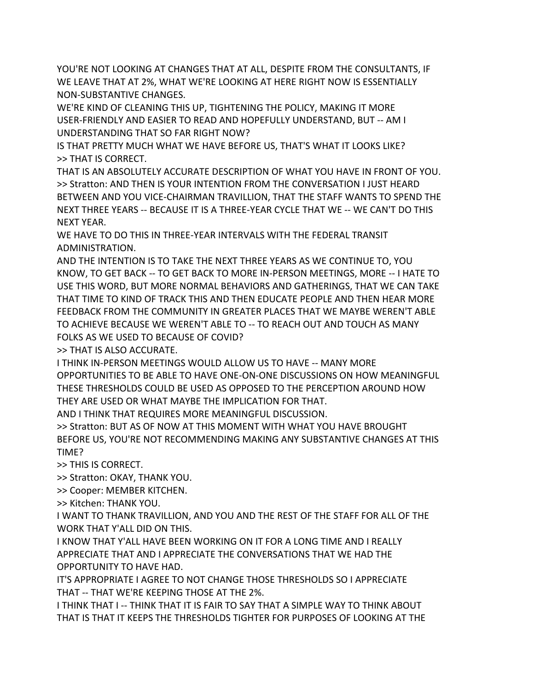YOU'RE NOT LOOKING AT CHANGES THAT AT ALL, DESPITE FROM THE CONSULTANTS, IF WE LEAVE THAT AT 2%, WHAT WE'RE LOOKING AT HERE RIGHT NOW IS ESSENTIALLY NON-SUBSTANTIVE CHANGES.

WE'RE KIND OF CLEANING THIS UP, TIGHTENING THE POLICY, MAKING IT MORE USER-FRIENDLY AND EASIER TO READ AND HOPEFULLY UNDERSTAND, BUT -- AM I UNDERSTANDING THAT SO FAR RIGHT NOW?

IS THAT PRETTY MUCH WHAT WE HAVE BEFORE US, THAT'S WHAT IT LOOKS LIKE? >> THAT IS CORRECT.

THAT IS AN ABSOLUTELY ACCURATE DESCRIPTION OF WHAT YOU HAVE IN FRONT OF YOU. >> Stratton: AND THEN IS YOUR INTENTION FROM THE CONVERSATION I JUST HEARD BETWEEN AND YOU VICE-CHAIRMAN TRAVILLION, THAT THE STAFF WANTS TO SPEND THE NEXT THREE YEARS -- BECAUSE IT IS A THREE-YEAR CYCLE THAT WE -- WE CAN'T DO THIS NEXT YEAR.

WE HAVE TO DO THIS IN THREE-YEAR INTERVALS WITH THE FEDERAL TRANSIT ADMINISTRATION.

AND THE INTENTION IS TO TAKE THE NEXT THREE YEARS AS WE CONTINUE TO, YOU KNOW, TO GET BACK -- TO GET BACK TO MORE IN-PERSON MEETINGS, MORE -- I HATE TO USE THIS WORD, BUT MORE NORMAL BEHAVIORS AND GATHERINGS, THAT WE CAN TAKE THAT TIME TO KIND OF TRACK THIS AND THEN EDUCATE PEOPLE AND THEN HEAR MORE FEEDBACK FROM THE COMMUNITY IN GREATER PLACES THAT WE MAYBE WEREN'T ABLE TO ACHIEVE BECAUSE WE WEREN'T ABLE TO -- TO REACH OUT AND TOUCH AS MANY FOLKS AS WE USED TO BECAUSE OF COVID?

>> THAT IS ALSO ACCURATE.

I THINK IN-PERSON MEETINGS WOULD ALLOW US TO HAVE -- MANY MORE OPPORTUNITIES TO BE ABLE TO HAVE ONE-ON-ONE DISCUSSIONS ON HOW MEANINGFUL THESE THRESHOLDS COULD BE USED AS OPPOSED TO THE PERCEPTION AROUND HOW THEY ARE USED OR WHAT MAYBE THE IMPLICATION FOR THAT.

AND I THINK THAT REQUIRES MORE MEANINGFUL DISCUSSION.

>> Stratton: BUT AS OF NOW AT THIS MOMENT WITH WHAT YOU HAVE BROUGHT BEFORE US, YOU'RE NOT RECOMMENDING MAKING ANY SUBSTANTIVE CHANGES AT THIS TIME?

>> THIS IS CORRECT.

>> Stratton: OKAY, THANK YOU.

>> Cooper: MEMBER KITCHEN.

>> Kitchen: THANK YOU.

I WANT TO THANK TRAVILLION, AND YOU AND THE REST OF THE STAFF FOR ALL OF THE WORK THAT Y'ALL DID ON THIS.

I KNOW THAT Y'ALL HAVE BEEN WORKING ON IT FOR A LONG TIME AND I REALLY APPRECIATE THAT AND I APPRECIATE THE CONVERSATIONS THAT WE HAD THE OPPORTUNITY TO HAVE HAD.

IT'S APPROPRIATE I AGREE TO NOT CHANGE THOSE THRESHOLDS SO I APPRECIATE THAT -- THAT WE'RE KEEPING THOSE AT THE 2%.

I THINK THAT I -- THINK THAT IT IS FAIR TO SAY THAT A SIMPLE WAY TO THINK ABOUT THAT IS THAT IT KEEPS THE THRESHOLDS TIGHTER FOR PURPOSES OF LOOKING AT THE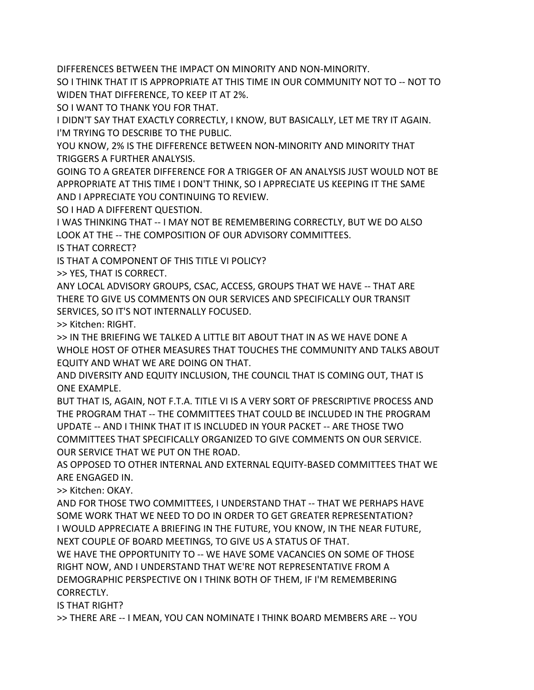DIFFERENCES BETWEEN THE IMPACT ON MINORITY AND NON-MINORITY.

SO I THINK THAT IT IS APPROPRIATE AT THIS TIME IN OUR COMMUNITY NOT TO -- NOT TO WIDEN THAT DIFFERENCE, TO KEEP IT AT 2%.

SO I WANT TO THANK YOU FOR THAT.

I DIDN'T SAY THAT EXACTLY CORRECTLY, I KNOW, BUT BASICALLY, LET ME TRY IT AGAIN. I'M TRYING TO DESCRIBE TO THE PUBLIC.

YOU KNOW, 2% IS THE DIFFERENCE BETWEEN NON-MINORITY AND MINORITY THAT TRIGGERS A FURTHER ANALYSIS.

GOING TO A GREATER DIFFERENCE FOR A TRIGGER OF AN ANALYSIS JUST WOULD NOT BE APPROPRIATE AT THIS TIME I DON'T THINK, SO I APPRECIATE US KEEPING IT THE SAME AND I APPRECIATE YOU CONTINUING TO REVIEW.

SO I HAD A DIFFERENT QUESTION.

I WAS THINKING THAT -- I MAY NOT BE REMEMBERING CORRECTLY, BUT WE DO ALSO LOOK AT THE -- THE COMPOSITION OF OUR ADVISORY COMMITTEES.

IS THAT CORRECT?

IS THAT A COMPONENT OF THIS TITLE VI POLICY?

>> YES, THAT IS CORRECT.

ANY LOCAL ADVISORY GROUPS, CSAC, ACCESS, GROUPS THAT WE HAVE -- THAT ARE THERE TO GIVE US COMMENTS ON OUR SERVICES AND SPECIFICALLY OUR TRANSIT SERVICES, SO IT'S NOT INTERNALLY FOCUSED.

>> Kitchen: RIGHT.

>> IN THE BRIEFING WE TALKED A LITTLE BIT ABOUT THAT IN AS WE HAVE DONE A WHOLE HOST OF OTHER MEASURES THAT TOUCHES THE COMMUNITY AND TALKS ABOUT EQUITY AND WHAT WE ARE DOING ON THAT.

AND DIVERSITY AND EQUITY INCLUSION, THE COUNCIL THAT IS COMING OUT, THAT IS ONE EXAMPLE.

BUT THAT IS, AGAIN, NOT F.T.A. TITLE VI IS A VERY SORT OF PRESCRIPTIVE PROCESS AND THE PROGRAM THAT -- THE COMMITTEES THAT COULD BE INCLUDED IN THE PROGRAM UPDATE -- AND I THINK THAT IT IS INCLUDED IN YOUR PACKET -- ARE THOSE TWO COMMITTEES THAT SPECIFICALLY ORGANIZED TO GIVE COMMENTS ON OUR SERVICE. OUR SERVICE THAT WE PUT ON THE ROAD.

AS OPPOSED TO OTHER INTERNAL AND EXTERNAL EQUITY-BASED COMMITTEES THAT WE ARE ENGAGED IN.

>> Kitchen: OKAY.

AND FOR THOSE TWO COMMITTEES, I UNDERSTAND THAT -- THAT WE PERHAPS HAVE SOME WORK THAT WE NEED TO DO IN ORDER TO GET GREATER REPRESENTATION? I WOULD APPRECIATE A BRIEFING IN THE FUTURE, YOU KNOW, IN THE NEAR FUTURE, NEXT COUPLE OF BOARD MEETINGS, TO GIVE US A STATUS OF THAT.

WE HAVE THE OPPORTUNITY TO -- WE HAVE SOME VACANCIES ON SOME OF THOSE RIGHT NOW, AND I UNDERSTAND THAT WE'RE NOT REPRESENTATIVE FROM A DEMOGRAPHIC PERSPECTIVE ON I THINK BOTH OF THEM, IF I'M REMEMBERING CORRECTLY.

IS THAT RIGHT?

>> THERE ARE -- I MEAN, YOU CAN NOMINATE I THINK BOARD MEMBERS ARE -- YOU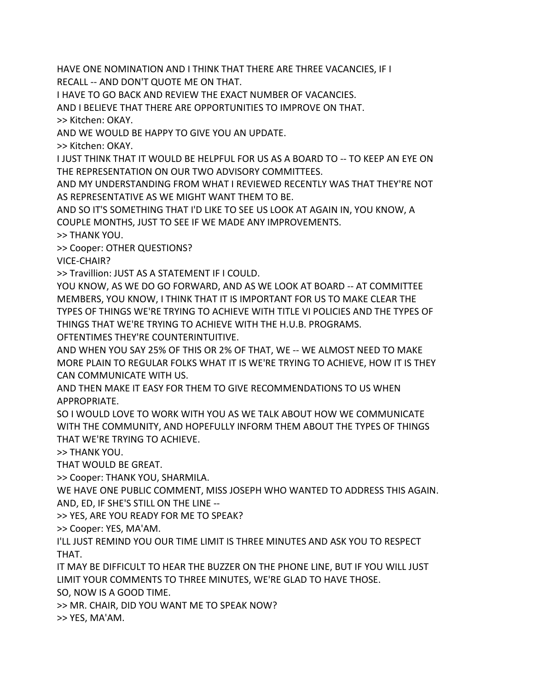HAVE ONE NOMINATION AND I THINK THAT THERE ARE THREE VACANCIES, IF I

RECALL -- AND DON'T QUOTE ME ON THAT.

I HAVE TO GO BACK AND REVIEW THE EXACT NUMBER OF VACANCIES.

AND I BELIEVE THAT THERE ARE OPPORTUNITIES TO IMPROVE ON THAT.

>> Kitchen: OKAY.

AND WE WOULD BE HAPPY TO GIVE YOU AN UPDATE.

>> Kitchen: OKAY.

I JUST THINK THAT IT WOULD BE HELPFUL FOR US AS A BOARD TO -- TO KEEP AN EYE ON THE REPRESENTATION ON OUR TWO ADVISORY COMMITTEES.

AND MY UNDERSTANDING FROM WHAT I REVIEWED RECENTLY WAS THAT THEY'RE NOT AS REPRESENTATIVE AS WE MIGHT WANT THEM TO BE.

AND SO IT'S SOMETHING THAT I'D LIKE TO SEE US LOOK AT AGAIN IN, YOU KNOW, A COUPLE MONTHS, JUST TO SEE IF WE MADE ANY IMPROVEMENTS.

>> THANK YOU.

>> Cooper: OTHER QUESTIONS?

VICE-CHAIR?

>> Travillion: JUST AS A STATEMENT IF I COULD.

YOU KNOW, AS WE DO GO FORWARD, AND AS WE LOOK AT BOARD -- AT COMMITTEE MEMBERS, YOU KNOW, I THINK THAT IT IS IMPORTANT FOR US TO MAKE CLEAR THE TYPES OF THINGS WE'RE TRYING TO ACHIEVE WITH TITLE VI POLICIES AND THE TYPES OF THINGS THAT WE'RE TRYING TO ACHIEVE WITH THE H.U.B. PROGRAMS.

OFTENTIMES THEY'RE COUNTERINTUITIVE.

AND WHEN YOU SAY 25% OF THIS OR 2% OF THAT, WE -- WE ALMOST NEED TO MAKE MORE PLAIN TO REGULAR FOLKS WHAT IT IS WE'RE TRYING TO ACHIEVE, HOW IT IS THEY CAN COMMUNICATE WITH US.

AND THEN MAKE IT EASY FOR THEM TO GIVE RECOMMENDATIONS TO US WHEN APPROPRIATE.

SO I WOULD LOVE TO WORK WITH YOU AS WE TALK ABOUT HOW WE COMMUNICATE WITH THE COMMUNITY, AND HOPEFULLY INFORM THEM ABOUT THE TYPES OF THINGS THAT WE'RE TRYING TO ACHIEVE.

>> THANK YOU.

THAT WOULD BE GREAT.

>> Cooper: THANK YOU, SHARMILA.

WE HAVE ONE PUBLIC COMMENT, MISS JOSEPH WHO WANTED TO ADDRESS THIS AGAIN. AND, ED, IF SHE'S STILL ON THE LINE --

>> YES, ARE YOU READY FOR ME TO SPEAK?

>> Cooper: YES, MA'AM.

I'LL JUST REMIND YOU OUR TIME LIMIT IS THREE MINUTES AND ASK YOU TO RESPECT THAT.

IT MAY BE DIFFICULT TO HEAR THE BUZZER ON THE PHONE LINE, BUT IF YOU WILL JUST LIMIT YOUR COMMENTS TO THREE MINUTES, WE'RE GLAD TO HAVE THOSE.

SO, NOW IS A GOOD TIME.

>> MR. CHAIR, DID YOU WANT ME TO SPEAK NOW?

>> YES, MA'AM.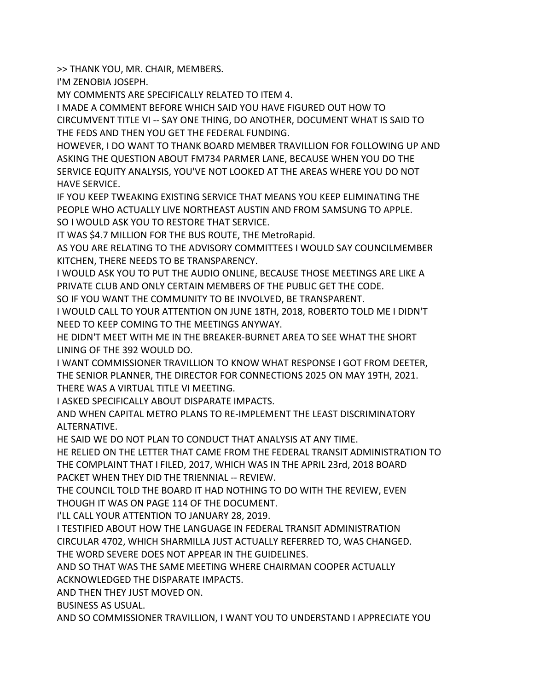>> THANK YOU, MR. CHAIR, MEMBERS.

I'M ZENOBIA JOSEPH.

MY COMMENTS ARE SPECIFICALLY RELATED TO ITEM 4.

I MADE A COMMENT BEFORE WHICH SAID YOU HAVE FIGURED OUT HOW TO CIRCUMVENT TITLE VI -- SAY ONE THING, DO ANOTHER, DOCUMENT WHAT IS SAID TO THE FEDS AND THEN YOU GET THE FEDERAL FUNDING.

HOWEVER, I DO WANT TO THANK BOARD MEMBER TRAVILLION FOR FOLLOWING UP AND ASKING THE QUESTION ABOUT FM734 PARMER LANE, BECAUSE WHEN YOU DO THE SERVICE EQUITY ANALYSIS, YOU'VE NOT LOOKED AT THE AREAS WHERE YOU DO NOT HAVE SERVICE.

IF YOU KEEP TWEAKING EXISTING SERVICE THAT MEANS YOU KEEP ELIMINATING THE PEOPLE WHO ACTUALLY LIVE NORTHEAST AUSTIN AND FROM SAMSUNG TO APPLE. SO I WOULD ASK YOU TO RESTORE THAT SERVICE.

IT WAS \$4.7 MILLION FOR THE BUS ROUTE, THE MetroRapid.

AS YOU ARE RELATING TO THE ADVISORY COMMITTEES I WOULD SAY COUNCILMEMBER KITCHEN, THERE NEEDS TO BE TRANSPARENCY.

I WOULD ASK YOU TO PUT THE AUDIO ONLINE, BECAUSE THOSE MEETINGS ARE LIKE A PRIVATE CLUB AND ONLY CERTAIN MEMBERS OF THE PUBLIC GET THE CODE.

SO IF YOU WANT THE COMMUNITY TO BE INVOLVED, BE TRANSPARENT.

I WOULD CALL TO YOUR ATTENTION ON JUNE 18TH, 2018, ROBERTO TOLD ME I DIDN'T NEED TO KEEP COMING TO THE MEETINGS ANYWAY.

HE DIDN'T MEET WITH ME IN THE BREAKER-BURNET AREA TO SEE WHAT THE SHORT LINING OF THE 392 WOULD DO.

I WANT COMMISSIONER TRAVILLION TO KNOW WHAT RESPONSE I GOT FROM DEETER, THE SENIOR PLANNER, THE DIRECTOR FOR CONNECTIONS 2025 ON MAY 19TH, 2021. THERE WAS A VIRTUAL TITLE VI MEETING.

I ASKED SPECIFICALLY ABOUT DISPARATE IMPACTS.

AND WHEN CAPITAL METRO PLANS TO RE-IMPLEMENT THE LEAST DISCRIMINATORY ALTERNATIVE.

HE SAID WE DO NOT PLAN TO CONDUCT THAT ANALYSIS AT ANY TIME.

HE RELIED ON THE LETTER THAT CAME FROM THE FEDERAL TRANSIT ADMINISTRATION TO THE COMPLAINT THAT I FILED, 2017, WHICH WAS IN THE APRIL 23rd, 2018 BOARD PACKET WHEN THEY DID THE TRIENNIAL -- REVIEW.

THE COUNCIL TOLD THE BOARD IT HAD NOTHING TO DO WITH THE REVIEW, EVEN THOUGH IT WAS ON PAGE 114 OF THE DOCUMENT.

I'LL CALL YOUR ATTENTION TO JANUARY 28, 2019.

I TESTIFIED ABOUT HOW THE LANGUAGE IN FEDERAL TRANSIT ADMINISTRATION CIRCULAR 4702, WHICH SHARMILLA JUST ACTUALLY REFERRED TO, WAS CHANGED. THE WORD SEVERE DOES NOT APPEAR IN THE GUIDELINES.

AND SO THAT WAS THE SAME MEETING WHERE CHAIRMAN COOPER ACTUALLY ACKNOWLEDGED THE DISPARATE IMPACTS.

AND THEN THEY JUST MOVED ON.

BUSINESS AS USUAL.

AND SO COMMISSIONER TRAVILLION, I WANT YOU TO UNDERSTAND I APPRECIATE YOU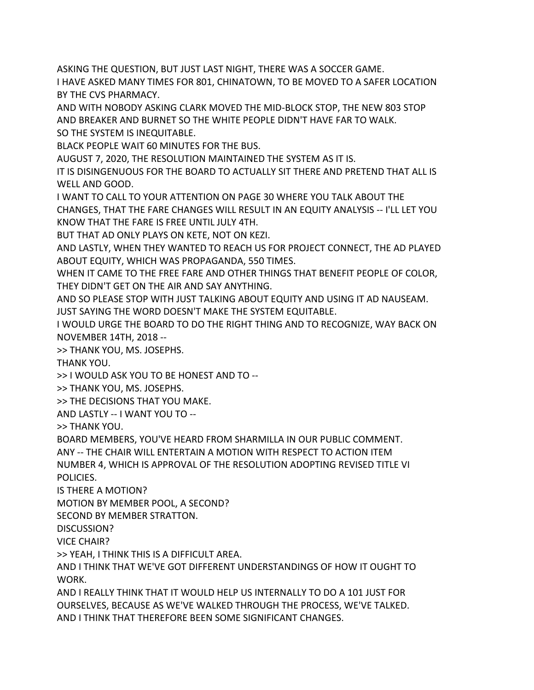ASKING THE QUESTION, BUT JUST LAST NIGHT, THERE WAS A SOCCER GAME.

I HAVE ASKED MANY TIMES FOR 801, CHINATOWN, TO BE MOVED TO A SAFER LOCATION BY THE CVS PHARMACY.

AND WITH NOBODY ASKING CLARK MOVED THE MID-BLOCK STOP, THE NEW 803 STOP AND BREAKER AND BURNET SO THE WHITE PEOPLE DIDN'T HAVE FAR TO WALK. SO THE SYSTEM IS INEQUITABLE.

BLACK PEOPLE WAIT 60 MINUTES FOR THE BUS.

AUGUST 7, 2020, THE RESOLUTION MAINTAINED THE SYSTEM AS IT IS.

IT IS DISINGENUOUS FOR THE BOARD TO ACTUALLY SIT THERE AND PRETEND THAT ALL IS WELL AND GOOD.

I WANT TO CALL TO YOUR ATTENTION ON PAGE 30 WHERE YOU TALK ABOUT THE CHANGES, THAT THE FARE CHANGES WILL RESULT IN AN EQUITY ANALYSIS -- I'LL LET YOU KNOW THAT THE FARE IS FREE UNTIL JULY 4TH.

BUT THAT AD ONLY PLAYS ON KETE, NOT ON KEZI.

AND LASTLY, WHEN THEY WANTED TO REACH US FOR PROJECT CONNECT, THE AD PLAYED ABOUT EQUITY, WHICH WAS PROPAGANDA, 550 TIMES.

WHEN IT CAME TO THE FREE FARE AND OTHER THINGS THAT BENEFIT PEOPLE OF COLOR, THEY DIDN'T GET ON THE AIR AND SAY ANYTHING.

AND SO PLEASE STOP WITH JUST TALKING ABOUT EQUITY AND USING IT AD NAUSEAM. JUST SAYING THE WORD DOESN'T MAKE THE SYSTEM EQUITABLE.

I WOULD URGE THE BOARD TO DO THE RIGHT THING AND TO RECOGNIZE, WAY BACK ON NOVEMBER 14TH, 2018 --

>> THANK YOU, MS. JOSEPHS.

THANK YOU.

>> I WOULD ASK YOU TO BE HONEST AND TO --

>> THANK YOU, MS. JOSEPHS.

>> THE DECISIONS THAT YOU MAKE.

AND LASTLY -- I WANT YOU TO --

>> THANK YOU.

BOARD MEMBERS, YOU'VE HEARD FROM SHARMILLA IN OUR PUBLIC COMMENT.

ANY -- THE CHAIR WILL ENTERTAIN A MOTION WITH RESPECT TO ACTION ITEM

NUMBER 4, WHICH IS APPROVAL OF THE RESOLUTION ADOPTING REVISED TITLE VI POLICIES.

IS THERE A MOTION?

MOTION BY MEMBER POOL, A SECOND?

SECOND BY MEMBER STRATTON.

DISCUSSION?

VICE CHAIR?

>> YEAH, I THINK THIS IS A DIFFICULT AREA.

AND I THINK THAT WE'VE GOT DIFFERENT UNDERSTANDINGS OF HOW IT OUGHT TO WORK.

AND I REALLY THINK THAT IT WOULD HELP US INTERNALLY TO DO A 101 JUST FOR OURSELVES, BECAUSE AS WE'VE WALKED THROUGH THE PROCESS, WE'VE TALKED. AND I THINK THAT THEREFORE BEEN SOME SIGNIFICANT CHANGES.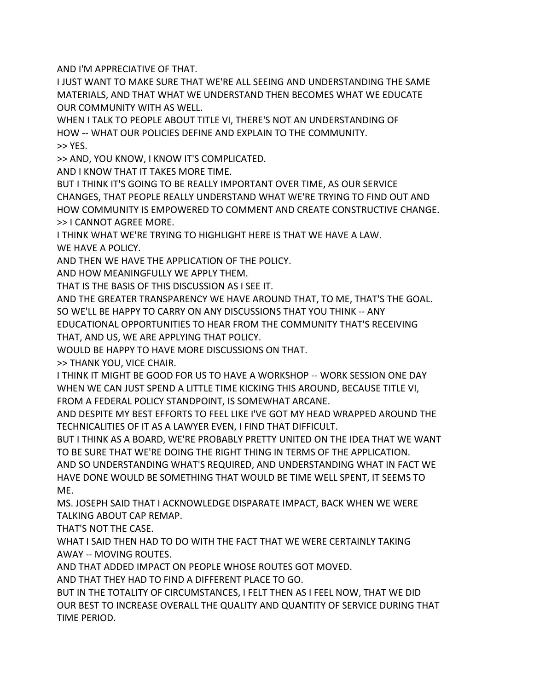AND I'M APPRECIATIVE OF THAT.

I JUST WANT TO MAKE SURE THAT WE'RE ALL SEEING AND UNDERSTANDING THE SAME MATERIALS, AND THAT WHAT WE UNDERSTAND THEN BECOMES WHAT WE EDUCATE OUR COMMUNITY WITH AS WELL.

WHEN I TALK TO PEOPLE ABOUT TITLE VI, THERE'S NOT AN UNDERSTANDING OF HOW -- WHAT OUR POLICIES DEFINE AND EXPLAIN TO THE COMMUNITY. >> YES.

>> AND, YOU KNOW, I KNOW IT'S COMPLICATED.

AND I KNOW THAT IT TAKES MORE TIME.

BUT I THINK IT'S GOING TO BE REALLY IMPORTANT OVER TIME, AS OUR SERVICE CHANGES, THAT PEOPLE REALLY UNDERSTAND WHAT WE'RE TRYING TO FIND OUT AND HOW COMMUNITY IS EMPOWERED TO COMMENT AND CREATE CONSTRUCTIVE CHANGE. >> I CANNOT AGREE MORE.

I THINK WHAT WE'RE TRYING TO HIGHLIGHT HERE IS THAT WE HAVE A LAW. WE HAVE A POLICY.

AND THEN WE HAVE THE APPLICATION OF THE POLICY.

AND HOW MEANINGFULLY WE APPLY THEM.

THAT IS THE BASIS OF THIS DISCUSSION AS I SEE IT.

AND THE GREATER TRANSPARENCY WE HAVE AROUND THAT, TO ME, THAT'S THE GOAL. SO WE'LL BE HAPPY TO CARRY ON ANY DISCUSSIONS THAT YOU THINK -- ANY EDUCATIONAL OPPORTUNITIES TO HEAR FROM THE COMMUNITY THAT'S RECEIVING

THAT, AND US, WE ARE APPLYING THAT POLICY.

WOULD BE HAPPY TO HAVE MORE DISCUSSIONS ON THAT.

>> THANK YOU, VICE CHAIR.

I THINK IT MIGHT BE GOOD FOR US TO HAVE A WORKSHOP -- WORK SESSION ONE DAY WHEN WE CAN JUST SPEND A LITTLE TIME KICKING THIS AROUND, BECAUSE TITLE VI, FROM A FEDERAL POLICY STANDPOINT, IS SOMEWHAT ARCANE.

AND DESPITE MY BEST EFFORTS TO FEEL LIKE I'VE GOT MY HEAD WRAPPED AROUND THE TECHNICALITIES OF IT AS A LAWYER EVEN, I FIND THAT DIFFICULT.

BUT I THINK AS A BOARD, WE'RE PROBABLY PRETTY UNITED ON THE IDEA THAT WE WANT TO BE SURE THAT WE'RE DOING THE RIGHT THING IN TERMS OF THE APPLICATION.

AND SO UNDERSTANDING WHAT'S REQUIRED, AND UNDERSTANDING WHAT IN FACT WE HAVE DONE WOULD BE SOMETHING THAT WOULD BE TIME WELL SPENT, IT SEEMS TO ME.

MS. JOSEPH SAID THAT I ACKNOWLEDGE DISPARATE IMPACT, BACK WHEN WE WERE TALKING ABOUT CAP REMAP.

THAT'S NOT THE CASE.

WHAT I SAID THEN HAD TO DO WITH THE FACT THAT WE WERE CERTAINLY TAKING AWAY -- MOVING ROUTES.

AND THAT ADDED IMPACT ON PEOPLE WHOSE ROUTES GOT MOVED.

AND THAT THEY HAD TO FIND A DIFFERENT PLACE TO GO.

BUT IN THE TOTALITY OF CIRCUMSTANCES, I FELT THEN AS I FEEL NOW, THAT WE DID OUR BEST TO INCREASE OVERALL THE QUALITY AND QUANTITY OF SERVICE DURING THAT TIME PERIOD.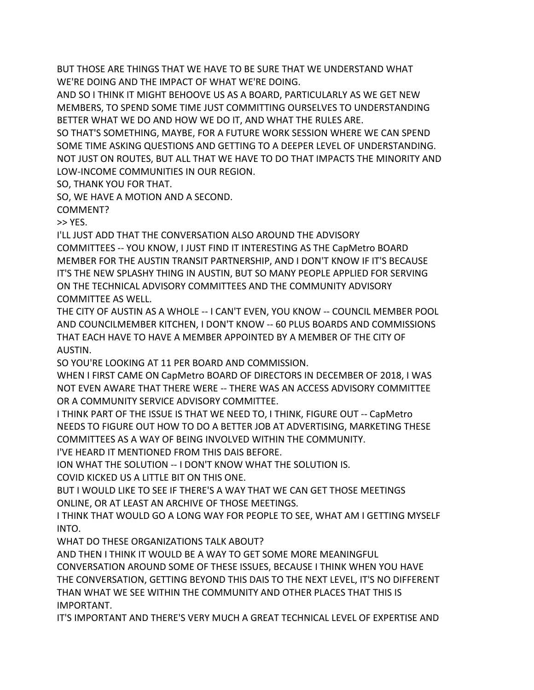BUT THOSE ARE THINGS THAT WE HAVE TO BE SURE THAT WE UNDERSTAND WHAT WE'RE DOING AND THE IMPACT OF WHAT WE'RE DOING.

AND SO I THINK IT MIGHT BEHOOVE US AS A BOARD, PARTICULARLY AS WE GET NEW MEMBERS, TO SPEND SOME TIME JUST COMMITTING OURSELVES TO UNDERSTANDING BETTER WHAT WE DO AND HOW WE DO IT, AND WHAT THE RULES ARE.

SO THAT'S SOMETHING, MAYBE, FOR A FUTURE WORK SESSION WHERE WE CAN SPEND SOME TIME ASKING QUESTIONS AND GETTING TO A DEEPER LEVEL OF UNDERSTANDING. NOT JUST ON ROUTES, BUT ALL THAT WE HAVE TO DO THAT IMPACTS THE MINORITY AND LOW-INCOME COMMUNITIES IN OUR REGION.

SO, THANK YOU FOR THAT.

SO, WE HAVE A MOTION AND A SECOND.

COMMENT?

>> YES.

I'LL JUST ADD THAT THE CONVERSATION ALSO AROUND THE ADVISORY COMMITTEES -- YOU KNOW, I JUST FIND IT INTERESTING AS THE CapMetro BOARD MEMBER FOR THE AUSTIN TRANSIT PARTNERSHIP, AND I DON'T KNOW IF IT'S BECAUSE IT'S THE NEW SPLASHY THING IN AUSTIN, BUT SO MANY PEOPLE APPLIED FOR SERVING ON THE TECHNICAL ADVISORY COMMITTEES AND THE COMMUNITY ADVISORY COMMITTEE AS WELL.

THE CITY OF AUSTIN AS A WHOLE -- I CAN'T EVEN, YOU KNOW -- COUNCIL MEMBER POOL AND COUNCILMEMBER KITCHEN, I DON'T KNOW -- 60 PLUS BOARDS AND COMMISSIONS THAT EACH HAVE TO HAVE A MEMBER APPOINTED BY A MEMBER OF THE CITY OF AUSTIN.

SO YOU'RE LOOKING AT 11 PER BOARD AND COMMISSION.

WHEN I FIRST CAME ON CapMetro BOARD OF DIRECTORS IN DECEMBER OF 2018, I WAS NOT EVEN AWARE THAT THERE WERE -- THERE WAS AN ACCESS ADVISORY COMMITTEE OR A COMMUNITY SERVICE ADVISORY COMMITTEE.

I THINK PART OF THE ISSUE IS THAT WE NEED TO, I THINK, FIGURE OUT -- CapMetro NEEDS TO FIGURE OUT HOW TO DO A BETTER JOB AT ADVERTISING, MARKETING THESE COMMITTEES AS A WAY OF BEING INVOLVED WITHIN THE COMMUNITY.

I'VE HEARD IT MENTIONED FROM THIS DAIS BEFORE.

ION WHAT THE SOLUTION -- I DON'T KNOW WHAT THE SOLUTION IS.

COVID KICKED US A LITTLE BIT ON THIS ONE.

BUT I WOULD LIKE TO SEE IF THERE'S A WAY THAT WE CAN GET THOSE MEETINGS ONLINE, OR AT LEAST AN ARCHIVE OF THOSE MEETINGS.

I THINK THAT WOULD GO A LONG WAY FOR PEOPLE TO SEE, WHAT AM I GETTING MYSELF INTO.

WHAT DO THESE ORGANIZATIONS TALK ABOUT?

AND THEN I THINK IT WOULD BE A WAY TO GET SOME MORE MEANINGFUL

CONVERSATION AROUND SOME OF THESE ISSUES, BECAUSE I THINK WHEN YOU HAVE THE CONVERSATION, GETTING BEYOND THIS DAIS TO THE NEXT LEVEL, IT'S NO DIFFERENT THAN WHAT WE SEE WITHIN THE COMMUNITY AND OTHER PLACES THAT THIS IS IMPORTANT.

IT'S IMPORTANT AND THERE'S VERY MUCH A GREAT TECHNICAL LEVEL OF EXPERTISE AND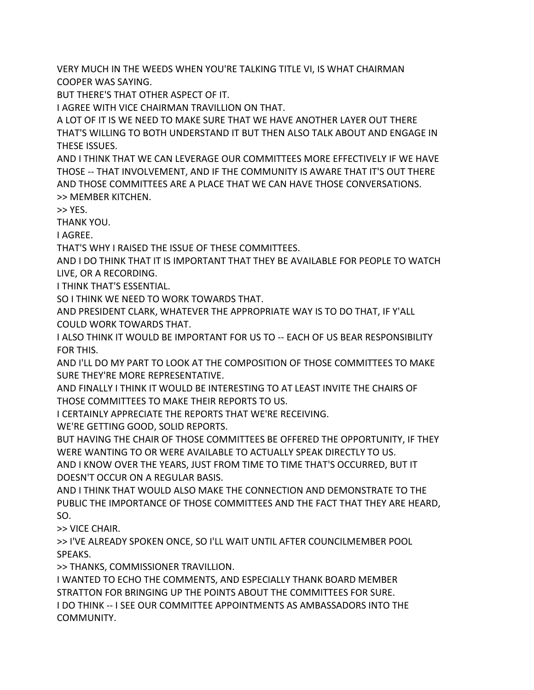VERY MUCH IN THE WEEDS WHEN YOU'RE TALKING TITLE VI, IS WHAT CHAIRMAN COOPER WAS SAYING.

BUT THERE'S THAT OTHER ASPECT OF IT.

I AGREE WITH VICE CHAIRMAN TRAVILLION ON THAT.

A LOT OF IT IS WE NEED TO MAKE SURE THAT WE HAVE ANOTHER LAYER OUT THERE THAT'S WILLING TO BOTH UNDERSTAND IT BUT THEN ALSO TALK ABOUT AND ENGAGE IN THESE ISSUES.

AND I THINK THAT WE CAN LEVERAGE OUR COMMITTEES MORE EFFECTIVELY IF WE HAVE THOSE -- THAT INVOLVEMENT, AND IF THE COMMUNITY IS AWARE THAT IT'S OUT THERE AND THOSE COMMITTEES ARE A PLACE THAT WE CAN HAVE THOSE CONVERSATIONS. >> MEMBER KITCHEN.

>> YES.

THANK YOU.

I AGREE.

THAT'S WHY I RAISED THE ISSUE OF THESE COMMITTEES.

AND I DO THINK THAT IT IS IMPORTANT THAT THEY BE AVAILABLE FOR PEOPLE TO WATCH LIVE, OR A RECORDING.

I THINK THAT'S ESSENTIAL.

SO I THINK WE NEED TO WORK TOWARDS THAT.

AND PRESIDENT CLARK, WHATEVER THE APPROPRIATE WAY IS TO DO THAT, IF Y'ALL COULD WORK TOWARDS THAT.

I ALSO THINK IT WOULD BE IMPORTANT FOR US TO -- EACH OF US BEAR RESPONSIBILITY FOR THIS.

AND I'LL DO MY PART TO LOOK AT THE COMPOSITION OF THOSE COMMITTEES TO MAKE SURE THEY'RE MORE REPRESENTATIVE.

AND FINALLY I THINK IT WOULD BE INTERESTING TO AT LEAST INVITE THE CHAIRS OF THOSE COMMITTEES TO MAKE THEIR REPORTS TO US.

I CERTAINLY APPRECIATE THE REPORTS THAT WE'RE RECEIVING.

WE'RE GETTING GOOD, SOLID REPORTS.

BUT HAVING THE CHAIR OF THOSE COMMITTEES BE OFFERED THE OPPORTUNITY, IF THEY WERE WANTING TO OR WERE AVAILABLE TO ACTUALLY SPEAK DIRECTLY TO US.

AND I KNOW OVER THE YEARS, JUST FROM TIME TO TIME THAT'S OCCURRED, BUT IT DOESN'T OCCUR ON A REGULAR BASIS.

AND I THINK THAT WOULD ALSO MAKE THE CONNECTION AND DEMONSTRATE TO THE PUBLIC THE IMPORTANCE OF THOSE COMMITTEES AND THE FACT THAT THEY ARE HEARD, SO.

>> VICE CHAIR.

>> I'VE ALREADY SPOKEN ONCE, SO I'LL WAIT UNTIL AFTER COUNCILMEMBER POOL SPEAKS.

>> THANKS, COMMISSIONER TRAVILLION.

I WANTED TO ECHO THE COMMENTS, AND ESPECIALLY THANK BOARD MEMBER STRATTON FOR BRINGING UP THE POINTS ABOUT THE COMMITTEES FOR SURE. I DO THINK -- I SEE OUR COMMITTEE APPOINTMENTS AS AMBASSADORS INTO THE COMMUNITY.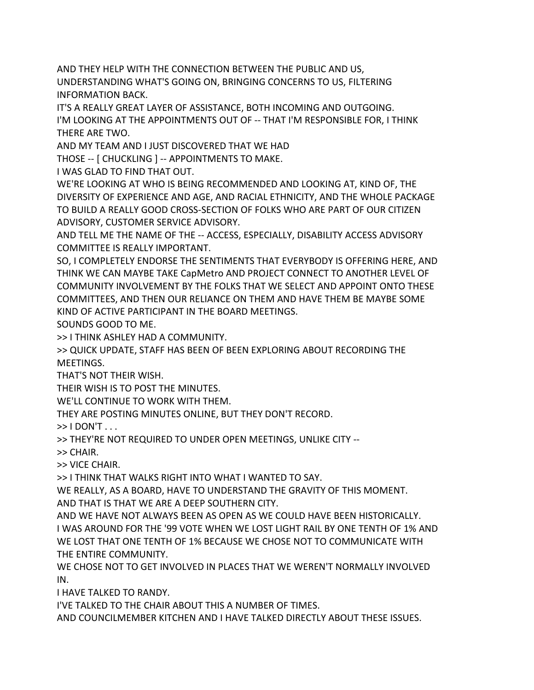AND THEY HELP WITH THE CONNECTION BETWEEN THE PUBLIC AND US, UNDERSTANDING WHAT'S GOING ON, BRINGING CONCERNS TO US, FILTERING INFORMATION BACK.

IT'S A REALLY GREAT LAYER OF ASSISTANCE, BOTH INCOMING AND OUTGOING. I'M LOOKING AT THE APPOINTMENTS OUT OF -- THAT I'M RESPONSIBLE FOR, I THINK THERE ARE TWO.

AND MY TEAM AND I JUST DISCOVERED THAT WE HAD

THOSE -- [ CHUCKLING ] -- APPOINTMENTS TO MAKE.

I WAS GLAD TO FIND THAT OUT.

WE'RE LOOKING AT WHO IS BEING RECOMMENDED AND LOOKING AT, KIND OF, THE DIVERSITY OF EXPERIENCE AND AGE, AND RACIAL ETHNICITY, AND THE WHOLE PACKAGE TO BUILD A REALLY GOOD CROSS-SECTION OF FOLKS WHO ARE PART OF OUR CITIZEN ADVISORY, CUSTOMER SERVICE ADVISORY.

AND TELL ME THE NAME OF THE -- ACCESS, ESPECIALLY, DISABILITY ACCESS ADVISORY COMMITTEE IS REALLY IMPORTANT.

SO, I COMPLETELY ENDORSE THE SENTIMENTS THAT EVERYBODY IS OFFERING HERE, AND THINK WE CAN MAYBE TAKE CapMetro AND PROJECT CONNECT TO ANOTHER LEVEL OF COMMUNITY INVOLVEMENT BY THE FOLKS THAT WE SELECT AND APPOINT ONTO THESE COMMITTEES, AND THEN OUR RELIANCE ON THEM AND HAVE THEM BE MAYBE SOME KIND OF ACTIVE PARTICIPANT IN THE BOARD MEETINGS.

SOUNDS GOOD TO ME.

>> I THINK ASHLEY HAD A COMMUNITY.

>> QUICK UPDATE, STAFF HAS BEEN OF BEEN EXPLORING ABOUT RECORDING THE MEETINGS.

THAT'S NOT THEIR WISH.

THEIR WISH IS TO POST THE MINUTES.

WE'LL CONTINUE TO WORK WITH THEM.

THEY ARE POSTING MINUTES ONLINE, BUT THEY DON'T RECORD.

 $>>$  I DON'T  $\ldots$ 

>> THEY'RE NOT REQUIRED TO UNDER OPEN MEETINGS, UNLIKE CITY --

>> CHAIR.

>> VICE CHAIR.

>> I THINK THAT WALKS RIGHT INTO WHAT I WANTED TO SAY.

WE REALLY, AS A BOARD, HAVE TO UNDERSTAND THE GRAVITY OF THIS MOMENT. AND THAT IS THAT WE ARE A DEEP SOUTHERN CITY.

AND WE HAVE NOT ALWAYS BEEN AS OPEN AS WE COULD HAVE BEEN HISTORICALLY. I WAS AROUND FOR THE '99 VOTE WHEN WE LOST LIGHT RAIL BY ONE TENTH OF 1% AND WE LOST THAT ONE TENTH OF 1% BECAUSE WE CHOSE NOT TO COMMUNICATE WITH THE ENTIRE COMMUNITY.

WE CHOSE NOT TO GET INVOLVED IN PLACES THAT WE WEREN'T NORMALLY INVOLVED IN.

I HAVE TALKED TO RANDY.

I'VE TALKED TO THE CHAIR ABOUT THIS A NUMBER OF TIMES.

AND COUNCILMEMBER KITCHEN AND I HAVE TALKED DIRECTLY ABOUT THESE ISSUES.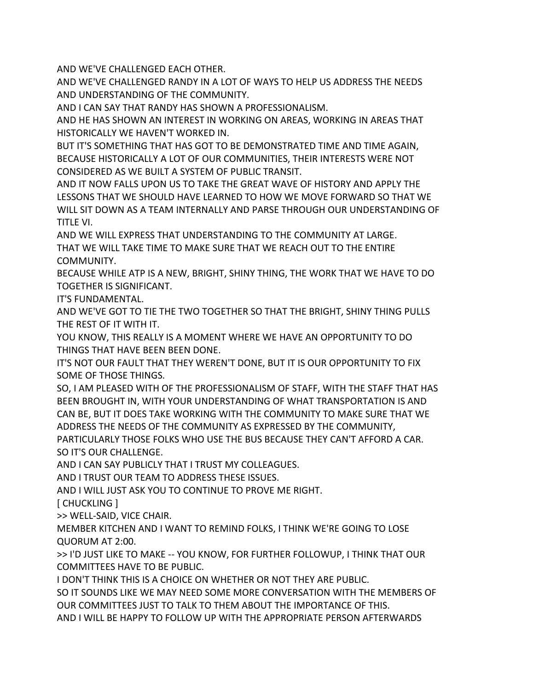AND WE'VE CHALLENGED EACH OTHER.

AND WE'VE CHALLENGED RANDY IN A LOT OF WAYS TO HELP US ADDRESS THE NEEDS AND UNDERSTANDING OF THE COMMUNITY.

AND I CAN SAY THAT RANDY HAS SHOWN A PROFESSIONALISM.

AND HE HAS SHOWN AN INTEREST IN WORKING ON AREAS, WORKING IN AREAS THAT HISTORICALLY WE HAVEN'T WORKED IN.

BUT IT'S SOMETHING THAT HAS GOT TO BE DEMONSTRATED TIME AND TIME AGAIN, BECAUSE HISTORICALLY A LOT OF OUR COMMUNITIES, THEIR INTERESTS WERE NOT CONSIDERED AS WE BUILT A SYSTEM OF PUBLIC TRANSIT.

AND IT NOW FALLS UPON US TO TAKE THE GREAT WAVE OF HISTORY AND APPLY THE LESSONS THAT WE SHOULD HAVE LEARNED TO HOW WE MOVE FORWARD SO THAT WE WILL SIT DOWN AS A TEAM INTERNALLY AND PARSE THROUGH OUR UNDERSTANDING OF TITLE VI.

AND WE WILL EXPRESS THAT UNDERSTANDING TO THE COMMUNITY AT LARGE. THAT WE WILL TAKE TIME TO MAKE SURE THAT WE REACH OUT TO THE ENTIRE COMMUNITY.

BECAUSE WHILE ATP IS A NEW, BRIGHT, SHINY THING, THE WORK THAT WE HAVE TO DO TOGETHER IS SIGNIFICANT.

IT'S FUNDAMENTAL.

AND WE'VE GOT TO TIE THE TWO TOGETHER SO THAT THE BRIGHT, SHINY THING PULLS THE REST OF IT WITH IT.

YOU KNOW, THIS REALLY IS A MOMENT WHERE WE HAVE AN OPPORTUNITY TO DO THINGS THAT HAVE BEEN BEEN DONE.

IT'S NOT OUR FAULT THAT THEY WEREN'T DONE, BUT IT IS OUR OPPORTUNITY TO FIX SOME OF THOSE THINGS.

SO, I AM PLEASED WITH OF THE PROFESSIONALISM OF STAFF, WITH THE STAFF THAT HAS BEEN BROUGHT IN, WITH YOUR UNDERSTANDING OF WHAT TRANSPORTATION IS AND CAN BE, BUT IT DOES TAKE WORKING WITH THE COMMUNITY TO MAKE SURE THAT WE ADDRESS THE NEEDS OF THE COMMUNITY AS EXPRESSED BY THE COMMUNITY,

PARTICULARLY THOSE FOLKS WHO USE THE BUS BECAUSE THEY CAN'T AFFORD A CAR. SO IT'S OUR CHALLENGE.

AND I CAN SAY PUBLICLY THAT I TRUST MY COLLEAGUES.

AND I TRUST OUR TEAM TO ADDRESS THESE ISSUES.

AND I WILL JUST ASK YOU TO CONTINUE TO PROVE ME RIGHT.

[ CHUCKLING ]

>> WELL-SAID, VICE CHAIR.

MEMBER KITCHEN AND I WANT TO REMIND FOLKS, I THINK WE'RE GOING TO LOSE QUORUM AT 2:00.

>> I'D JUST LIKE TO MAKE -- YOU KNOW, FOR FURTHER FOLLOWUP, I THINK THAT OUR COMMITTEES HAVE TO BE PUBLIC.

I DON'T THINK THIS IS A CHOICE ON WHETHER OR NOT THEY ARE PUBLIC.

SO IT SOUNDS LIKE WE MAY NEED SOME MORE CONVERSATION WITH THE MEMBERS OF OUR COMMITTEES JUST TO TALK TO THEM ABOUT THE IMPORTANCE OF THIS.

AND I WILL BE HAPPY TO FOLLOW UP WITH THE APPROPRIATE PERSON AFTERWARDS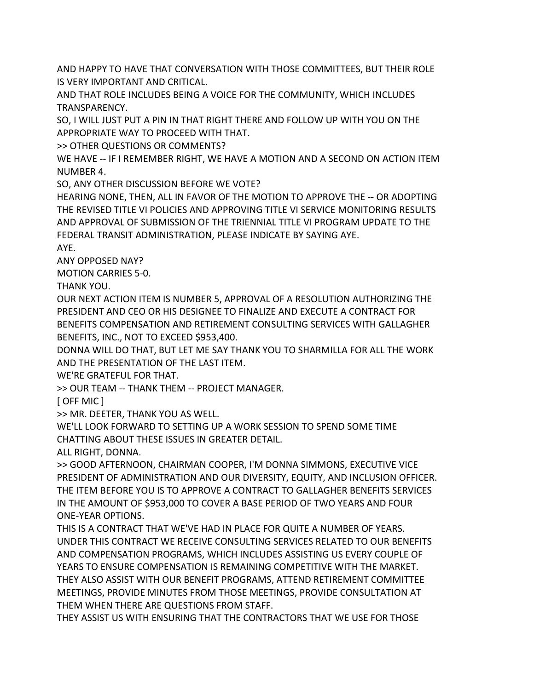AND HAPPY TO HAVE THAT CONVERSATION WITH THOSE COMMITTEES, BUT THEIR ROLE IS VERY IMPORTANT AND CRITICAL.

AND THAT ROLE INCLUDES BEING A VOICE FOR THE COMMUNITY, WHICH INCLUDES TRANSPARENCY.

SO, I WILL JUST PUT A PIN IN THAT RIGHT THERE AND FOLLOW UP WITH YOU ON THE APPROPRIATE WAY TO PROCEED WITH THAT.

>> OTHER QUESTIONS OR COMMENTS?

WE HAVE -- IF I REMEMBER RIGHT, WE HAVE A MOTION AND A SECOND ON ACTION ITEM NUMBER 4.

SO, ANY OTHER DISCUSSION BEFORE WE VOTE?

HEARING NONE, THEN, ALL IN FAVOR OF THE MOTION TO APPROVE THE -- OR ADOPTING THE REVISED TITLE VI POLICIES AND APPROVING TITLE VI SERVICE MONITORING RESULTS AND APPROVAL OF SUBMISSION OF THE TRIENNIAL TITLE VI PROGRAM UPDATE TO THE FEDERAL TRANSIT ADMINISTRATION, PLEASE INDICATE BY SAYING AYE.

AYE.

ANY OPPOSED NAY?

MOTION CARRIES 5-0.

THANK YOU.

OUR NEXT ACTION ITEM IS NUMBER 5, APPROVAL OF A RESOLUTION AUTHORIZING THE PRESIDENT AND CEO OR HIS DESIGNEE TO FINALIZE AND EXECUTE A CONTRACT FOR BENEFITS COMPENSATION AND RETIREMENT CONSULTING SERVICES WITH GALLAGHER BENEFITS, INC., NOT TO EXCEED \$953,400.

DONNA WILL DO THAT, BUT LET ME SAY THANK YOU TO SHARMILLA FOR ALL THE WORK AND THE PRESENTATION OF THE LAST ITEM.

WE'RE GRATEFUL FOR THAT.

>> OUR TEAM -- THANK THEM -- PROJECT MANAGER.

[ OFF MIC ]

>> MR. DEETER, THANK YOU AS WELL.

WE'LL LOOK FORWARD TO SETTING UP A WORK SESSION TO SPEND SOME TIME CHATTING ABOUT THESE ISSUES IN GREATER DETAIL.

ALL RIGHT, DONNA.

>> GOOD AFTERNOON, CHAIRMAN COOPER, I'M DONNA SIMMONS, EXECUTIVE VICE PRESIDENT OF ADMINISTRATION AND OUR DIVERSITY, EQUITY, AND INCLUSION OFFICER. THE ITEM BEFORE YOU IS TO APPROVE A CONTRACT TO GALLAGHER BENEFITS SERVICES IN THE AMOUNT OF \$953,000 TO COVER A BASE PERIOD OF TWO YEARS AND FOUR ONE-YEAR OPTIONS.

THIS IS A CONTRACT THAT WE'VE HAD IN PLACE FOR QUITE A NUMBER OF YEARS. UNDER THIS CONTRACT WE RECEIVE CONSULTING SERVICES RELATED TO OUR BENEFITS AND COMPENSATION PROGRAMS, WHICH INCLUDES ASSISTING US EVERY COUPLE OF YEARS TO ENSURE COMPENSATION IS REMAINING COMPETITIVE WITH THE MARKET. THEY ALSO ASSIST WITH OUR BENEFIT PROGRAMS, ATTEND RETIREMENT COMMITTEE MEETINGS, PROVIDE MINUTES FROM THOSE MEETINGS, PROVIDE CONSULTATION AT THEM WHEN THERE ARE QUESTIONS FROM STAFF.

THEY ASSIST US WITH ENSURING THAT THE CONTRACTORS THAT WE USE FOR THOSE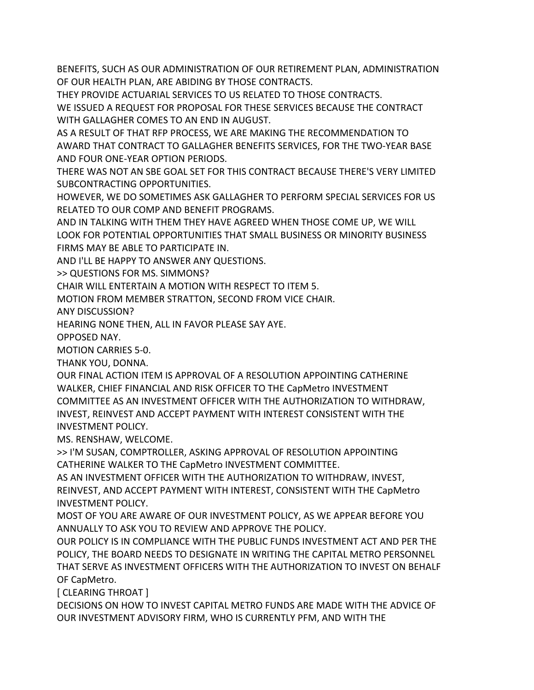BENEFITS, SUCH AS OUR ADMINISTRATION OF OUR RETIREMENT PLAN, ADMINISTRATION OF OUR HEALTH PLAN, ARE ABIDING BY THOSE CONTRACTS.

THEY PROVIDE ACTUARIAL SERVICES TO US RELATED TO THOSE CONTRACTS.

WE ISSUED A REQUEST FOR PROPOSAL FOR THESE SERVICES BECAUSE THE CONTRACT WITH GALLAGHER COMES TO AN END IN AUGUST.

AS A RESULT OF THAT RFP PROCESS, WE ARE MAKING THE RECOMMENDATION TO AWARD THAT CONTRACT TO GALLAGHER BENEFITS SERVICES, FOR THE TWO-YEAR BASE AND FOUR ONE-YEAR OPTION PERIODS.

THERE WAS NOT AN SBE GOAL SET FOR THIS CONTRACT BECAUSE THERE'S VERY LIMITED SUBCONTRACTING OPPORTUNITIES.

HOWEVER, WE DO SOMETIMES ASK GALLAGHER TO PERFORM SPECIAL SERVICES FOR US RELATED TO OUR COMP AND BENEFIT PROGRAMS.

AND IN TALKING WITH THEM THEY HAVE AGREED WHEN THOSE COME UP, WE WILL LOOK FOR POTENTIAL OPPORTUNITIES THAT SMALL BUSINESS OR MINORITY BUSINESS FIRMS MAY BE ABLE TO PARTICIPATE IN.

AND I'LL BE HAPPY TO ANSWER ANY QUESTIONS.

>> QUESTIONS FOR MS. SIMMONS?

CHAIR WILL ENTERTAIN A MOTION WITH RESPECT TO ITEM 5.

MOTION FROM MEMBER STRATTON, SECOND FROM VICE CHAIR.

ANY DISCUSSION?

HEARING NONE THEN, ALL IN FAVOR PLEASE SAY AYE.

OPPOSED NAY.

MOTION CARRIES 5-0.

THANK YOU, DONNA.

OUR FINAL ACTION ITEM IS APPROVAL OF A RESOLUTION APPOINTING CATHERINE WALKER, CHIEF FINANCIAL AND RISK OFFICER TO THE CapMetro INVESTMENT COMMITTEE AS AN INVESTMENT OFFICER WITH THE AUTHORIZATION TO WITHDRAW, INVEST, REINVEST AND ACCEPT PAYMENT WITH INTEREST CONSISTENT WITH THE INVESTMENT POLICY.

MS. RENSHAW, WELCOME.

>> I'M SUSAN, COMPTROLLER, ASKING APPROVAL OF RESOLUTION APPOINTING CATHERINE WALKER TO THE CapMetro INVESTMENT COMMITTEE.

AS AN INVESTMENT OFFICER WITH THE AUTHORIZATION TO WITHDRAW, INVEST, REINVEST, AND ACCEPT PAYMENT WITH INTEREST, CONSISTENT WITH THE CapMetro INVESTMENT POLICY.

MOST OF YOU ARE AWARE OF OUR INVESTMENT POLICY, AS WE APPEAR BEFORE YOU ANNUALLY TO ASK YOU TO REVIEW AND APPROVE THE POLICY.

OUR POLICY IS IN COMPLIANCE WITH THE PUBLIC FUNDS INVESTMENT ACT AND PER THE POLICY, THE BOARD NEEDS TO DESIGNATE IN WRITING THE CAPITAL METRO PERSONNEL THAT SERVE AS INVESTMENT OFFICERS WITH THE AUTHORIZATION TO INVEST ON BEHALF OF CapMetro.

[ CLEARING THROAT ]

DECISIONS ON HOW TO INVEST CAPITAL METRO FUNDS ARE MADE WITH THE ADVICE OF OUR INVESTMENT ADVISORY FIRM, WHO IS CURRENTLY PFM, AND WITH THE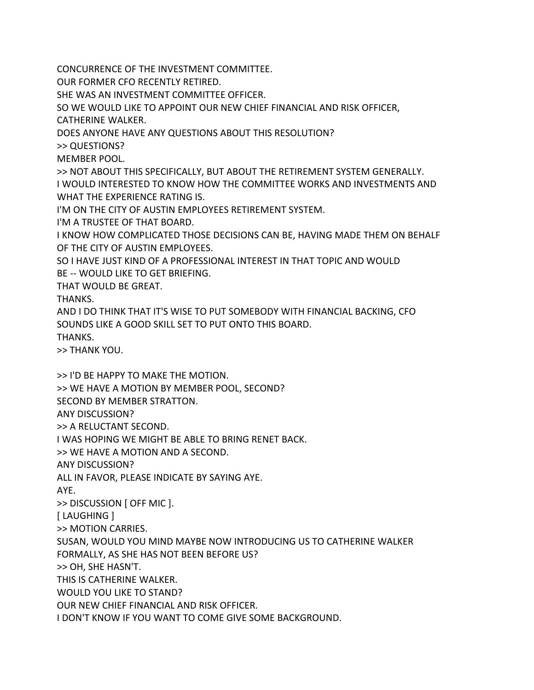CONCURRENCE OF THE INVESTMENT COMMITTEE.

OUR FORMER CFO RECENTLY RETIRED.

SHE WAS AN INVESTMENT COMMITTEE OFFICER.

SO WE WOULD LIKE TO APPOINT OUR NEW CHIEF FINANCIAL AND RISK OFFICER,

CATHERINE WALKER.

DOES ANYONE HAVE ANY QUESTIONS ABOUT THIS RESOLUTION?

>> QUESTIONS?

MEMBER POOL.

>> NOT ABOUT THIS SPECIFICALLY, BUT ABOUT THE RETIREMENT SYSTEM GENERALLY. I WOULD INTERESTED TO KNOW HOW THE COMMITTEE WORKS AND INVESTMENTS AND WHAT THE EXPERIENCE RATING IS.

I'M ON THE CITY OF AUSTIN EMPLOYEES RETIREMENT SYSTEM.

I'M A TRUSTEE OF THAT BOARD.

I KNOW HOW COMPLICATED THOSE DECISIONS CAN BE, HAVING MADE THEM ON BEHALF OF THE CITY OF AUSTIN EMPLOYEES.

SO I HAVE JUST KIND OF A PROFESSIONAL INTEREST IN THAT TOPIC AND WOULD BE -- WOULD LIKE TO GET BRIEFING.

THAT WOULD BE GREAT.

THANKS.

AND I DO THINK THAT IT'S WISE TO PUT SOMEBODY WITH FINANCIAL BACKING, CFO SOUNDS LIKE A GOOD SKILL SET TO PUT ONTO THIS BOARD.

THANKS.

>> THANK YOU.

>> I'D BE HAPPY TO MAKE THE MOTION. >> WE HAVE A MOTION BY MEMBER POOL, SECOND? SECOND BY MEMBER STRATTON. ANY DISCUSSION? >> A RELUCTANT SECOND. I WAS HOPING WE MIGHT BE ABLE TO BRING RENET BACK. >> WE HAVE A MOTION AND A SECOND. ANY DISCUSSION? ALL IN FAVOR, PLEASE INDICATE BY SAYING AYE. AYE. >> DISCUSSION [ OFF MIC ]. [ LAUGHING ] >> MOTION CARRIES. SUSAN, WOULD YOU MIND MAYBE NOW INTRODUCING US TO CATHERINE WALKER FORMALLY, AS SHE HAS NOT BEEN BEFORE US? >> OH, SHE HASN'T. THIS IS CATHERINE WALKER. WOULD YOU LIKE TO STAND? OUR NEW CHIEF FINANCIAL AND RISK OFFICER. I DON'T KNOW IF YOU WANT TO COME GIVE SOME BACKGROUND.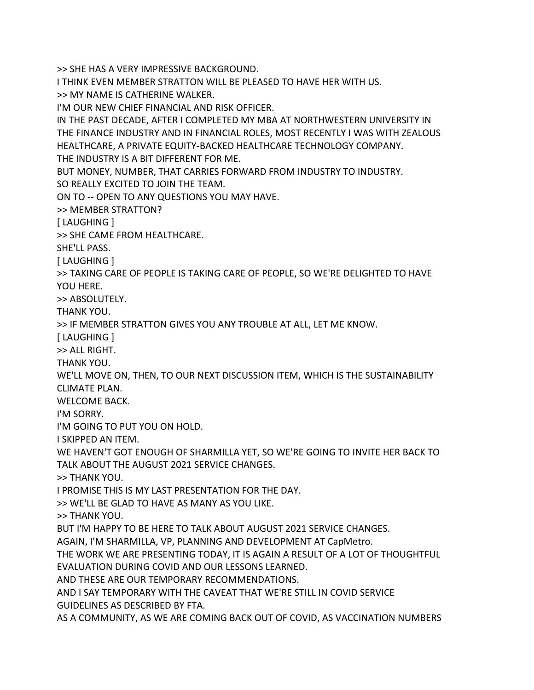>> SHE HAS A VERY IMPRESSIVE BACKGROUND.

I THINK EVEN MEMBER STRATTON WILL BE PLEASED TO HAVE HER WITH US.

>> MY NAME IS CATHERINE WALKER.

I'M OUR NEW CHIEF FINANCIAL AND RISK OFFICER.

IN THE PAST DECADE, AFTER I COMPLETED MY MBA AT NORTHWESTERN UNIVERSITY IN THE FINANCE INDUSTRY AND IN FINANCIAL ROLES, MOST RECENTLY I WAS WITH ZEALOUS HEALTHCARE, A PRIVATE EQUITY-BACKED HEALTHCARE TECHNOLOGY COMPANY. THE INDUSTRY IS A BIT DIFFERENT FOR ME.

BUT MONEY, NUMBER, THAT CARRIES FORWARD FROM INDUSTRY TO INDUSTRY.

SO REALLY EXCITED TO JOIN THE TEAM.

ON TO -- OPEN TO ANY QUESTIONS YOU MAY HAVE.

>> MEMBER STRATTON?

[ LAUGHING ]

>> SHE CAME FROM HEALTHCARE.

SHE'LL PASS.

[ LAUGHING ]

>> TAKING CARE OF PEOPLE IS TAKING CARE OF PEOPLE, SO WE'RE DELIGHTED TO HAVE YOU HERE.

>> ABSOLUTELY.

THANK YOU.

>> IF MEMBER STRATTON GIVES YOU ANY TROUBLE AT ALL, LET ME KNOW.

[ LAUGHING ]

>> ALL RIGHT.

THANK YOU.

WE'LL MOVE ON, THEN, TO OUR NEXT DISCUSSION ITEM, WHICH IS THE SUSTAINABILITY CLIMATE PLAN.

WELCOME BACK.

I'M SORRY.

I'M GOING TO PUT YOU ON HOLD.

I SKIPPED AN ITEM.

WE HAVEN'T GOT ENOUGH OF SHARMILLA YET, SO WE'RE GOING TO INVITE HER BACK TO TALK ABOUT THE AUGUST 2021 SERVICE CHANGES.

>> THANK YOU.

I PROMISE THIS IS MY LAST PRESENTATION FOR THE DAY.

>> WE'LL BE GLAD TO HAVE AS MANY AS YOU LIKE.

>> THANK YOU.

BUT I'M HAPPY TO BE HERE TO TALK ABOUT AUGUST 2021 SERVICE CHANGES.

AGAIN, I'M SHARMILLA, VP, PLANNING AND DEVELOPMENT AT CapMetro.

THE WORK WE ARE PRESENTING TODAY, IT IS AGAIN A RESULT OF A LOT OF THOUGHTFUL

EVALUATION DURING COVID AND OUR LESSONS LEARNED.

AND THESE ARE OUR TEMPORARY RECOMMENDATIONS.

AND I SAY TEMPORARY WITH THE CAVEAT THAT WE'RE STILL IN COVID SERVICE GUIDELINES AS DESCRIBED BY FTA.

AS A COMMUNITY, AS WE ARE COMING BACK OUT OF COVID, AS VACCINATION NUMBERS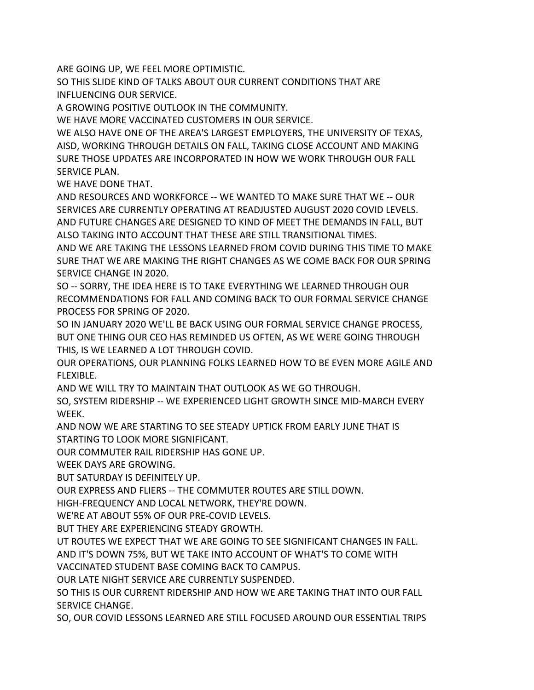ARE GOING UP, WE FEEL MORE OPTIMISTIC.

SO THIS SLIDE KIND OF TALKS ABOUT OUR CURRENT CONDITIONS THAT ARE INFLUENCING OUR SERVICE.

A GROWING POSITIVE OUTLOOK IN THE COMMUNITY.

WE HAVE MORE VACCINATED CUSTOMERS IN OUR SERVICE.

WE ALSO HAVE ONE OF THE AREA'S LARGEST EMPLOYERS, THE UNIVERSITY OF TEXAS, AISD, WORKING THROUGH DETAILS ON FALL, TAKING CLOSE ACCOUNT AND MAKING SURE THOSE UPDATES ARE INCORPORATED IN HOW WE WORK THROUGH OUR FALL SERVICE PLAN.

WE HAVE DONE THAT.

AND RESOURCES AND WORKFORCE -- WE WANTED TO MAKE SURE THAT WE -- OUR SERVICES ARE CURRENTLY OPERATING AT READJUSTED AUGUST 2020 COVID LEVELS. AND FUTURE CHANGES ARE DESIGNED TO KIND OF MEET THE DEMANDS IN FALL, BUT ALSO TAKING INTO ACCOUNT THAT THESE ARE STILL TRANSITIONAL TIMES.

AND WE ARE TAKING THE LESSONS LEARNED FROM COVID DURING THIS TIME TO MAKE SURE THAT WE ARE MAKING THE RIGHT CHANGES AS WE COME BACK FOR OUR SPRING SERVICE CHANGE IN 2020.

SO -- SORRY, THE IDEA HERE IS TO TAKE EVERYTHING WE LEARNED THROUGH OUR RECOMMENDATIONS FOR FALL AND COMING BACK TO OUR FORMAL SERVICE CHANGE PROCESS FOR SPRING OF 2020.

SO IN JANUARY 2020 WE'LL BE BACK USING OUR FORMAL SERVICE CHANGE PROCESS, BUT ONE THING OUR CEO HAS REMINDED US OFTEN, AS WE WERE GOING THROUGH THIS, IS WE LEARNED A LOT THROUGH COVID.

OUR OPERATIONS, OUR PLANNING FOLKS LEARNED HOW TO BE EVEN MORE AGILE AND FLEXIBLE.

AND WE WILL TRY TO MAINTAIN THAT OUTLOOK AS WE GO THROUGH.

SO, SYSTEM RIDERSHIP -- WE EXPERIENCED LIGHT GROWTH SINCE MID-MARCH EVERY WEEK.

AND NOW WE ARE STARTING TO SEE STEADY UPTICK FROM EARLY JUNE THAT IS STARTING TO LOOK MORE SIGNIFICANT.

OUR COMMUTER RAIL RIDERSHIP HAS GONE UP.

WEEK DAYS ARE GROWING.

BUT SATURDAY IS DEFINITELY UP.

OUR EXPRESS AND FLIERS -- THE COMMUTER ROUTES ARE STILL DOWN.

HIGH-FREQUENCY AND LOCAL NETWORK, THEY'RE DOWN.

WE'RE AT ABOUT 55% OF OUR PRE-COVID LEVELS.

BUT THEY ARE EXPERIENCING STEADY GROWTH.

UT ROUTES WE EXPECT THAT WE ARE GOING TO SEE SIGNIFICANT CHANGES IN FALL.

AND IT'S DOWN 75%, BUT WE TAKE INTO ACCOUNT OF WHAT'S TO COME WITH

VACCINATED STUDENT BASE COMING BACK TO CAMPUS.

OUR LATE NIGHT SERVICE ARE CURRENTLY SUSPENDED.

SO THIS IS OUR CURRENT RIDERSHIP AND HOW WE ARE TAKING THAT INTO OUR FALL SERVICE CHANGE.

SO, OUR COVID LESSONS LEARNED ARE STILL FOCUSED AROUND OUR ESSENTIAL TRIPS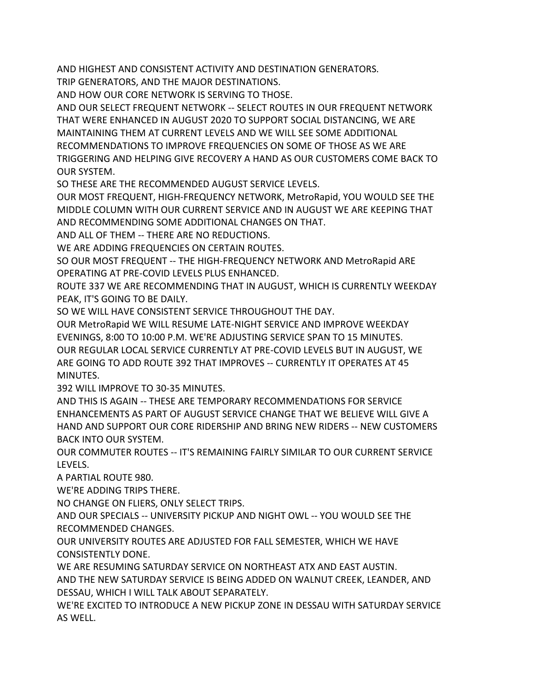AND HIGHEST AND CONSISTENT ACTIVITY AND DESTINATION GENERATORS.

TRIP GENERATORS, AND THE MAJOR DESTINATIONS.

AND HOW OUR CORE NETWORK IS SERVING TO THOSE.

AND OUR SELECT FREQUENT NETWORK -- SELECT ROUTES IN OUR FREQUENT NETWORK THAT WERE ENHANCED IN AUGUST 2020 TO SUPPORT SOCIAL DISTANCING, WE ARE MAINTAINING THEM AT CURRENT LEVELS AND WE WILL SEE SOME ADDITIONAL RECOMMENDATIONS TO IMPROVE FREQUENCIES ON SOME OF THOSE AS WE ARE TRIGGERING AND HELPING GIVE RECOVERY A HAND AS OUR CUSTOMERS COME BACK TO OUR SYSTEM.

SO THESE ARE THE RECOMMENDED AUGUST SERVICE LEVELS.

OUR MOST FREQUENT, HIGH-FREQUENCY NETWORK, MetroRapid, YOU WOULD SEE THE MIDDLE COLUMN WITH OUR CURRENT SERVICE AND IN AUGUST WE ARE KEEPING THAT AND RECOMMENDING SOME ADDITIONAL CHANGES ON THAT.

AND ALL OF THEM -- THERE ARE NO REDUCTIONS.

WE ARE ADDING FREQUENCIES ON CERTAIN ROUTES.

SO OUR MOST FREQUENT -- THE HIGH-FREQUENCY NETWORK AND MetroRapid ARE OPERATING AT PRE-COVID LEVELS PLUS ENHANCED.

ROUTE 337 WE ARE RECOMMENDING THAT IN AUGUST, WHICH IS CURRENTLY WEEKDAY PEAK, IT'S GOING TO BE DAILY.

SO WE WILL HAVE CONSISTENT SERVICE THROUGHOUT THE DAY.

OUR MetroRapid WE WILL RESUME LATE-NIGHT SERVICE AND IMPROVE WEEKDAY EVENINGS, 8:00 TO 10:00 P.M. WE'RE ADJUSTING SERVICE SPAN TO 15 MINUTES. OUR REGULAR LOCAL SERVICE CURRENTLY AT PRE-COVID LEVELS BUT IN AUGUST, WE ARE GOING TO ADD ROUTE 392 THAT IMPROVES -- CURRENTLY IT OPERATES AT 45 MINUTES.

392 WILL IMPROVE TO 30-35 MINUTES.

AND THIS IS AGAIN -- THESE ARE TEMPORARY RECOMMENDATIONS FOR SERVICE ENHANCEMENTS AS PART OF AUGUST SERVICE CHANGE THAT WE BELIEVE WILL GIVE A HAND AND SUPPORT OUR CORE RIDERSHIP AND BRING NEW RIDERS -- NEW CUSTOMERS BACK INTO OUR SYSTEM.

OUR COMMUTER ROUTES -- IT'S REMAINING FAIRLY SIMILAR TO OUR CURRENT SERVICE LEVELS.

A PARTIAL ROUTE 980.

WE'RE ADDING TRIPS THERE.

NO CHANGE ON FLIERS, ONLY SELECT TRIPS.

AND OUR SPECIALS -- UNIVERSITY PICKUP AND NIGHT OWL -- YOU WOULD SEE THE RECOMMENDED CHANGES.

OUR UNIVERSITY ROUTES ARE ADJUSTED FOR FALL SEMESTER, WHICH WE HAVE CONSISTENTLY DONE.

WE ARE RESUMING SATURDAY SERVICE ON NORTHEAST ATX AND EAST AUSTIN.

AND THE NEW SATURDAY SERVICE IS BEING ADDED ON WALNUT CREEK, LEANDER, AND DESSAU, WHICH I WILL TALK ABOUT SEPARATELY.

WE'RE EXCITED TO INTRODUCE A NEW PICKUP ZONE IN DESSAU WITH SATURDAY SERVICE AS WELL.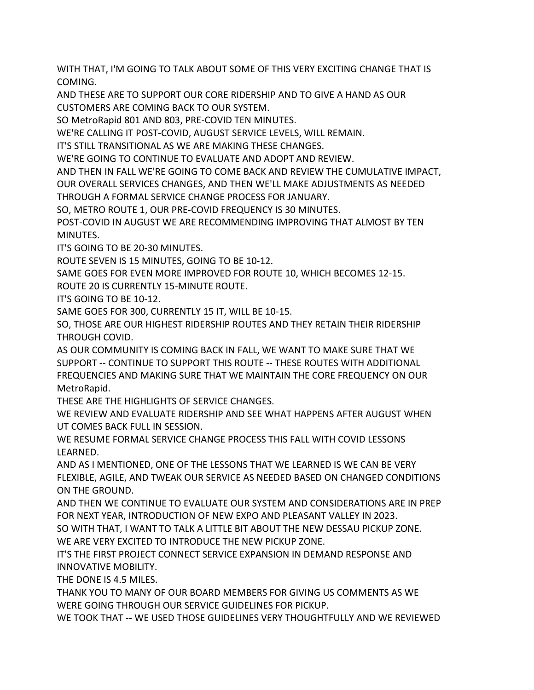WITH THAT, I'M GOING TO TALK ABOUT SOME OF THIS VERY EXCITING CHANGE THAT IS COMING.

AND THESE ARE TO SUPPORT OUR CORE RIDERSHIP AND TO GIVE A HAND AS OUR CUSTOMERS ARE COMING BACK TO OUR SYSTEM.

SO MetroRapid 801 AND 803, PRE-COVID TEN MINUTES.

WE'RE CALLING IT POST-COVID, AUGUST SERVICE LEVELS, WILL REMAIN.

IT'S STILL TRANSITIONAL AS WE ARE MAKING THESE CHANGES.

WE'RE GOING TO CONTINUE TO EVALUATE AND ADOPT AND REVIEW.

AND THEN IN FALL WE'RE GOING TO COME BACK AND REVIEW THE CUMULATIVE IMPACT, OUR OVERALL SERVICES CHANGES, AND THEN WE'LL MAKE ADJUSTMENTS AS NEEDED THROUGH A FORMAL SERVICE CHANGE PROCESS FOR JANUARY.

SO, METRO ROUTE 1, OUR PRE-COVID FREQUENCY IS 30 MINUTES.

POST-COVID IN AUGUST WE ARE RECOMMENDING IMPROVING THAT ALMOST BY TEN MINUTES.

IT'S GOING TO BE 20-30 MINUTES.

ROUTE SEVEN IS 15 MINUTES, GOING TO BE 10-12.

SAME GOES FOR EVEN MORE IMPROVED FOR ROUTE 10, WHICH BECOMES 12-15.

ROUTE 20 IS CURRENTLY 15-MINUTE ROUTE.

IT'S GOING TO BE 10-12.

SAME GOES FOR 300, CURRENTLY 15 IT, WILL BE 10-15.

SO, THOSE ARE OUR HIGHEST RIDERSHIP ROUTES AND THEY RETAIN THEIR RIDERSHIP THROUGH COVID.

AS OUR COMMUNITY IS COMING BACK IN FALL, WE WANT TO MAKE SURE THAT WE SUPPORT -- CONTINUE TO SUPPORT THIS ROUTE -- THESE ROUTES WITH ADDITIONAL FREQUENCIES AND MAKING SURE THAT WE MAINTAIN THE CORE FREQUENCY ON OUR MetroRapid.

THESE ARE THE HIGHLIGHTS OF SERVICE CHANGES.

WE REVIEW AND EVALUATE RIDERSHIP AND SEE WHAT HAPPENS AFTER AUGUST WHEN UT COMES BACK FULL IN SESSION.

WE RESUME FORMAL SERVICE CHANGE PROCESS THIS FALL WITH COVID LESSONS LEARNED.

AND AS I MENTIONED, ONE OF THE LESSONS THAT WE LEARNED IS WE CAN BE VERY FLEXIBLE, AGILE, AND TWEAK OUR SERVICE AS NEEDED BASED ON CHANGED CONDITIONS ON THE GROUND.

AND THEN WE CONTINUE TO EVALUATE OUR SYSTEM AND CONSIDERATIONS ARE IN PREP FOR NEXT YEAR, INTRODUCTION OF NEW EXPO AND PLEASANT VALLEY IN 2023.

SO WITH THAT, I WANT TO TALK A LITTLE BIT ABOUT THE NEW DESSAU PICKUP ZONE. WE ARE VERY EXCITED TO INTRODUCE THE NEW PICKUP ZONE.

IT'S THE FIRST PROJECT CONNECT SERVICE EXPANSION IN DEMAND RESPONSE AND INNOVATIVE MOBILITY.

THE DONE IS 4.5 MILES.

THANK YOU TO MANY OF OUR BOARD MEMBERS FOR GIVING US COMMENTS AS WE WERE GOING THROUGH OUR SERVICE GUIDELINES FOR PICKUP.

WE TOOK THAT -- WE USED THOSE GUIDELINES VERY THOUGHTFULLY AND WE REVIEWED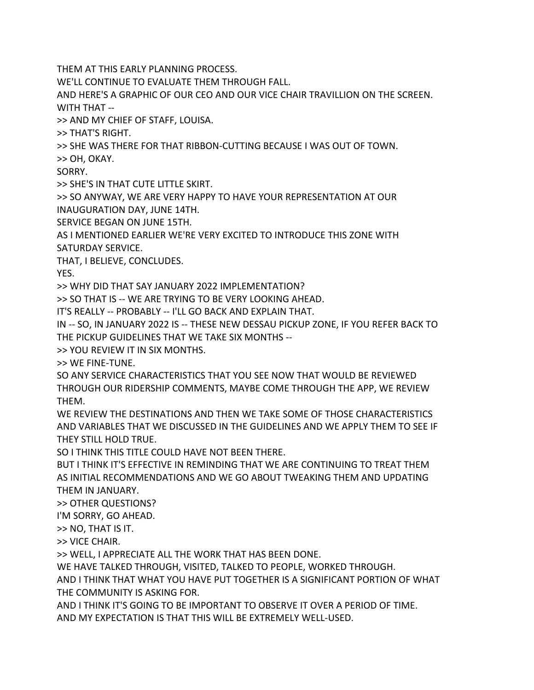THEM AT THIS EARLY PLANNING PROCESS.

WE'LL CONTINUE TO EVALUATE THEM THROUGH FALL.

AND HERE'S A GRAPHIC OF OUR CEO AND OUR VICE CHAIR TRAVILLION ON THE SCREEN. WITH THAT --

>> AND MY CHIEF OF STAFF, LOUISA.

>> THAT'S RIGHT.

>> SHE WAS THERE FOR THAT RIBBON-CUTTING BECAUSE I WAS OUT OF TOWN.

>> OH, OKAY.

SORRY.

>> SHE'S IN THAT CUTE LITTLE SKIRT.

>> SO ANYWAY, WE ARE VERY HAPPY TO HAVE YOUR REPRESENTATION AT OUR INAUGURATION DAY, JUNE 14TH.

SERVICE BEGAN ON JUNE 15TH.

AS I MENTIONED EARLIER WE'RE VERY EXCITED TO INTRODUCE THIS ZONE WITH SATURDAY SERVICE.

THAT, I BELIEVE, CONCLUDES.

YES.

>> WHY DID THAT SAY JANUARY 2022 IMPLEMENTATION?

>> SO THAT IS -- WE ARE TRYING TO BE VERY LOOKING AHEAD.

IT'S REALLY -- PROBABLY -- I'LL GO BACK AND EXPLAIN THAT.

IN -- SO, IN JANUARY 2022 IS -- THESE NEW DESSAU PICKUP ZONE, IF YOU REFER BACK TO THE PICKUP GUIDELINES THAT WE TAKE SIX MONTHS --

>> YOU REVIEW IT IN SIX MONTHS.

>> WE FINE-TUNE.

SO ANY SERVICE CHARACTERISTICS THAT YOU SEE NOW THAT WOULD BE REVIEWED THROUGH OUR RIDERSHIP COMMENTS, MAYBE COME THROUGH THE APP, WE REVIEW THEM.

WE REVIEW THE DESTINATIONS AND THEN WE TAKE SOME OF THOSE CHARACTERISTICS AND VARIABLES THAT WE DISCUSSED IN THE GUIDELINES AND WE APPLY THEM TO SEE IF THEY STILL HOLD TRUE.

SO I THINK THIS TITLE COULD HAVE NOT BEEN THERE.

BUT I THINK IT'S EFFECTIVE IN REMINDING THAT WE ARE CONTINUING TO TREAT THEM AS INITIAL RECOMMENDATIONS AND WE GO ABOUT TWEAKING THEM AND UPDATING THEM IN JANUARY.

>> OTHER QUESTIONS?

I'M SORRY, GO AHEAD.

>> NO, THAT IS IT.

>> VICE CHAIR.

>> WELL, I APPRECIATE ALL THE WORK THAT HAS BEEN DONE.

WE HAVE TALKED THROUGH, VISITED, TALKED TO PEOPLE, WORKED THROUGH.

AND I THINK THAT WHAT YOU HAVE PUT TOGETHER IS A SIGNIFICANT PORTION OF WHAT THE COMMUNITY IS ASKING FOR.

AND I THINK IT'S GOING TO BE IMPORTANT TO OBSERVE IT OVER A PERIOD OF TIME. AND MY EXPECTATION IS THAT THIS WILL BE EXTREMELY WELL-USED.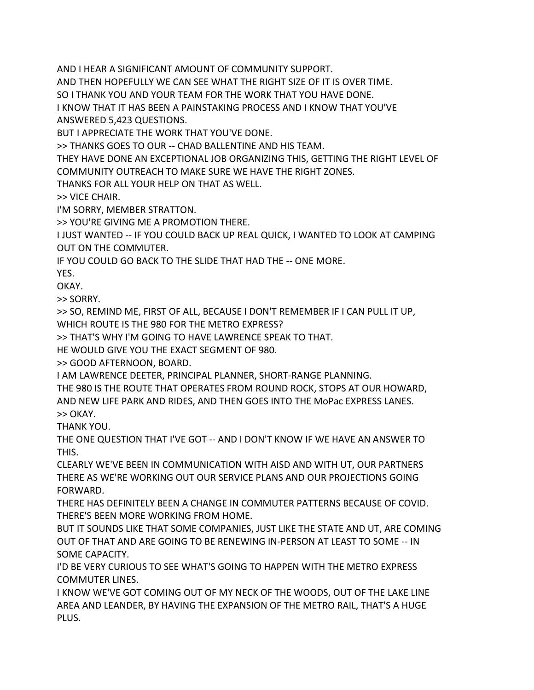AND I HEAR A SIGNIFICANT AMOUNT OF COMMUNITY SUPPORT.

AND THEN HOPEFULLY WE CAN SEE WHAT THE RIGHT SIZE OF IT IS OVER TIME.

SO I THANK YOU AND YOUR TEAM FOR THE WORK THAT YOU HAVE DONE.

I KNOW THAT IT HAS BEEN A PAINSTAKING PROCESS AND I KNOW THAT YOU'VE ANSWERED 5,423 QUESTIONS.

BUT I APPRECIATE THE WORK THAT YOU'VE DONE.

>> THANKS GOES TO OUR -- CHAD BALLENTINE AND HIS TEAM.

THEY HAVE DONE AN EXCEPTIONAL JOB ORGANIZING THIS, GETTING THE RIGHT LEVEL OF COMMUNITY OUTREACH TO MAKE SURE WE HAVE THE RIGHT ZONES.

THANKS FOR ALL YOUR HELP ON THAT AS WELL.

>> VICE CHAIR.

I'M SORRY, MEMBER STRATTON.

>> YOU'RE GIVING ME A PROMOTION THERE.

I JUST WANTED -- IF YOU COULD BACK UP REAL QUICK, I WANTED TO LOOK AT CAMPING OUT ON THE COMMUTER.

IF YOU COULD GO BACK TO THE SLIDE THAT HAD THE -- ONE MORE.

YES.

OKAY.

>> SORRY.

>> SO, REMIND ME, FIRST OF ALL, BECAUSE I DON'T REMEMBER IF I CAN PULL IT UP,

WHICH ROUTE IS THE 980 FOR THE METRO EXPRESS?

>> THAT'S WHY I'M GOING TO HAVE LAWRENCE SPEAK TO THAT.

HE WOULD GIVE YOU THE EXACT SEGMENT OF 980.

>> GOOD AFTERNOON, BOARD.

I AM LAWRENCE DEETER, PRINCIPAL PLANNER, SHORT-RANGE PLANNING.

THE 980 IS THE ROUTE THAT OPERATES FROM ROUND ROCK, STOPS AT OUR HOWARD, AND NEW LIFE PARK AND RIDES, AND THEN GOES INTO THE MoPac EXPRESS LANES. >> OKAY.

THANK YOU.

THE ONE QUESTION THAT I'VE GOT -- AND I DON'T KNOW IF WE HAVE AN ANSWER TO THIS.

CLEARLY WE'VE BEEN IN COMMUNICATION WITH AISD AND WITH UT, OUR PARTNERS THERE AS WE'RE WORKING OUT OUR SERVICE PLANS AND OUR PROJECTIONS GOING FORWARD.

THERE HAS DEFINITELY BEEN A CHANGE IN COMMUTER PATTERNS BECAUSE OF COVID. THERE'S BEEN MORE WORKING FROM HOME.

BUT IT SOUNDS LIKE THAT SOME COMPANIES, JUST LIKE THE STATE AND UT, ARE COMING OUT OF THAT AND ARE GOING TO BE RENEWING IN-PERSON AT LEAST TO SOME -- IN SOME CAPACITY.

I'D BE VERY CURIOUS TO SEE WHAT'S GOING TO HAPPEN WITH THE METRO EXPRESS COMMUTER LINES.

I KNOW WE'VE GOT COMING OUT OF MY NECK OF THE WOODS, OUT OF THE LAKE LINE AREA AND LEANDER, BY HAVING THE EXPANSION OF THE METRO RAIL, THAT'S A HUGE PLUS.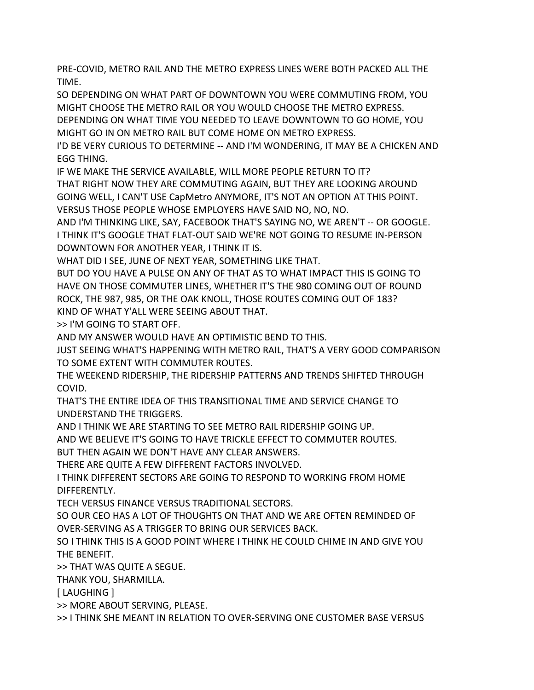PRE-COVID, METRO RAIL AND THE METRO EXPRESS LINES WERE BOTH PACKED ALL THE TIME.

SO DEPENDING ON WHAT PART OF DOWNTOWN YOU WERE COMMUTING FROM, YOU MIGHT CHOOSE THE METRO RAIL OR YOU WOULD CHOOSE THE METRO EXPRESS.

DEPENDING ON WHAT TIME YOU NEEDED TO LEAVE DOWNTOWN TO GO HOME, YOU MIGHT GO IN ON METRO RAIL BUT COME HOME ON METRO EXPRESS.

I'D BE VERY CURIOUS TO DETERMINE -- AND I'M WONDERING, IT MAY BE A CHICKEN AND EGG THING.

IF WE MAKE THE SERVICE AVAILABLE, WILL MORE PEOPLE RETURN TO IT?

THAT RIGHT NOW THEY ARE COMMUTING AGAIN, BUT THEY ARE LOOKING AROUND GOING WELL, I CAN'T USE CapMetro ANYMORE, IT'S NOT AN OPTION AT THIS POINT. VERSUS THOSE PEOPLE WHOSE EMPLOYERS HAVE SAID NO, NO, NO.

AND I'M THINKING LIKE, SAY, FACEBOOK THAT'S SAYING NO, WE AREN'T -- OR GOOGLE. I THINK IT'S GOOGLE THAT FLAT-OUT SAID WE'RE NOT GOING TO RESUME IN-PERSON DOWNTOWN FOR ANOTHER YEAR, I THINK IT IS.

WHAT DID I SEE, JUNE OF NEXT YEAR, SOMETHING LIKE THAT.

BUT DO YOU HAVE A PULSE ON ANY OF THAT AS TO WHAT IMPACT THIS IS GOING TO HAVE ON THOSE COMMUTER LINES, WHETHER IT'S THE 980 COMING OUT OF ROUND ROCK, THE 987, 985, OR THE OAK KNOLL, THOSE ROUTES COMING OUT OF 183? KIND OF WHAT Y'ALL WERE SEEING ABOUT THAT.

>> I'M GOING TO START OFF.

AND MY ANSWER WOULD HAVE AN OPTIMISTIC BEND TO THIS.

JUST SEEING WHAT'S HAPPENING WITH METRO RAIL, THAT'S A VERY GOOD COMPARISON TO SOME EXTENT WITH COMMUTER ROUTES.

THE WEEKEND RIDERSHIP, THE RIDERSHIP PATTERNS AND TRENDS SHIFTED THROUGH COVID.

THAT'S THE ENTIRE IDEA OF THIS TRANSITIONAL TIME AND SERVICE CHANGE TO UNDERSTAND THE TRIGGERS.

AND I THINK WE ARE STARTING TO SEE METRO RAIL RIDERSHIP GOING UP.

AND WE BELIEVE IT'S GOING TO HAVE TRICKLE EFFECT TO COMMUTER ROUTES.

BUT THEN AGAIN WE DON'T HAVE ANY CLEAR ANSWERS.

THERE ARE QUITE A FEW DIFFERENT FACTORS INVOLVED.

I THINK DIFFERENT SECTORS ARE GOING TO RESPOND TO WORKING FROM HOME DIFFERENTLY.

TECH VERSUS FINANCE VERSUS TRADITIONAL SECTORS.

SO OUR CEO HAS A LOT OF THOUGHTS ON THAT AND WE ARE OFTEN REMINDED OF OVER-SERVING AS A TRIGGER TO BRING OUR SERVICES BACK.

SO I THINK THIS IS A GOOD POINT WHERE I THINK HE COULD CHIME IN AND GIVE YOU THE BENEFIT.

>> THAT WAS QUITE A SEGUE.

THANK YOU, SHARMILLA.

[ LAUGHING ]

>> MORE ABOUT SERVING, PLEASE.

>> I THINK SHE MEANT IN RELATION TO OVER-SERVING ONE CUSTOMER BASE VERSUS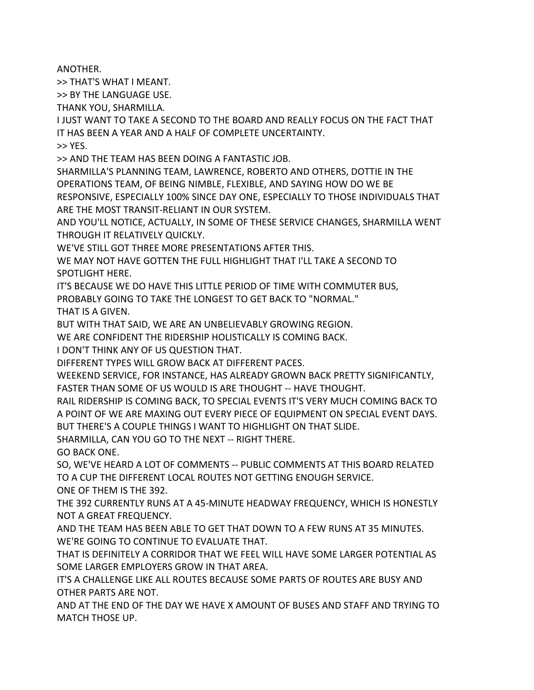ANOTHER.

>> THAT'S WHAT I MEANT.

>> BY THE LANGUAGE USE.

THANK YOU, SHARMILLA.

I JUST WANT TO TAKE A SECOND TO THE BOARD AND REALLY FOCUS ON THE FACT THAT IT HAS BEEN A YEAR AND A HALF OF COMPLETE UNCERTAINTY.

>> YES.

>> AND THE TEAM HAS BEEN DOING A FANTASTIC JOB.

SHARMILLA'S PLANNING TEAM, LAWRENCE, ROBERTO AND OTHERS, DOTTIE IN THE OPERATIONS TEAM, OF BEING NIMBLE, FLEXIBLE, AND SAYING HOW DO WE BE RESPONSIVE, ESPECIALLY 100% SINCE DAY ONE, ESPECIALLY TO THOSE INDIVIDUALS THAT ARE THE MOST TRANSIT-RELIANT IN OUR SYSTEM.

AND YOU'LL NOTICE, ACTUALLY, IN SOME OF THESE SERVICE CHANGES, SHARMILLA WENT THROUGH IT RELATIVELY QUICKLY.

WE'VE STILL GOT THREE MORE PRESENTATIONS AFTER THIS.

WE MAY NOT HAVE GOTTEN THE FULL HIGHLIGHT THAT I'LL TAKE A SECOND TO SPOTLIGHT HERE.

IT'S BECAUSE WE DO HAVE THIS LITTLE PERIOD OF TIME WITH COMMUTER BUS,

PROBABLY GOING TO TAKE THE LONGEST TO GET BACK TO "NORMAL."

THAT IS A GIVEN.

BUT WITH THAT SAID, WE ARE AN UNBELIEVABLY GROWING REGION.

WE ARE CONFIDENT THE RIDERSHIP HOLISTICALLY IS COMING BACK.

I DON'T THINK ANY OF US QUESTION THAT.

DIFFERENT TYPES WILL GROW BACK AT DIFFERENT PACES.

WEEKEND SERVICE, FOR INSTANCE, HAS ALREADY GROWN BACK PRETTY SIGNIFICANTLY, FASTER THAN SOME OF US WOULD IS ARE THOUGHT -- HAVE THOUGHT.

RAIL RIDERSHIP IS COMING BACK, TO SPECIAL EVENTS IT'S VERY MUCH COMING BACK TO A POINT OF WE ARE MAXING OUT EVERY PIECE OF EQUIPMENT ON SPECIAL EVENT DAYS. BUT THERE'S A COUPLE THINGS I WANT TO HIGHLIGHT ON THAT SLIDE.

SHARMILLA, CAN YOU GO TO THE NEXT -- RIGHT THERE.

GO BACK ONE.

SO, WE'VE HEARD A LOT OF COMMENTS -- PUBLIC COMMENTS AT THIS BOARD RELATED TO A CUP THE DIFFERENT LOCAL ROUTES NOT GETTING ENOUGH SERVICE.

ONE OF THEM IS THE 392.

THE 392 CURRENTLY RUNS AT A 45-MINUTE HEADWAY FREQUENCY, WHICH IS HONESTLY NOT A GREAT FREQUENCY.

AND THE TEAM HAS BEEN ABLE TO GET THAT DOWN TO A FEW RUNS AT 35 MINUTES. WE'RE GOING TO CONTINUE TO EVALUATE THAT.

THAT IS DEFINITELY A CORRIDOR THAT WE FEEL WILL HAVE SOME LARGER POTENTIAL AS SOME LARGER EMPLOYERS GROW IN THAT AREA.

IT'S A CHALLENGE LIKE ALL ROUTES BECAUSE SOME PARTS OF ROUTES ARE BUSY AND OTHER PARTS ARE NOT.

AND AT THE END OF THE DAY WE HAVE X AMOUNT OF BUSES AND STAFF AND TRYING TO MATCH THOSE UP.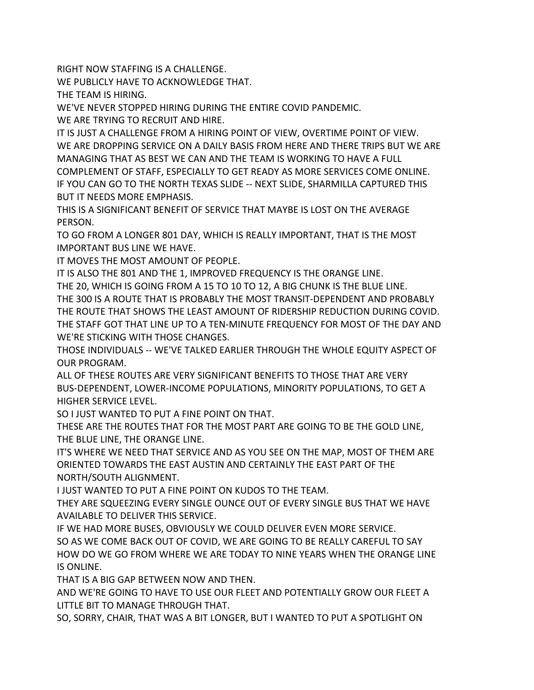RIGHT NOW STAFFING IS A CHALLENGE.

WE PUBLICLY HAVE TO ACKNOWLEDGE THAT.

THE TEAM IS HIRING.

WE'VE NEVER STOPPED HIRING DURING THE ENTIRE COVID PANDEMIC.

WE ARE TRYING TO RECRUIT AND HIRE.

IT IS JUST A CHALLENGE FROM A HIRING POINT OF VIEW, OVERTIME POINT OF VIEW. WE ARE DROPPING SERVICE ON A DAILY BASIS FROM HERE AND THERE TRIPS BUT WE ARE MANAGING THAT AS BEST WE CAN AND THE TEAM IS WORKING TO HAVE A FULL

COMPLEMENT OF STAFF, ESPECIALLY TO GET READY AS MORE SERVICES COME ONLINE. IF YOU CAN GO TO THE NORTH TEXAS SLIDE -- NEXT SLIDE, SHARMILLA CAPTURED THIS BUT IT NEEDS MORE EMPHASIS.

THIS IS A SIGNIFICANT BENEFIT OF SERVICE THAT MAYBE IS LOST ON THE AVERAGE PERSON.

TO GO FROM A LONGER 801 DAY, WHICH IS REALLY IMPORTANT, THAT IS THE MOST IMPORTANT BUS LINE WE HAVE.

IT MOVES THE MOST AMOUNT OF PEOPLE.

IT IS ALSO THE 801 AND THE 1, IMPROVED FREQUENCY IS THE ORANGE LINE.

THE 20, WHICH IS GOING FROM A 15 TO 10 TO 12, A BIG CHUNK IS THE BLUE LINE. THE 300 IS A ROUTE THAT IS PROBABLY THE MOST TRANSIT-DEPENDENT AND PROBABLY THE ROUTE THAT SHOWS THE LEAST AMOUNT OF RIDERSHIP REDUCTION DURING COVID. THE STAFF GOT THAT LINE UP TO A TEN-MINUTE FREQUENCY FOR MOST OF THE DAY AND WE'RE STICKING WITH THOSE CHANGES.

THOSE INDIVIDUALS -- WE'VE TALKED EARLIER THROUGH THE WHOLE EQUITY ASPECT OF OUR PROGRAM.

ALL OF THESE ROUTES ARE VERY SIGNIFICANT BENEFITS TO THOSE THAT ARE VERY BUS-DEPENDENT, LOWER-INCOME POPULATIONS, MINORITY POPULATIONS, TO GET A HIGHER SERVICE LEVEL.

SO I JUST WANTED TO PUT A FINE POINT ON THAT.

THESE ARE THE ROUTES THAT FOR THE MOST PART ARE GOING TO BE THE GOLD LINE, THE BLUE LINE, THE ORANGE LINE.

IT'S WHERE WE NEED THAT SERVICE AND AS YOU SEE ON THE MAP, MOST OF THEM ARE ORIENTED TOWARDS THE EAST AUSTIN AND CERTAINLY THE EAST PART OF THE NORTH/SOUTH ALIGNMENT.

I JUST WANTED TO PUT A FINE POINT ON KUDOS TO THE TEAM.

THEY ARE SQUEEZING EVERY SINGLE OUNCE OUT OF EVERY SINGLE BUS THAT WE HAVE AVAILABLE TO DELIVER THIS SERVICE.

IF WE HAD MORE BUSES, OBVIOUSLY WE COULD DELIVER EVEN MORE SERVICE. SO AS WE COME BACK OUT OF COVID, WE ARE GOING TO BE REALLY CAREFUL TO SAY HOW DO WE GO FROM WHERE WE ARE TODAY TO NINE YEARS WHEN THE ORANGE LINE IS ONLINE.

THAT IS A BIG GAP BETWEEN NOW AND THEN.

AND WE'RE GOING TO HAVE TO USE OUR FLEET AND POTENTIALLY GROW OUR FLEET A LITTLE BIT TO MANAGE THROUGH THAT.

SO, SORRY, CHAIR, THAT WAS A BIT LONGER, BUT I WANTED TO PUT A SPOTLIGHT ON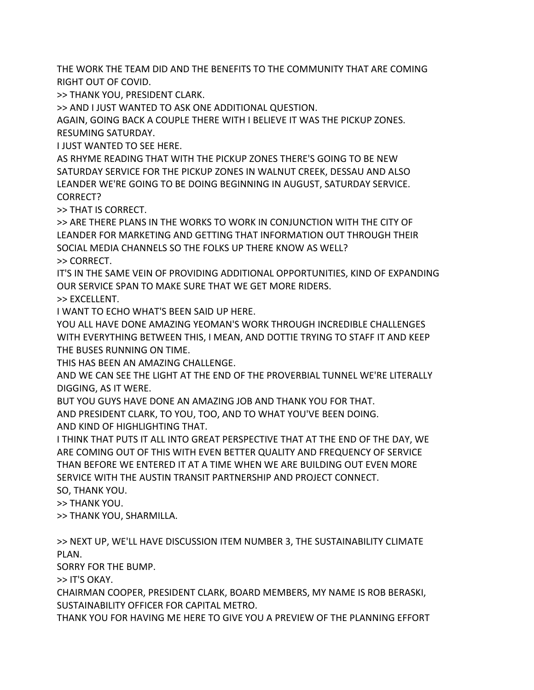THE WORK THE TEAM DID AND THE BENEFITS TO THE COMMUNITY THAT ARE COMING RIGHT OUT OF COVID.

>> THANK YOU, PRESIDENT CLARK.

>> AND I JUST WANTED TO ASK ONE ADDITIONAL QUESTION.

AGAIN, GOING BACK A COUPLE THERE WITH I BELIEVE IT WAS THE PICKUP ZONES. RESUMING SATURDAY.

I JUST WANTED TO SEE HERE.

AS RHYME READING THAT WITH THE PICKUP ZONES THERE'S GOING TO BE NEW SATURDAY SERVICE FOR THE PICKUP ZONES IN WALNUT CREEK, DESSAU AND ALSO LEANDER WE'RE GOING TO BE DOING BEGINNING IN AUGUST, SATURDAY SERVICE. CORRECT?

>> THAT IS CORRECT.

>> ARE THERE PLANS IN THE WORKS TO WORK IN CONJUNCTION WITH THE CITY OF LEANDER FOR MARKETING AND GETTING THAT INFORMATION OUT THROUGH THEIR SOCIAL MEDIA CHANNELS SO THE FOLKS UP THERE KNOW AS WELL? >> CORRECT.

IT'S IN THE SAME VEIN OF PROVIDING ADDITIONAL OPPORTUNITIES, KIND OF EXPANDING OUR SERVICE SPAN TO MAKE SURE THAT WE GET MORE RIDERS.

>> EXCELLENT.

I WANT TO ECHO WHAT'S BEEN SAID UP HERE.

YOU ALL HAVE DONE AMAZING YEOMAN'S WORK THROUGH INCREDIBLE CHALLENGES WITH EVERYTHING BETWEEN THIS, I MEAN, AND DOTTIE TRYING TO STAFF IT AND KEEP THE BUSES RUNNING ON TIME.

THIS HAS BEEN AN AMAZING CHALLENGE.

AND WE CAN SEE THE LIGHT AT THE END OF THE PROVERBIAL TUNNEL WE'RE LITERALLY DIGGING, AS IT WERE.

BUT YOU GUYS HAVE DONE AN AMAZING JOB AND THANK YOU FOR THAT.

AND PRESIDENT CLARK, TO YOU, TOO, AND TO WHAT YOU'VE BEEN DOING.

AND KIND OF HIGHLIGHTING THAT.

I THINK THAT PUTS IT ALL INTO GREAT PERSPECTIVE THAT AT THE END OF THE DAY, WE ARE COMING OUT OF THIS WITH EVEN BETTER QUALITY AND FREQUENCY OF SERVICE THAN BEFORE WE ENTERED IT AT A TIME WHEN WE ARE BUILDING OUT EVEN MORE SERVICE WITH THE AUSTIN TRANSIT PARTNERSHIP AND PROJECT CONNECT.

SO, THANK YOU. >> THANK YOU.

>> THANK YOU, SHARMILLA.

>> NEXT UP, WE'LL HAVE DISCUSSION ITEM NUMBER 3, THE SUSTAINABILITY CLIMATE PLAN.

SORRY FOR THE BUMP.

>> IT'S OKAY.

CHAIRMAN COOPER, PRESIDENT CLARK, BOARD MEMBERS, MY NAME IS ROB BERASKI, SUSTAINABILITY OFFICER FOR CAPITAL METRO.

THANK YOU FOR HAVING ME HERE TO GIVE YOU A PREVIEW OF THE PLANNING EFFORT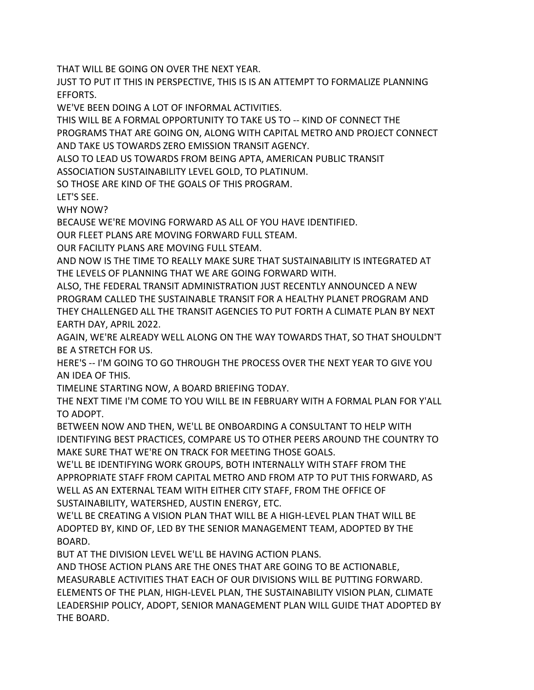THAT WILL BE GOING ON OVER THE NEXT YEAR.

JUST TO PUT IT THIS IN PERSPECTIVE, THIS IS IS AN ATTEMPT TO FORMALIZE PLANNING EFFORTS.

WE'VE BEEN DOING A LOT OF INFORMAL ACTIVITIES.

THIS WILL BE A FORMAL OPPORTUNITY TO TAKE US TO -- KIND OF CONNECT THE PROGRAMS THAT ARE GOING ON, ALONG WITH CAPITAL METRO AND PROJECT CONNECT AND TAKE US TOWARDS ZERO EMISSION TRANSIT AGENCY.

ALSO TO LEAD US TOWARDS FROM BEING APTA, AMERICAN PUBLIC TRANSIT

ASSOCIATION SUSTAINABILITY LEVEL GOLD, TO PLATINUM.

SO THOSE ARE KIND OF THE GOALS OF THIS PROGRAM.

LET'S SEE.

WHY NOW?

BECAUSE WE'RE MOVING FORWARD AS ALL OF YOU HAVE IDENTIFIED.

OUR FLEET PLANS ARE MOVING FORWARD FULL STEAM.

OUR FACILITY PLANS ARE MOVING FULL STEAM.

AND NOW IS THE TIME TO REALLY MAKE SURE THAT SUSTAINABILITY IS INTEGRATED AT THE LEVELS OF PLANNING THAT WE ARE GOING FORWARD WITH.

ALSO, THE FEDERAL TRANSIT ADMINISTRATION JUST RECENTLY ANNOUNCED A NEW PROGRAM CALLED THE SUSTAINABLE TRANSIT FOR A HEALTHY PLANET PROGRAM AND THEY CHALLENGED ALL THE TRANSIT AGENCIES TO PUT FORTH A CLIMATE PLAN BY NEXT EARTH DAY, APRIL 2022.

AGAIN, WE'RE ALREADY WELL ALONG ON THE WAY TOWARDS THAT, SO THAT SHOULDN'T BE A STRETCH FOR US.

HERE'S -- I'M GOING TO GO THROUGH THE PROCESS OVER THE NEXT YEAR TO GIVE YOU AN IDEA OF THIS.

TIMELINE STARTING NOW, A BOARD BRIEFING TODAY.

THE NEXT TIME I'M COME TO YOU WILL BE IN FEBRUARY WITH A FORMAL PLAN FOR Y'ALL TO ADOPT.

BETWEEN NOW AND THEN, WE'LL BE ONBOARDING A CONSULTANT TO HELP WITH IDENTIFYING BEST PRACTICES, COMPARE US TO OTHER PEERS AROUND THE COUNTRY TO MAKE SURE THAT WE'RE ON TRACK FOR MEETING THOSE GOALS.

WE'LL BE IDENTIFYING WORK GROUPS, BOTH INTERNALLY WITH STAFF FROM THE APPROPRIATE STAFF FROM CAPITAL METRO AND FROM ATP TO PUT THIS FORWARD, AS WELL AS AN EXTERNAL TEAM WITH EITHER CITY STAFF, FROM THE OFFICE OF SUSTAINABILITY, WATERSHED, AUSTIN ENERGY, ETC.

WE'LL BE CREATING A VISION PLAN THAT WILL BE A HIGH-LEVEL PLAN THAT WILL BE ADOPTED BY, KIND OF, LED BY THE SENIOR MANAGEMENT TEAM, ADOPTED BY THE BOARD.

BUT AT THE DIVISION LEVEL WE'LL BE HAVING ACTION PLANS.

AND THOSE ACTION PLANS ARE THE ONES THAT ARE GOING TO BE ACTIONABLE, MEASURABLE ACTIVITIES THAT EACH OF OUR DIVISIONS WILL BE PUTTING FORWARD. ELEMENTS OF THE PLAN, HIGH-LEVEL PLAN, THE SUSTAINABILITY VISION PLAN, CLIMATE LEADERSHIP POLICY, ADOPT, SENIOR MANAGEMENT PLAN WILL GUIDE THAT ADOPTED BY THE BOARD.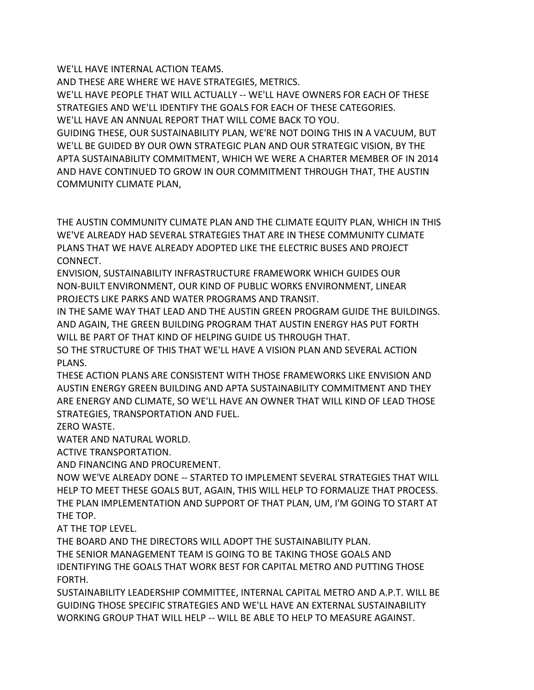WE'LL HAVE INTERNAL ACTION TEAMS.

AND THESE ARE WHERE WE HAVE STRATEGIES, METRICS.

WE'LL HAVE PEOPLE THAT WILL ACTUALLY -- WE'LL HAVE OWNERS FOR EACH OF THESE STRATEGIES AND WE'LL IDENTIFY THE GOALS FOR EACH OF THESE CATEGORIES.

WE'LL HAVE AN ANNUAL REPORT THAT WILL COME BACK TO YOU.

GUIDING THESE, OUR SUSTAINABILITY PLAN, WE'RE NOT DOING THIS IN A VACUUM, BUT WE'LL BE GUIDED BY OUR OWN STRATEGIC PLAN AND OUR STRATEGIC VISION, BY THE APTA SUSTAINABILITY COMMITMENT, WHICH WE WERE A CHARTER MEMBER OF IN 2014 AND HAVE CONTINUED TO GROW IN OUR COMMITMENT THROUGH THAT, THE AUSTIN COMMUNITY CLIMATE PLAN,

THE AUSTIN COMMUNITY CLIMATE PLAN AND THE CLIMATE EQUITY PLAN, WHICH IN THIS WE'VE ALREADY HAD SEVERAL STRATEGIES THAT ARE IN THESE COMMUNITY CLIMATE PLANS THAT WE HAVE ALREADY ADOPTED LIKE THE ELECTRIC BUSES AND PROJECT CONNECT.

ENVISION, SUSTAINABILITY INFRASTRUCTURE FRAMEWORK WHICH GUIDES OUR NON-BUILT ENVIRONMENT, OUR KIND OF PUBLIC WORKS ENVIRONMENT, LINEAR PROJECTS LIKE PARKS AND WATER PROGRAMS AND TRANSIT.

IN THE SAME WAY THAT LEAD AND THE AUSTIN GREEN PROGRAM GUIDE THE BUILDINGS. AND AGAIN, THE GREEN BUILDING PROGRAM THAT AUSTIN ENERGY HAS PUT FORTH WILL BE PART OF THAT KIND OF HELPING GUIDE US THROUGH THAT.

SO THE STRUCTURE OF THIS THAT WE'LL HAVE A VISION PLAN AND SEVERAL ACTION PLANS.

THESE ACTION PLANS ARE CONSISTENT WITH THOSE FRAMEWORKS LIKE ENVISION AND AUSTIN ENERGY GREEN BUILDING AND APTA SUSTAINABILITY COMMITMENT AND THEY ARE ENERGY AND CLIMATE, SO WE'LL HAVE AN OWNER THAT WILL KIND OF LEAD THOSE STRATEGIES, TRANSPORTATION AND FUEL.

ZERO WASTE.

WATER AND NATURAL WORLD.

ACTIVE TRANSPORTATION.

AND FINANCING AND PROCUREMENT.

NOW WE'VE ALREADY DONE -- STARTED TO IMPLEMENT SEVERAL STRATEGIES THAT WILL HELP TO MEET THESE GOALS BUT, AGAIN, THIS WILL HELP TO FORMALIZE THAT PROCESS. THE PLAN IMPLEMENTATION AND SUPPORT OF THAT PLAN, UM, I'M GOING TO START AT THE TOP.

AT THE TOP LEVEL.

THE BOARD AND THE DIRECTORS WILL ADOPT THE SUSTAINABILITY PLAN. THE SENIOR MANAGEMENT TEAM IS GOING TO BE TAKING THOSE GOALS AND IDENTIFYING THE GOALS THAT WORK BEST FOR CAPITAL METRO AND PUTTING THOSE FORTH.

SUSTAINABILITY LEADERSHIP COMMITTEE, INTERNAL CAPITAL METRO AND A.P.T. WILL BE GUIDING THOSE SPECIFIC STRATEGIES AND WE'LL HAVE AN EXTERNAL SUSTAINABILITY WORKING GROUP THAT WILL HELP -- WILL BE ABLE TO HELP TO MEASURE AGAINST.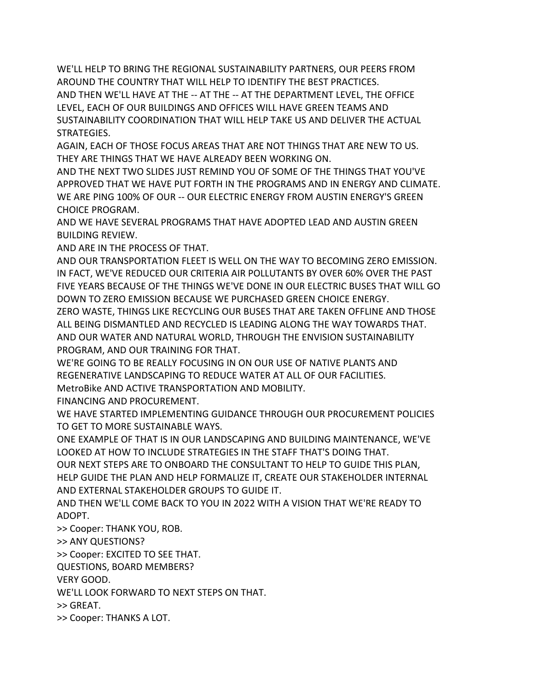WE'LL HELP TO BRING THE REGIONAL SUSTAINABILITY PARTNERS, OUR PEERS FROM AROUND THE COUNTRY THAT WILL HELP TO IDENTIFY THE BEST PRACTICES. AND THEN WE'LL HAVE AT THE -- AT THE -- AT THE DEPARTMENT LEVEL, THE OFFICE LEVEL, EACH OF OUR BUILDINGS AND OFFICES WILL HAVE GREEN TEAMS AND SUSTAINABILITY COORDINATION THAT WILL HELP TAKE US AND DELIVER THE ACTUAL STRATEGIES.

AGAIN, EACH OF THOSE FOCUS AREAS THAT ARE NOT THINGS THAT ARE NEW TO US. THEY ARE THINGS THAT WE HAVE ALREADY BEEN WORKING ON.

AND THE NEXT TWO SLIDES JUST REMIND YOU OF SOME OF THE THINGS THAT YOU'VE APPROVED THAT WE HAVE PUT FORTH IN THE PROGRAMS AND IN ENERGY AND CLIMATE. WE ARE PING 100% OF OUR -- OUR ELECTRIC ENERGY FROM AUSTIN ENERGY'S GREEN CHOICE PROGRAM.

AND WE HAVE SEVERAL PROGRAMS THAT HAVE ADOPTED LEAD AND AUSTIN GREEN BUILDING REVIEW.

AND ARE IN THE PROCESS OF THAT.

AND OUR TRANSPORTATION FLEET IS WELL ON THE WAY TO BECOMING ZERO EMISSION. IN FACT, WE'VE REDUCED OUR CRITERIA AIR POLLUTANTS BY OVER 60% OVER THE PAST FIVE YEARS BECAUSE OF THE THINGS WE'VE DONE IN OUR ELECTRIC BUSES THAT WILL GO DOWN TO ZERO EMISSION BECAUSE WE PURCHASED GREEN CHOICE ENERGY.

ZERO WASTE, THINGS LIKE RECYCLING OUR BUSES THAT ARE TAKEN OFFLINE AND THOSE ALL BEING DISMANTLED AND RECYCLED IS LEADING ALONG THE WAY TOWARDS THAT. AND OUR WATER AND NATURAL WORLD, THROUGH THE ENVISION SUSTAINABILITY PROGRAM, AND OUR TRAINING FOR THAT.

WE'RE GOING TO BE REALLY FOCUSING IN ON OUR USE OF NATIVE PLANTS AND REGENERATIVE LANDSCAPING TO REDUCE WATER AT ALL OF OUR FACILITIES.

MetroBike AND ACTIVE TRANSPORTATION AND MOBILITY.

FINANCING AND PROCUREMENT.

WE HAVE STARTED IMPLEMENTING GUIDANCE THROUGH OUR PROCUREMENT POLICIES TO GET TO MORE SUSTAINABLE WAYS.

ONE EXAMPLE OF THAT IS IN OUR LANDSCAPING AND BUILDING MAINTENANCE, WE'VE LOOKED AT HOW TO INCLUDE STRATEGIES IN THE STAFF THAT'S DOING THAT.

OUR NEXT STEPS ARE TO ONBOARD THE CONSULTANT TO HELP TO GUIDE THIS PLAN, HELP GUIDE THE PLAN AND HELP FORMALIZE IT, CREATE OUR STAKEHOLDER INTERNAL AND EXTERNAL STAKEHOLDER GROUPS TO GUIDE IT.

AND THEN WE'LL COME BACK TO YOU IN 2022 WITH A VISION THAT WE'RE READY TO ADOPT.

>> Cooper: THANK YOU, ROB.

>> ANY QUESTIONS?

>> Cooper: EXCITED TO SEE THAT.

QUESTIONS, BOARD MEMBERS?

VERY GOOD.

WE'LL LOOK FORWARD TO NEXT STEPS ON THAT.

>> GREAT.

>> Cooper: THANKS A LOT.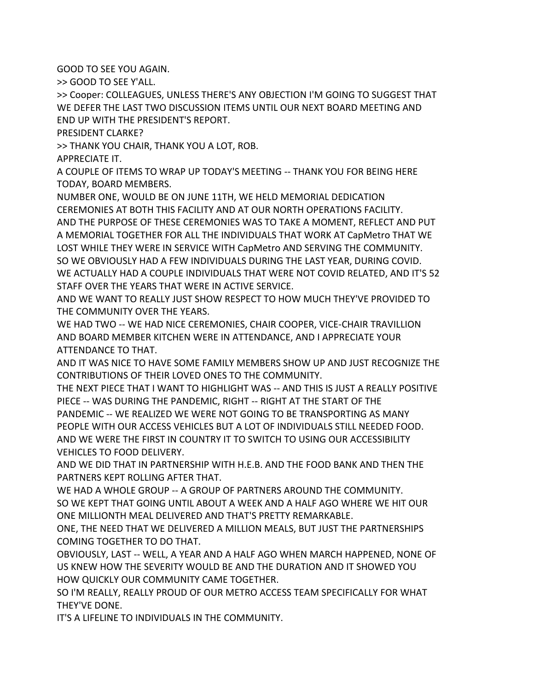GOOD TO SEE YOU AGAIN.

>> GOOD TO SEE Y'ALL.

>> Cooper: COLLEAGUES, UNLESS THERE'S ANY OBJECTION I'M GOING TO SUGGEST THAT WE DEFER THE LAST TWO DISCUSSION ITEMS UNTIL OUR NEXT BOARD MEETING AND END UP WITH THE PRESIDENT'S REPORT.

PRESIDENT CLARKE?

>> THANK YOU CHAIR, THANK YOU A LOT, ROB.

APPRECIATE IT.

A COUPLE OF ITEMS TO WRAP UP TODAY'S MEETING -- THANK YOU FOR BEING HERE TODAY, BOARD MEMBERS.

NUMBER ONE, WOULD BE ON JUNE 11TH, WE HELD MEMORIAL DEDICATION CEREMONIES AT BOTH THIS FACILITY AND AT OUR NORTH OPERATIONS FACILITY. AND THE PURPOSE OF THESE CEREMONIES WAS TO TAKE A MOMENT, REFLECT AND PUT A MEMORIAL TOGETHER FOR ALL THE INDIVIDUALS THAT WORK AT CapMetro THAT WE LOST WHILE THEY WERE IN SERVICE WITH CapMetro AND SERVING THE COMMUNITY. SO WE OBVIOUSLY HAD A FEW INDIVIDUALS DURING THE LAST YEAR, DURING COVID. WE ACTUALLY HAD A COUPLE INDIVIDUALS THAT WERE NOT COVID RELATED, AND IT'S 52 STAFF OVER THE YEARS THAT WERE IN ACTIVE SERVICE.

AND WE WANT TO REALLY JUST SHOW RESPECT TO HOW MUCH THEY'VE PROVIDED TO THE COMMUNITY OVER THE YEARS.

WE HAD TWO -- WE HAD NICE CEREMONIES, CHAIR COOPER, VICE-CHAIR TRAVILLION AND BOARD MEMBER KITCHEN WERE IN ATTENDANCE, AND I APPRECIATE YOUR ATTENDANCE TO THAT.

AND IT WAS NICE TO HAVE SOME FAMILY MEMBERS SHOW UP AND JUST RECOGNIZE THE CONTRIBUTIONS OF THEIR LOVED ONES TO THE COMMUNITY.

THE NEXT PIECE THAT I WANT TO HIGHLIGHT WAS -- AND THIS IS JUST A REALLY POSITIVE PIECE -- WAS DURING THE PANDEMIC, RIGHT -- RIGHT AT THE START OF THE

PANDEMIC -- WE REALIZED WE WERE NOT GOING TO BE TRANSPORTING AS MANY PEOPLE WITH OUR ACCESS VEHICLES BUT A LOT OF INDIVIDUALS STILL NEEDED FOOD. AND WE WERE THE FIRST IN COUNTRY IT TO SWITCH TO USING OUR ACCESSIBILITY VEHICLES TO FOOD DELIVERY.

AND WE DID THAT IN PARTNERSHIP WITH H.E.B. AND THE FOOD BANK AND THEN THE PARTNERS KEPT ROLLING AFTER THAT.

WE HAD A WHOLE GROUP -- A GROUP OF PARTNERS AROUND THE COMMUNITY. SO WE KEPT THAT GOING UNTIL ABOUT A WEEK AND A HALF AGO WHERE WE HIT OUR ONE MILLIONTH MEAL DELIVERED AND THAT'S PRETTY REMARKABLE.

ONE, THE NEED THAT WE DELIVERED A MILLION MEALS, BUT JUST THE PARTNERSHIPS COMING TOGETHER TO DO THAT.

OBVIOUSLY, LAST -- WELL, A YEAR AND A HALF AGO WHEN MARCH HAPPENED, NONE OF US KNEW HOW THE SEVERITY WOULD BE AND THE DURATION AND IT SHOWED YOU HOW QUICKLY OUR COMMUNITY CAME TOGETHER.

SO I'M REALLY, REALLY PROUD OF OUR METRO ACCESS TEAM SPECIFICALLY FOR WHAT THEY'VE DONE.

IT'S A LIFELINE TO INDIVIDUALS IN THE COMMUNITY.